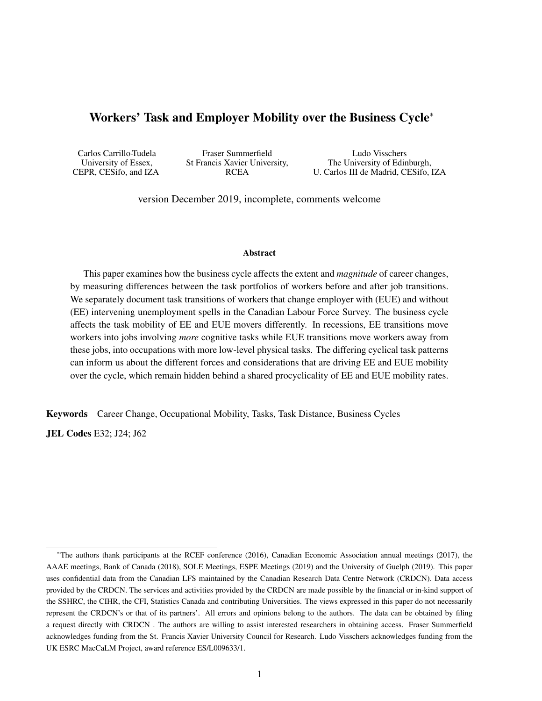### <span id="page-0-0"></span>Workers' Task and Employer Mobility over the Business Cycle<sup>∗</sup>

| Carlos Carrillo-Tudela | Fraser Summerfield            | Ludo Visschers                       |
|------------------------|-------------------------------|--------------------------------------|
| University of Essex,   | St Francis Xavier University, | The University of Edinburgh,         |
| CEPR, CESifo, and IZA  | <b>RCEA</b>                   | U. Carlos III de Madrid, CESifo, IZA |

version December 2019, incomplete, comments welcome

#### Abstract

This paper examines how the business cycle affects the extent and *magnitude* of career changes, by measuring differences between the task portfolios of workers before and after job transitions. We separately document task transitions of workers that change employer with (EUE) and without (EE) intervening unemployment spells in the Canadian Labour Force Survey. The business cycle affects the task mobility of EE and EUE movers differently. In recessions, EE transitions move workers into jobs involving *more* cognitive tasks while EUE transitions move workers away from these jobs, into occupations with more low-level physical tasks. The differing cyclical task patterns can inform us about the different forces and considerations that are driving EE and EUE mobility over the cycle, which remain hidden behind a shared procyclicality of EE and EUE mobility rates.

Keywords Career Change, Occupational Mobility, Tasks, Task Distance, Business Cycles

JEL Codes E32; J24; J62

<sup>∗</sup>The authors thank participants at the RCEF conference (2016), Canadian Economic Association annual meetings (2017), the AAAE meetings, Bank of Canada (2018), SOLE Meetings, ESPE Meetings (2019) and the University of Guelph (2019). This paper uses confidential data from the Canadian LFS maintained by the Canadian Research Data Centre Network (CRDCN). Data access provided by the CRDCN. The services and activities provided by the CRDCN are made possible by the financial or in-kind support of the SSHRC, the CIHR, the CFI, Statistics Canada and contributing Universities. The views expressed in this paper do not necessarily represent the CRDCN's or that of its partners'. All errors and opinions belong to the authors. The data can be obtained by filing a request directly with CRDCN . The authors are willing to assist interested researchers in obtaining access. Fraser Summerfield acknowledges funding from the St. Francis Xavier University Council for Research. Ludo Visschers acknowledges funding from the UK ESRC MacCaLM Project, award reference ES/L009633/1.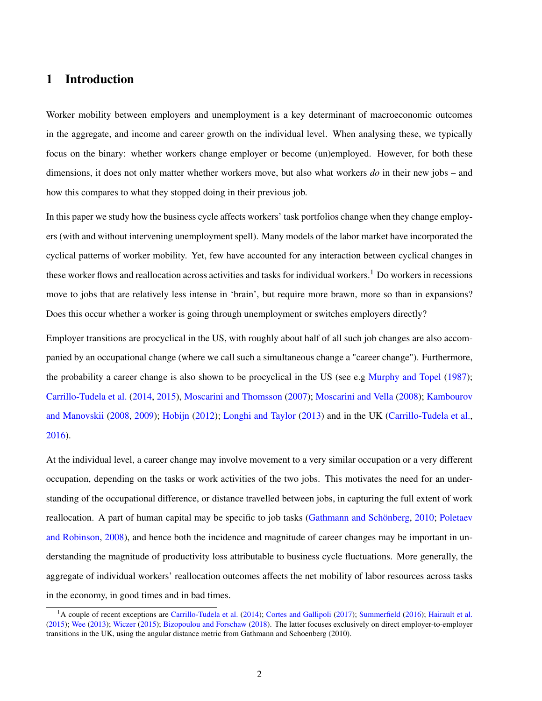## 1 Introduction

Worker mobility between employers and unemployment is a key determinant of macroeconomic outcomes in the aggregate, and income and career growth on the individual level. When analysing these, we typically focus on the binary: whether workers change employer or become (un)employed. However, for both these dimensions, it does not only matter whether workers move, but also what workers *do* in their new jobs – and how this compares to what they stopped doing in their previous job.

In this paper we study how the business cycle affects workers' task portfolios change when they change employers (with and without intervening unemployment spell). Many models of the labor market have incorporated the cyclical patterns of worker mobility. Yet, few have accounted for any interaction between cyclical changes in these worker flows and reallocation across activities and tasks for individual workers.<sup>[1](#page-0-0)</sup> Do workers in recessions move to jobs that are relatively less intense in 'brain', but require more brawn, more so than in expansions? Does this occur whether a worker is going through unemployment or switches employers directly?

Employer transitions are procyclical in the US, with roughly about half of all such job changes are also accompanied by an occupational change (where we call such a simultaneous change a "career change"). Furthermore, the probability a career change is also shown to be procyclical in the US (see e.g [Murphy and Topel](#page-23-0) [\(1987\)](#page-23-0); [Carrillo-Tudela et al.](#page-21-0) [\(2014,](#page-21-0) [2015\)](#page-21-1), [Moscarini and Thomsson](#page-23-1) [\(2007\)](#page-23-1); [Moscarini and Vella](#page-23-2) [\(2008\)](#page-23-2); [Kambourov](#page-23-3) [and Manovskii](#page-23-3) [\(2008,](#page-23-3) [2009\)](#page-23-4); [Hobijn](#page-22-0) [\(2012\)](#page-22-0); [Longhi and Taylor](#page-23-5) [\(2013\)](#page-23-5) and in the UK [\(Carrillo-Tudela et al.,](#page-21-2) [2016\)](#page-21-2).

At the individual level, a career change may involve movement to a very similar occupation or a very different occupation, depending on the tasks or work activities of the two jobs. This motivates the need for an understanding of the occupational difference, or distance travelled between jobs, in capturing the full extent of work reallocation. A part of human capital may be specific to job tasks [\(Gathmann and Schönberg,](#page-22-1) [2010;](#page-22-1) [Poletaev](#page-24-0) [and Robinson,](#page-24-0) [2008\)](#page-24-0), and hence both the incidence and magnitude of career changes may be important in understanding the magnitude of productivity loss attributable to business cycle fluctuations. More generally, the aggregate of individual workers' reallocation outcomes affects the net mobility of labor resources across tasks in the economy, in good times and in bad times.

<sup>&</sup>lt;sup>1</sup>A couple of recent exceptions are [Carrillo-Tudela et al.](#page-21-0) [\(2014\)](#page-21-0); [Cortes and Gallipoli](#page-21-3) [\(2017\)](#page-21-3); [Summerfield](#page-24-1) [\(2016\)](#page-24-1); [Hairault et al.](#page-22-2) [\(2015\)](#page-22-2); [Wee](#page-24-2) [\(2013\)](#page-24-2); [Wiczer](#page-24-3) [\(2015\)](#page-24-3); [Bizopoulou and Forschaw](#page-21-4) [\(2018\)](#page-21-4). The latter focuses exclusively on direct employer-to-employer transitions in the UK, using the angular distance metric from Gathmann and Schoenberg (2010).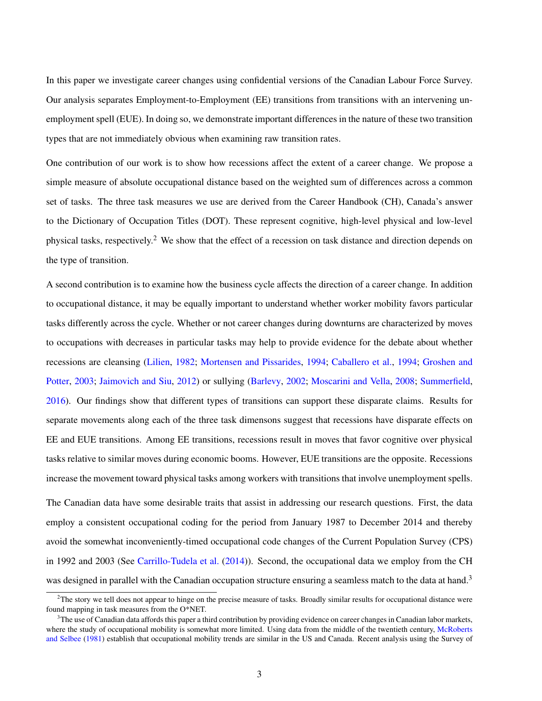In this paper we investigate career changes using confidential versions of the Canadian Labour Force Survey. Our analysis separates Employment-to-Employment (EE) transitions from transitions with an intervening unemployment spell (EUE). In doing so, we demonstrate important differences in the nature of these two transition types that are not immediately obvious when examining raw transition rates.

One contribution of our work is to show how recessions affect the extent of a career change. We propose a simple measure of absolute occupational distance based on the weighted sum of differences across a common set of tasks. The three task measures we use are derived from the Career Handbook (CH), Canada's answer to the Dictionary of Occupation Titles (DOT). These represent cognitive, high-level physical and low-level physical tasks, respectively.[2](#page-0-0) We show that the effect of a recession on task distance and direction depends on the type of transition.

A second contribution is to examine how the business cycle affects the direction of a career change. In addition to occupational distance, it may be equally important to understand whether worker mobility favors particular tasks differently across the cycle. Whether or not career changes during downturns are characterized by moves to occupations with decreases in particular tasks may help to provide evidence for the debate about whether recessions are cleansing [\(Lilien,](#page-23-6) [1982;](#page-23-6) [Mortensen and Pissarides,](#page-23-7) [1994;](#page-23-7) [Caballero et al.,](#page-21-5) [1994;](#page-21-5) [Groshen and](#page-22-3) [Potter,](#page-22-3) [2003;](#page-22-3) [Jaimovich and Siu,](#page-22-4) [2012\)](#page-22-4) or sullying [\(Barlevy,](#page-21-6) [2002;](#page-21-6) [Moscarini and Vella,](#page-23-2) [2008;](#page-23-2) [Summerfield,](#page-24-1) [2016\)](#page-24-1). Our findings show that different types of transitions can support these disparate claims. Results for separate movements along each of the three task dimensons suggest that recessions have disparate effects on EE and EUE transitions. Among EE transitions, recessions result in moves that favor cognitive over physical tasks relative to similar moves during economic booms. However, EUE transitions are the opposite. Recessions increase the movement toward physical tasks among workers with transitions that involve unemployment spells.

The Canadian data have some desirable traits that assist in addressing our research questions. First, the data employ a consistent occupational coding for the period from January 1987 to December 2014 and thereby avoid the somewhat inconveniently-timed occupational code changes of the Current Population Survey (CPS) in 1992 and 2003 (See [Carrillo-Tudela et al.](#page-21-0) [\(2014\)](#page-21-0)). Second, the occupational data we employ from the CH was designed in parallel with the Canadian occupation structure ensuring a seamless match to the data at hand.<sup>[3](#page-0-0)</sup>

 $2$ The story we tell does not appear to hinge on the precise measure of tasks. Broadly similar results for occupational distance were found mapping in task measures from the O\*NET.

<sup>&</sup>lt;sup>3</sup>The use of Canadian data affords this paper a third contribution by providing evidence on career changes in Canadian labor markets, where the study of occupational mobility is somewhat more limited. Using data from the middle of the twentieth century, [McRoberts](#page-23-8) [and Selbee](#page-23-8) [\(1981\)](#page-23-8) establish that occupational mobility trends are similar in the US and Canada. Recent analysis using the Survey of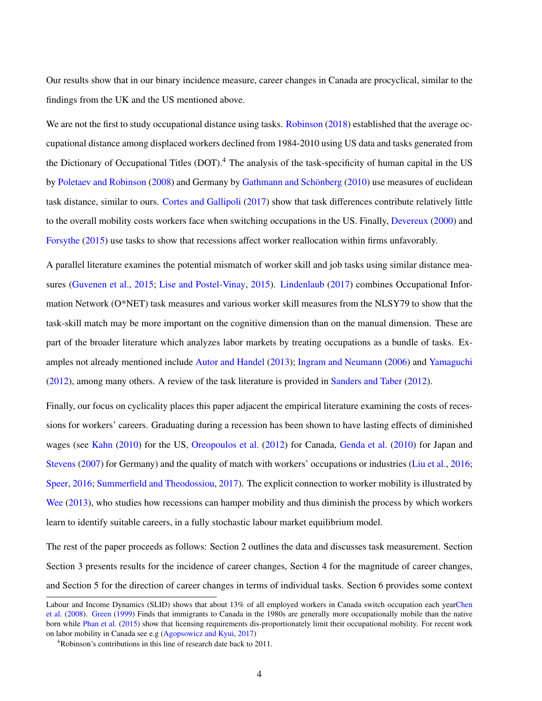Our results show that in our binary incidence measure, career changes in Canada are procyclical, similar to the findings from the UK and the US mentioned above.

We are not the first to study occupational distance using tasks. [Robinson](#page-24-4) [\(2018\)](#page-24-4) established that the average occupational distance among displaced workers declined from 1984-2010 using US data and tasks generated from the Dictionary of Occupational Titles (DOT).<sup>[4](#page-0-0)</sup> The analysis of the task-specificity of human capital in the US by [Poletaev and Robinson](#page-24-0) [\(2008\)](#page-24-0) and Germany by [Gathmann and Schönberg](#page-22-1) [\(2010\)](#page-22-1) use measures of euclidean task distance, similar to ours. [Cortes and Gallipoli](#page-21-3) [\(2017\)](#page-21-3) show that task differences contribute relatively little to the overall mobility costs workers face when switching occupations in the US. Finally, [Devereux](#page-22-5) [\(2000\)](#page-22-5) and [Forsythe](#page-22-6) [\(2015\)](#page-22-6) use tasks to show that recessions affect worker reallocation within firms unfavorably.

A parallel literature examines the potential mismatch of worker skill and job tasks using similar distance measures [\(Guvenen et al.,](#page-22-7) [2015;](#page-22-7) [Lise and Postel-Vinay,](#page-23-9) [2015\)](#page-23-9). [Lindenlaub](#page-23-10) [\(2017\)](#page-23-10) combines Occupational Information Network (O\*NET) task measures and various worker skill measures from the NLSY79 to show that the task-skill match may be more important on the cognitive dimension than on the manual dimension. These are part of the broader literature which analyzes labor markets by treating occupations as a bundle of tasks. Examples not already mentioned include [Autor and Handel](#page-21-7) [\(2013\)](#page-21-7); [Ingram and Neumann](#page-22-8) [\(2006\)](#page-22-8) and [Yamaguchi](#page-24-5) [\(2012\)](#page-24-5), among many others. A review of the task literature is provided in [Sanders and Taber](#page-24-6) [\(2012\)](#page-24-6).

Finally, our focus on cyclicality places this paper adjacent the empirical literature examining the costs of recessions for workers' careers. Graduating during a recession has been shown to have lasting effects of diminished wages (see [Kahn](#page-23-11) [\(2010\)](#page-23-11) for the US, [Oreopoulos et al.](#page-24-7) [\(2012\)](#page-24-7) for Canada, [Genda et al.](#page-22-9) [\(2010\)](#page-22-9) for Japan and [Stevens](#page-24-8) [\(2007\)](#page-24-8) for Germany) and the quality of match with workers' occupations or industries [\(Liu et al.,](#page-23-12) [2016;](#page-23-12) [Speer,](#page-24-9) [2016;](#page-24-9) [Summerfield and Theodossiou,](#page-24-10) [2017\)](#page-24-10). The explicit connection to worker mobility is illustrated by [Wee](#page-24-2) [\(2013\)](#page-24-2), who studies how recessions can hamper mobility and thus diminish the process by which workers learn to identify suitable careers, in a fully stochastic labour market equilibrium model.

The rest of the paper proceeds as follows: Section [2](#page-4-0) outlines the data and discusses task measurement. Section Section [3](#page-9-0) presents results for the incidence of career changes, Section [4](#page-12-0) for the magnitude of career changes, and Section [5](#page-15-0) for the direction of career changes in terms of individual tasks. Section [6](#page-18-0) provides some context

Labour and Income Dynamics (SLID) shows that about 13% of all employed workers in Canada switch occupation each yea[rChen](#page-21-8) [et al.](#page-21-8) [\(2008\)](#page-21-8). [Green](#page-22-10) [\(1999\)](#page-22-10) Finds that immigrants to Canada in the 1980s are generally more occupationally mobile than the native born while [Phan et al.](#page-24-11) [\(2015\)](#page-24-11) show that licensing requirements dis-proportionately limit their occupational mobility. For recent work on labor mobility in Canada see e.g [\(Agopsowicz and Kyui,](#page-21-9) [2017\)](#page-21-9)

<sup>4</sup>Robinson's contributions in this line of research date back to 2011.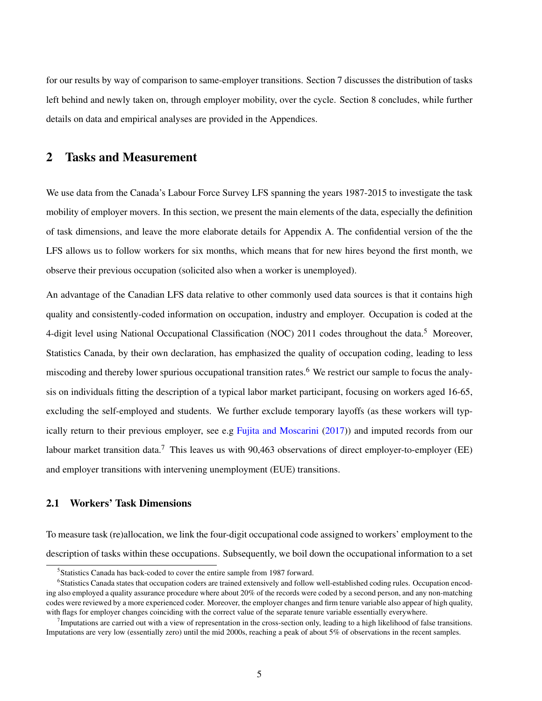for our results by way of comparison to same-employer transitions. Section [7](#page-19-0) discusses the distribution of tasks left behind and newly taken on, through employer mobility, over the cycle. Section [8](#page-20-0) concludes, while further details on data and empirical analyses are provided in the Appendices.

### <span id="page-4-0"></span>2 Tasks and Measurement

We use data from the Canada's Labour Force Survey LFS spanning the years 1987-2015 to investigate the task mobility of employer movers. In this section, we present the main elements of the data, especially the definition of task dimensions, and leave the more elaborate details for Appendix A. The confidential version of the the LFS allows us to follow workers for six months, which means that for new hires beyond the first month, we observe their previous occupation (solicited also when a worker is unemployed).

An advantage of the Canadian LFS data relative to other commonly used data sources is that it contains high quality and consistently-coded information on occupation, industry and employer. Occupation is coded at the 4-digit level using National Occupational Classification (NOC) 2011 codes throughout the data.<sup>[5](#page-0-0)</sup> Moreover, Statistics Canada, by their own declaration, has emphasized the quality of occupation coding, leading to less miscoding and thereby lower spurious occupational transition rates.<sup>[6](#page-0-0)</sup> We restrict our sample to focus the analysis on individuals fitting the description of a typical labor market participant, focusing on workers aged 16-65, excluding the self-employed and students. We further exclude temporary layoffs (as these workers will typically return to their previous employer, see e.g [Fujita and Moscarini](#page-22-11) [\(2017\)](#page-22-11)) and imputed records from our labour market transition data.<sup>[7](#page-0-0)</sup> This leaves us with 90,463 observations of direct employer-to-employer (EE) and employer transitions with intervening unemployment (EUE) transitions.

### 2.1 Workers' Task Dimensions

To measure task (re)allocation, we link the four-digit occupational code assigned to workers' employment to the description of tasks within these occupations. Subsequently, we boil down the occupational information to a set

<sup>&</sup>lt;sup>5</sup>Statistics Canada has back-coded to cover the entire sample from 1987 forward.

<sup>6</sup> Statistics Canada states that occupation coders are trained extensively and follow well-established coding rules. Occupation encoding also employed a quality assurance procedure where about 20% of the records were coded by a second person, and any non-matching codes were reviewed by a more experienced coder. Moreover, the employer changes and firm tenure variable also appear of high quality, with flags for employer changes coinciding with the correct value of the separate tenure variable essentially everywhere.

Imputations are carried out with a view of representation in the cross-section only, leading to a high likelihood of false transitions. Imputations are very low (essentially zero) until the mid 2000s, reaching a peak of about 5% of observations in the recent samples.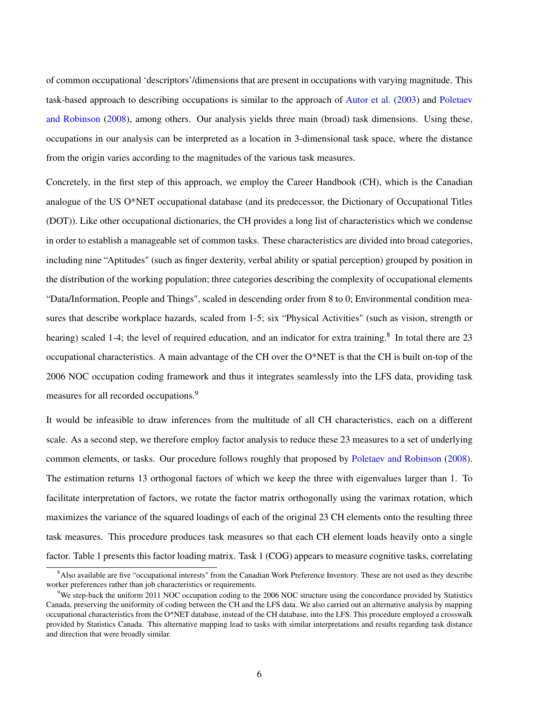of common occupational 'descriptors'/dimensions that are present in occupations with varying magnitude. This task-based approach to describing occupations is similar to the approach of [Autor et al.](#page-21-10) [\(2003\)](#page-21-10) and [Poletaev](#page-24-0) [and Robinson](#page-24-0) [\(2008\)](#page-24-0), among others. Our analysis yields three main (broad) task dimensions. Using these, occupations in our analysis can be interpreted as a location in 3-dimensional task space, where the distance from the origin varies according to the magnitudes of the various task measures.

Concretely, in the first step of this approach, we employ the Career Handbook (CH), which is the Canadian analogue of the US O\*NET occupational database (and its predecessor, the Dictionary of Occupational Titles (DOT)). Like other occupational dictionaries, the CH provides a long list of characteristics which we condense in order to establish a manageable set of common tasks. These characteristics are divided into broad categories, including nine "Aptitudes" (such as finger dexterity, verbal ability or spatial perception) grouped by position in the distribution of the working population; three categories describing the complexity of occupational elements "Data/Information, People and Things", scaled in descending order from 8 to 0; Environmental condition measures that describe workplace hazards, scaled from 1-5; six "Physical Activities" (such as vision, strength or hearing) scaled 1-4; the level of required education, and an indicator for extra training.<sup>[8](#page-0-0)</sup> In total there are 23 occupational characteristics. A main advantage of the CH over the O\*NET is that the CH is built on-top of the 2006 NOC occupation coding framework and thus it integrates seamlessly into the LFS data, providing task measures for all recorded occupations.<sup>[9](#page-0-0)</sup>

It would be infeasible to draw inferences from the multitude of all CH characteristics, each on a different scale. As a second step, we therefore employ factor analysis to reduce these 23 measures to a set of underlying common elements, or tasks. Our procedure follows roughly that proposed by [Poletaev and Robinson](#page-24-0) [\(2008\)](#page-24-0). The estimation returns 13 orthogonal factors of which we keep the three with eigenvalues larger than 1. To facilitate interpretation of factors, we rotate the factor matrix orthogonally using the varimax rotation, which maximizes the variance of the squared loadings of each of the original 23 CH elements onto the resulting three task measures. This procedure produces task measures so that each CH element loads heavily onto a single factor. Table [1](#page-6-0) presents this factor loading matrix. Task 1 (COG) appears to measure cognitive tasks, correlating

<sup>&</sup>lt;sup>8</sup>Also available are five "occupational interests" from the Canadian Work Preference Inventory. These are not used as they describe worker preferences rather than job characteristics or requirements.

<sup>&</sup>lt;sup>9</sup>We step-back the uniform 2011 NOC occupation coding to the 2006 NOC structure using the concordance provided by Statistics Canada, preserving the uniformity of coding between the CH and the LFS data. We also carried out an alternative analysis by mapping occupational characteristics from the O\*NET database, instead of the CH database, into the LFS. This procedure employed a crosswalk provided by Statistics Canada. This alternative mapping lead to tasks with similar interpretations and results regarding task distance and direction that were broadly similar.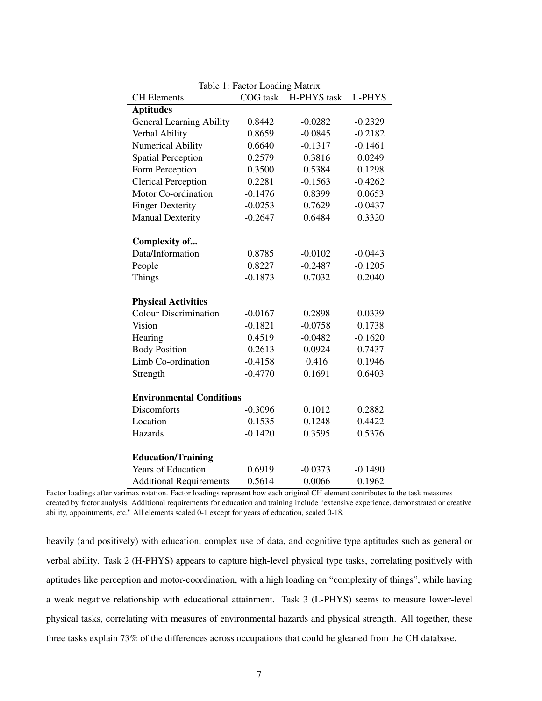| Table 1: Factor Loading Matrix  |           |             |           |  |  |  |  |
|---------------------------------|-----------|-------------|-----------|--|--|--|--|
| <b>CH</b> Elements              | COG task  | H-PHYS task | L-PHYS    |  |  |  |  |
| <b>Aptitudes</b>                |           |             |           |  |  |  |  |
| <b>General Learning Ability</b> | 0.8442    | $-0.0282$   | $-0.2329$ |  |  |  |  |
| Verbal Ability                  | 0.8659    | $-0.0845$   | $-0.2182$ |  |  |  |  |
| <b>Numerical Ability</b>        | 0.6640    | $-0.1317$   | $-0.1461$ |  |  |  |  |
| <b>Spatial Perception</b>       | 0.2579    | 0.3816      | 0.0249    |  |  |  |  |
| Form Perception                 | 0.3500    | 0.5384      | 0.1298    |  |  |  |  |
| <b>Clerical Perception</b>      | 0.2281    | $-0.1563$   | $-0.4262$ |  |  |  |  |
| Motor Co-ordination             | $-0.1476$ | 0.8399      | 0.0653    |  |  |  |  |
| <b>Finger Dexterity</b>         | $-0.0253$ | 0.7629      | $-0.0437$ |  |  |  |  |
| <b>Manual Dexterity</b>         | $-0.2647$ | 0.6484      | 0.3320    |  |  |  |  |
|                                 |           |             |           |  |  |  |  |
| Complexity of                   |           |             |           |  |  |  |  |
| Data/Information                | 0.8785    | $-0.0102$   | $-0.0443$ |  |  |  |  |
| People                          | 0.8227    | $-0.2487$   | $-0.1205$ |  |  |  |  |
| Things                          | $-0.1873$ | 0.7032      | 0.2040    |  |  |  |  |
|                                 |           |             |           |  |  |  |  |
| <b>Physical Activities</b>      |           |             |           |  |  |  |  |
| <b>Colour Discrimination</b>    | $-0.0167$ | 0.2898      | 0.0339    |  |  |  |  |
| Vision                          | $-0.1821$ | $-0.0758$   | 0.1738    |  |  |  |  |
| Hearing                         | 0.4519    | $-0.0482$   | $-0.1620$ |  |  |  |  |
| <b>Body Position</b>            | $-0.2613$ | 0.0924      | 0.7437    |  |  |  |  |
| Limb Co-ordination              | $-0.4158$ | 0.416       | 0.1946    |  |  |  |  |
| Strength                        | $-0.4770$ | 0.1691      | 0.6403    |  |  |  |  |
|                                 |           |             |           |  |  |  |  |
| <b>Environmental Conditions</b> |           |             |           |  |  |  |  |
| <b>Discomforts</b>              | $-0.3096$ | 0.1012      | 0.2882    |  |  |  |  |
| Location                        | $-0.1535$ | 0.1248      | 0.4422    |  |  |  |  |
| Hazards                         | $-0.1420$ | 0.3595      | 0.5376    |  |  |  |  |
|                                 |           |             |           |  |  |  |  |
| <b>Education/Training</b>       |           |             |           |  |  |  |  |
| <b>Years of Education</b>       | 0.6919    | $-0.0373$   | $-0.1490$ |  |  |  |  |
| <b>Additional Requirements</b>  | 0.5614    | 0.0066      | 0.1962    |  |  |  |  |

<span id="page-6-0"></span>Table 1: Factor Loading Matrix

Factor loadings after varimax rotation. Factor loadings represent how each original CH element contributes to the task measures created by factor analysis. Additional requirements for education and training include "extensive experience, demonstrated or creative ability, appointments, etc." All elements scaled 0-1 except for years of education, scaled 0-18.

heavily (and positively) with education, complex use of data, and cognitive type aptitudes such as general or verbal ability. Task 2 (H-PHYS) appears to capture high-level physical type tasks, correlating positively with aptitudes like perception and motor-coordination, with a high loading on "complexity of things", while having a weak negative relationship with educational attainment. Task 3 (L-PHYS) seems to measure lower-level physical tasks, correlating with measures of environmental hazards and physical strength. All together, these three tasks explain 73% of the differences across occupations that could be gleaned from the CH database.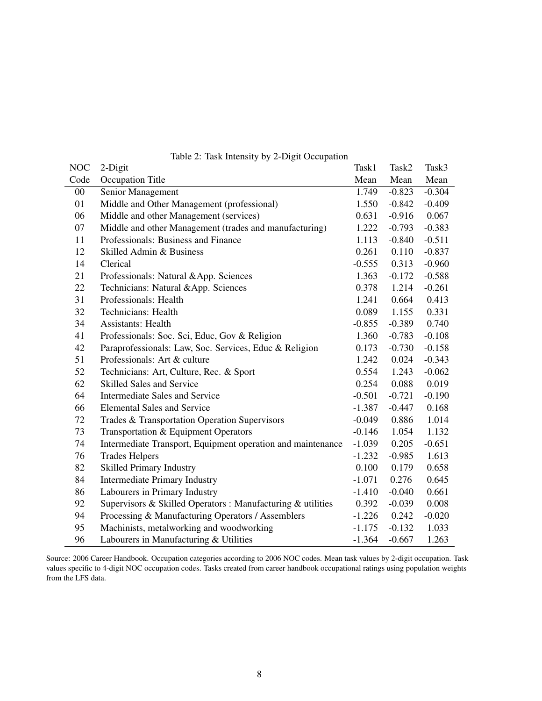| <b>NOC</b> | 2-Digit                                                     | Task1    | Task2    | Task3    |
|------------|-------------------------------------------------------------|----------|----------|----------|
| Code       | Occupation Title                                            | Mean     | Mean     | Mean     |
| $00\,$     | Senior Management                                           | 1.749    | $-0.823$ | $-0.304$ |
| 01         | Middle and Other Management (professional)                  | 1.550    | $-0.842$ | $-0.409$ |
| 06         | Middle and other Management (services)                      | 0.631    | $-0.916$ | 0.067    |
| 07         | Middle and other Management (trades and manufacturing)      | 1.222    | $-0.793$ | $-0.383$ |
| 11         | Professionals: Business and Finance                         | 1.113    | $-0.840$ | $-0.511$ |
| 12         | Skilled Admin & Business                                    | 0.261    | 0.110    | $-0.837$ |
| 14         | Clerical                                                    | $-0.555$ | 0.313    | $-0.960$ |
| 21         | Professionals: Natural &App. Sciences                       | 1.363    | $-0.172$ | $-0.588$ |
| 22         | Technicians: Natural &App. Sciences                         | 0.378    | 1.214    | $-0.261$ |
| 31         | Professionals: Health                                       | 1.241    | 0.664    | 0.413    |
| 32         | Technicians: Health                                         | 0.089    | 1.155    | 0.331    |
| 34         | <b>Assistants: Health</b>                                   | $-0.855$ | $-0.389$ | 0.740    |
| 41         | Professionals: Soc. Sci, Educ, Gov & Religion               | 1.360    | $-0.783$ | $-0.108$ |
| 42         | Paraprofessionals: Law, Soc. Services, Educ & Religion      | 0.173    | $-0.730$ | $-0.158$ |
| 51         | Professionals: Art & culture                                | 1.242    | 0.024    | $-0.343$ |
| 52         | Technicians: Art, Culture, Rec. & Sport                     | 0.554    | 1.243    | $-0.062$ |
| 62         | <b>Skilled Sales and Service</b>                            | 0.254    | 0.088    | 0.019    |
| 64         | Intermediate Sales and Service                              | $-0.501$ | $-0.721$ | $-0.190$ |
| 66         | <b>Elemental Sales and Service</b>                          | $-1.387$ | $-0.447$ | 0.168    |
| 72         | Trades & Transportation Operation Supervisors               | $-0.049$ | 0.886    | 1.014    |
| 73         | Transportation & Equipment Operators                        | $-0.146$ | 1.054    | 1.132    |
| 74         | Intermediate Transport, Equipment operation and maintenance | $-1.039$ | 0.205    | $-0.651$ |
| 76         | <b>Trades Helpers</b>                                       | $-1.232$ | $-0.985$ | 1.613    |
| 82         | <b>Skilled Primary Industry</b>                             | 0.100    | 0.179    | 0.658    |
| 84         | <b>Intermediate Primary Industry</b>                        | $-1.071$ | 0.276    | 0.645    |
| 86         | Labourers in Primary Industry                               | $-1.410$ | $-0.040$ | 0.661    |
| 92         | Supervisors & Skilled Operators : Manufacturing & utilities | 0.392    | $-0.039$ | 0.008    |
| 94         | Processing & Manufacturing Operators / Assemblers           | $-1.226$ | 0.242    | $-0.020$ |
| 95         | Machinists, metalworking and woodworking                    | $-1.175$ | $-0.132$ | 1.033    |
| 96         | Labourers in Manufacturing & Utilities                      | $-1.364$ | $-0.667$ | 1.263    |

<span id="page-7-0"></span>Table 2: Task Intensity by 2-Digit Occupation

Source: 2006 Career Handbook. Occupation categories according to 2006 NOC codes. Mean task values by 2-digit occupation. Task values specific to 4-digit NOC occupation codes. Tasks created from career handbook occupational ratings using population weights from the LFS data.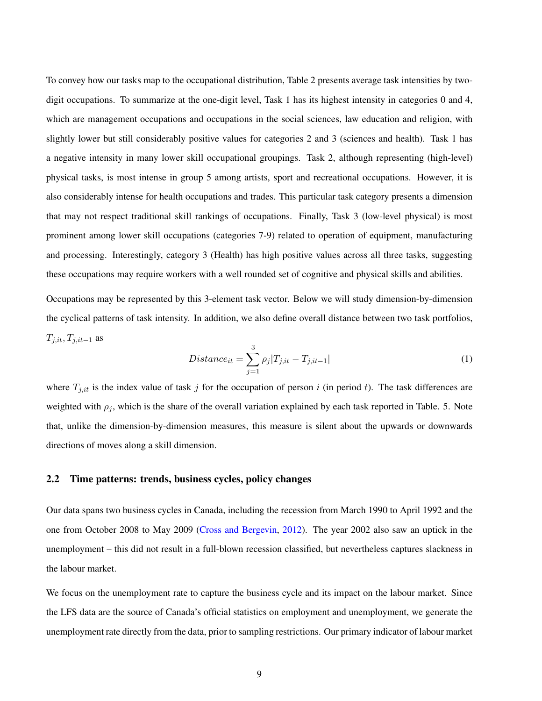To convey how our tasks map to the occupational distribution, Table [2](#page-7-0) presents average task intensities by twodigit occupations. To summarize at the one-digit level, Task 1 has its highest intensity in categories 0 and 4, which are management occupations and occupations in the social sciences, law education and religion, with slightly lower but still considerably positive values for categories 2 and 3 (sciences and health). Task 1 has a negative intensity in many lower skill occupational groupings. Task 2, although representing (high-level) physical tasks, is most intense in group 5 among artists, sport and recreational occupations. However, it is also considerably intense for health occupations and trades. This particular task category presents a dimension that may not respect traditional skill rankings of occupations. Finally, Task 3 (low-level physical) is most prominent among lower skill occupations (categories 7-9) related to operation of equipment, manufacturing and processing. Interestingly, category 3 (Health) has high positive values across all three tasks, suggesting these occupations may require workers with a well rounded set of cognitive and physical skills and abilities.

Occupations may be represented by this 3-element task vector. Below we will study dimension-by-dimension the cyclical patterns of task intensity. In addition, we also define overall distance between two task portfolios,  $T_{j,it}, T_{j,it-1}$  as

<span id="page-8-0"></span>
$$
Distance_{it} = \sum_{j=1}^{3} \rho_j |T_{j,it} - T_{j,it-1}|
$$
\n(1)

where  $T_{j,it}$  is the index value of task j for the occupation of person i (in period t). The task differences are weighted with  $\rho_j$ , which is the share of the overall variation explained by each task reported in Table. [5.](#page-29-0) Note that, unlike the dimension-by-dimension measures, this measure is silent about the upwards or downwards directions of moves along a skill dimension.

### 2.2 Time patterns: trends, business cycles, policy changes

Our data spans two business cycles in Canada, including the recession from March 1990 to April 1992 and the one from October 2008 to May 2009 [\(Cross and Bergevin,](#page-22-12) [2012\)](#page-22-12). The year 2002 also saw an uptick in the unemployment – this did not result in a full-blown recession classified, but nevertheless captures slackness in the labour market.

We focus on the unemployment rate to capture the business cycle and its impact on the labour market. Since the LFS data are the source of Canada's official statistics on employment and unemployment, we generate the unemployment rate directly from the data, prior to sampling restrictions. Our primary indicator of labour market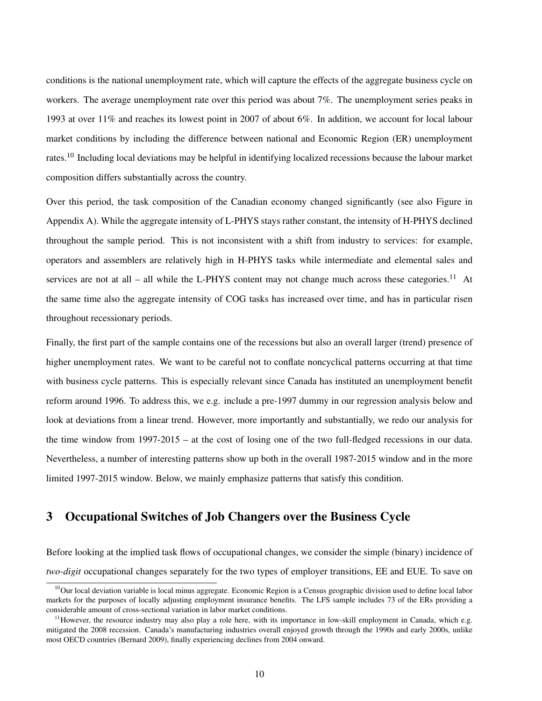conditions is the national unemployment rate, which will capture the effects of the aggregate business cycle on workers. The average unemployment rate over this period was about 7%. The unemployment series peaks in 1993 at over 11% and reaches its lowest point in 2007 of about 6%. In addition, we account for local labour market conditions by including the difference between national and Economic Region (ER) unemployment rates.[10](#page-0-0) Including local deviations may be helpful in identifying localized recessions because the labour market composition differs substantially across the country.

Over this period, the task composition of the Canadian economy changed significantly (see also Figure in Appendix A). While the aggregate intensity of L-PHYS stays rather constant, the intensity of H-PHYS declined throughout the sample period. This is not inconsistent with a shift from industry to services: for example, operators and assemblers are relatively high in H-PHYS tasks while intermediate and elemental sales and services are not at all – all while the L-PHYS content may not change much across these categories.<sup>[11](#page-0-0)</sup> At the same time also the aggregate intensity of COG tasks has increased over time, and has in particular risen throughout recessionary periods.

Finally, the first part of the sample contains one of the recessions but also an overall larger (trend) presence of higher unemployment rates. We want to be careful not to conflate noncyclical patterns occurring at that time with business cycle patterns. This is especially relevant since Canada has instituted an unemployment benefit reform around 1996. To address this, we e.g. include a pre-1997 dummy in our regression analysis below and look at deviations from a linear trend. However, more importantly and substantially, we redo our analysis for the time window from 1997-2015 – at the cost of losing one of the two full-fledged recessions in our data. Nevertheless, a number of interesting patterns show up both in the overall 1987-2015 window and in the more limited 1997-2015 window. Below, we mainly emphasize patterns that satisfy this condition.

## <span id="page-9-0"></span>3 Occupational Switches of Job Changers over the Business Cycle

Before looking at the implied task flows of occupational changes, we consider the simple (binary) incidence of *two-digit* occupational changes separately for the two types of employer transitions, EE and EUE. To save on

 $10$ Our local deviation variable is local minus aggregate. Economic Region is a Census geographic division used to define local labor markets for the purposes of locally adjusting employment insurance benefits. The LFS sample includes 73 of the ERs providing a considerable amount of cross-sectional variation in labor market conditions.

 $11$ However, the resource industry may also play a role here, with its importance in low-skill employment in Canada, which e.g. mitigated the 2008 recession. Canada's manufacturing industries overall enjoyed growth through the 1990s and early 2000s, unlike most OECD countries (Bernard 2009), finally experiencing declines from 2004 onward.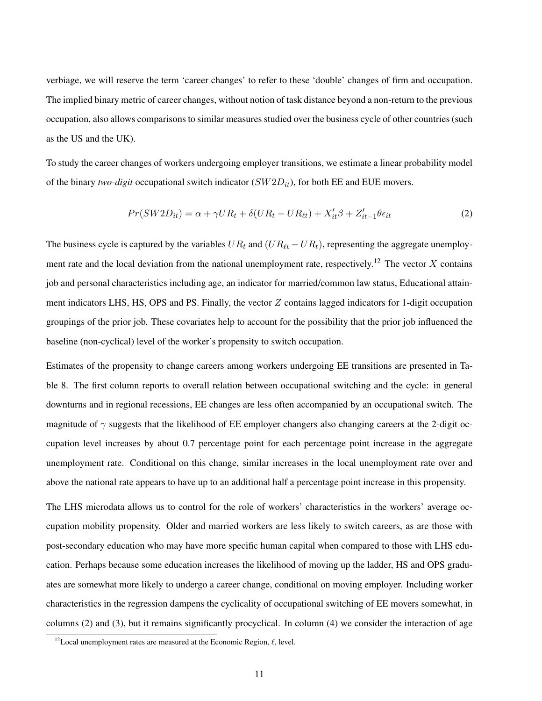verbiage, we will reserve the term 'career changes' to refer to these 'double' changes of firm and occupation. The implied binary metric of career changes, without notion of task distance beyond a non-return to the previous occupation, also allows comparisons to similar measures studied over the business cycle of other countries (such as the US and the UK).

To study the career changes of workers undergoing employer transitions, we estimate a linear probability model of the binary *two-digit* occupational switch indicator  $(SW2D_{it})$ , for both EE and EUE movers.

<span id="page-10-0"></span>
$$
Pr(SW2D_{it}) = \alpha + \gamma UR_t + \delta(UR_t - UR_{\ell t}) + X_{it}'\beta + Z_{it-1}'\theta\epsilon_{it}
$$
\n(2)

The business cycle is captured by the variables  $UR_t$  and  $(UR_{\ell t} - UR_t)$ , representing the aggregate unemploy-ment rate and the local deviation from the national unemployment rate, respectively.<sup>[12](#page-0-0)</sup> The vector X contains job and personal characteristics including age, an indicator for married/common law status, Educational attainment indicators LHS, HS, OPS and PS. Finally, the vector  $Z$  contains lagged indicators for 1-digit occupation groupings of the prior job. These covariates help to account for the possibility that the prior job influenced the baseline (non-cyclical) level of the worker's propensity to switch occupation.

Estimates of the propensity to change careers among workers undergoing EE transitions are presented in Table [8.](#page-32-0) The first column reports to overall relation between occupational switching and the cycle: in general downturns and in regional recessions, EE changes are less often accompanied by an occupational switch. The magnitude of  $\gamma$  suggests that the likelihood of EE employer changers also changing careers at the 2-digit occupation level increases by about 0.7 percentage point for each percentage point increase in the aggregate unemployment rate. Conditional on this change, similar increases in the local unemployment rate over and above the national rate appears to have up to an additional half a percentage point increase in this propensity.

The LHS microdata allows us to control for the role of workers' characteristics in the workers' average occupation mobility propensity. Older and married workers are less likely to switch careers, as are those with post-secondary education who may have more specific human capital when compared to those with LHS education. Perhaps because some education increases the likelihood of moving up the ladder, HS and OPS graduates are somewhat more likely to undergo a career change, conditional on moving employer. Including worker characteristics in the regression dampens the cyclicality of occupational switching of EE movers somewhat, in columns (2) and (3), but it remains significantly procyclical. In column (4) we consider the interaction of age

<sup>&</sup>lt;sup>12</sup>Local unemployment rates are measured at the Economic Region,  $\ell$ , level.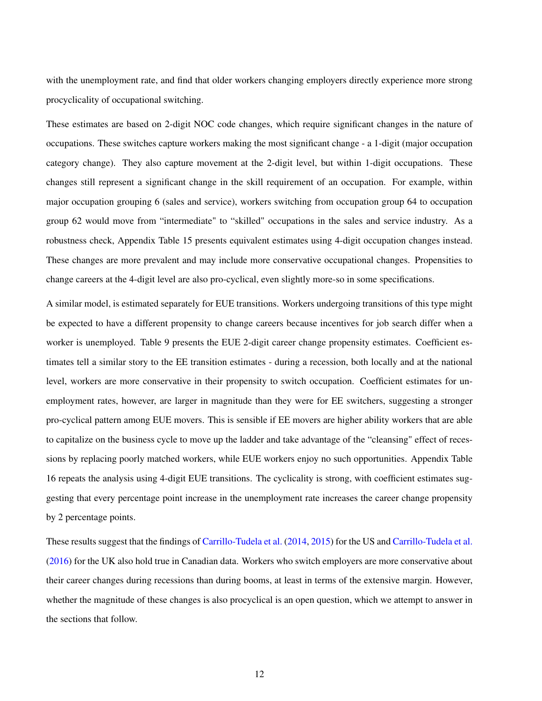with the unemployment rate, and find that older workers changing employers directly experience more strong procyclicality of occupational switching.

These estimates are based on 2-digit NOC code changes, which require significant changes in the nature of occupations. These switches capture workers making the most significant change - a 1-digit (major occupation category change). They also capture movement at the 2-digit level, but within 1-digit occupations. These changes still represent a significant change in the skill requirement of an occupation. For example, within major occupation grouping 6 (sales and service), workers switching from occupation group 64 to occupation group 62 would move from "intermediate" to "skilled" occupations in the sales and service industry. As a robustness check, Appendix Table [15](#page-39-0) presents equivalent estimates using 4-digit occupation changes instead. These changes are more prevalent and may include more conservative occupational changes. Propensities to change careers at the 4-digit level are also pro-cyclical, even slightly more-so in some specifications.

A similar model, is estimated separately for EUE transitions. Workers undergoing transitions of this type might be expected to have a different propensity to change careers because incentives for job search differ when a worker is unemployed. Table [9](#page-33-0) presents the EUE 2-digit career change propensity estimates. Coefficient estimates tell a similar story to the EE transition estimates - during a recession, both locally and at the national level, workers are more conservative in their propensity to switch occupation. Coefficient estimates for unemployment rates, however, are larger in magnitude than they were for EE switchers, suggesting a stronger pro-cyclical pattern among EUE movers. This is sensible if EE movers are higher ability workers that are able to capitalize on the business cycle to move up the ladder and take advantage of the "cleansing" effect of recessions by replacing poorly matched workers, while EUE workers enjoy no such opportunities. Appendix Table [16](#page-40-0) repeats the analysis using 4-digit EUE transitions. The cyclicality is strong, with coefficient estimates suggesting that every percentage point increase in the unemployment rate increases the career change propensity by 2 percentage points.

These results suggest that the findings of [Carrillo-Tudela et al.](#page-21-0) [\(2014,](#page-21-0) [2015\)](#page-21-1) for the US and [Carrillo-Tudela et al.](#page-21-2) [\(2016\)](#page-21-2) for the UK also hold true in Canadian data. Workers who switch employers are more conservative about their career changes during recessions than during booms, at least in terms of the extensive margin. However, whether the magnitude of these changes is also procyclical is an open question, which we attempt to answer in the sections that follow.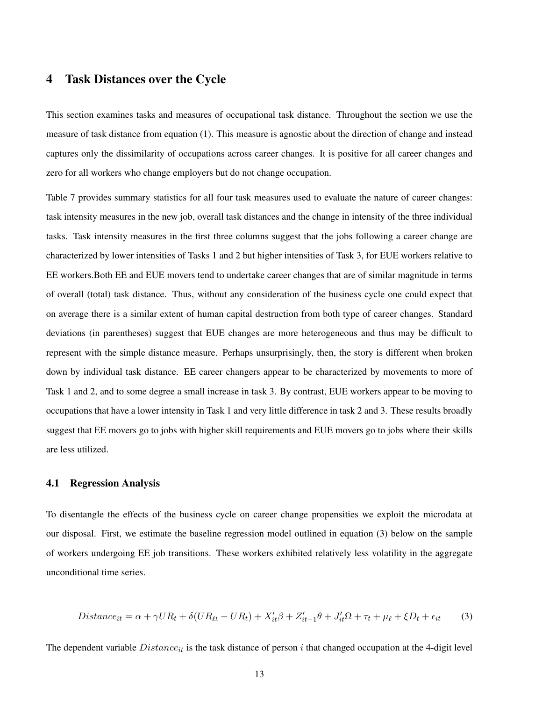## <span id="page-12-0"></span>4 Task Distances over the Cycle

This section examines tasks and measures of occupational task distance. Throughout the section we use the measure of task distance from equation [\(1\)](#page-8-0). This measure is agnostic about the direction of change and instead captures only the dissimilarity of occupations across career changes. It is positive for all career changes and zero for all workers who change employers but do not change occupation.

Table [7](#page-30-0) provides summary statistics for all four task measures used to evaluate the nature of career changes: task intensity measures in the new job, overall task distances and the change in intensity of the three individual tasks. Task intensity measures in the first three columns suggest that the jobs following a career change are characterized by lower intensities of Tasks 1 and 2 but higher intensities of Task 3, for EUE workers relative to EE workers.Both EE and EUE movers tend to undertake career changes that are of similar magnitude in terms of overall (total) task distance. Thus, without any consideration of the business cycle one could expect that on average there is a similar extent of human capital destruction from both type of career changes. Standard deviations (in parentheses) suggest that EUE changes are more heterogeneous and thus may be difficult to represent with the simple distance measure. Perhaps unsurprisingly, then, the story is different when broken down by individual task distance. EE career changers appear to be characterized by movements to more of Task 1 and 2, and to some degree a small increase in task 3. By contrast, EUE workers appear to be moving to occupations that have a lower intensity in Task 1 and very little difference in task 2 and 3. These results broadly suggest that EE movers go to jobs with higher skill requirements and EUE movers go to jobs where their skills are less utilized.

#### 4.1 Regression Analysis

To disentangle the effects of the business cycle on career change propensities we exploit the microdata at our disposal. First, we estimate the baseline regression model outlined in equation [\(3\)](#page-12-1) below on the sample of workers undergoing EE job transitions. These workers exhibited relatively less volatility in the aggregate unconditional time series.

<span id="page-12-1"></span>
$$
Distance_{it} = \alpha + \gamma UR_t + \delta(UR_{\ell t} - UR_t) + X_{it}'\beta + Z_{it-1}'\theta + J_{it}'\Omega + \tau_t + \mu_\ell + \xi D_t + \epsilon_{it}
$$
(3)

The dependent variable  $Distance_{it}$  is the task distance of person i that changed occupation at the 4-digit level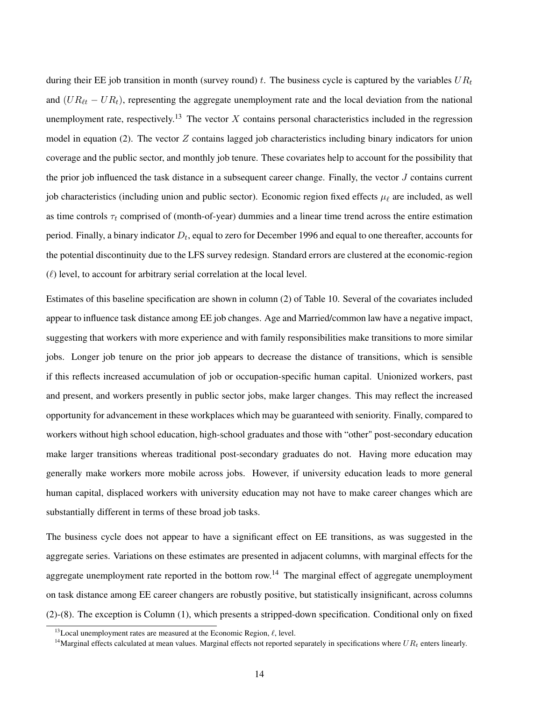during their EE job transition in month (survey round) t. The business cycle is captured by the variables  $UR_t$ and  $(UR_{\ell t} - UR_t)$ , representing the aggregate unemployment rate and the local deviation from the national unemployment rate, respectively.<sup>[13](#page-0-0)</sup> The vector X contains personal characteristics included in the regression model in equation [\(2\)](#page-10-0). The vector  $Z$  contains lagged job characteristics including binary indicators for union coverage and the public sector, and monthly job tenure. These covariates help to account for the possibility that the prior job influenced the task distance in a subsequent career change. Finally, the vector  $J$  contains current job characteristics (including union and public sector). Economic region fixed effects  $\mu_{\ell}$  are included, as well as time controls  $\tau_t$  comprised of (month-of-year) dummies and a linear time trend across the entire estimation period. Finally, a binary indicator  $D_t$ , equal to zero for December 1996 and equal to one thereafter, accounts for the potential discontinuity due to the LFS survey redesign. Standard errors are clustered at the economic-region  $(\ell)$  level, to account for arbitrary serial correlation at the local level.

Estimates of this baseline specification are shown in column (2) of Table [10.](#page-34-0) Several of the covariates included appear to influence task distance among EE job changes. Age and Married/common law have a negative impact, suggesting that workers with more experience and with family responsibilities make transitions to more similar jobs. Longer job tenure on the prior job appears to decrease the distance of transitions, which is sensible if this reflects increased accumulation of job or occupation-specific human capital. Unionized workers, past and present, and workers presently in public sector jobs, make larger changes. This may reflect the increased opportunity for advancement in these workplaces which may be guaranteed with seniority. Finally, compared to workers without high school education, high-school graduates and those with "other" post-secondary education make larger transitions whereas traditional post-secondary graduates do not. Having more education may generally make workers more mobile across jobs. However, if university education leads to more general human capital, displaced workers with university education may not have to make career changes which are substantially different in terms of these broad job tasks.

The business cycle does not appear to have a significant effect on EE transitions, as was suggested in the aggregate series. Variations on these estimates are presented in adjacent columns, with marginal effects for the aggregate unemployment rate reported in the bottom row.<sup>[14](#page-0-0)</sup> The marginal effect of aggregate unemployment on task distance among EE career changers are robustly positive, but statistically insignificant, across columns (2)-(8). The exception is Column (1), which presents a stripped-down specification. Conditional only on fixed

<sup>&</sup>lt;sup>13</sup>Local unemployment rates are measured at the Economic Region,  $\ell$ , level.

<sup>&</sup>lt;sup>14</sup>Marginal effects calculated at mean values. Marginal effects not reported separately in specifications where  $UR_t$  enters linearly.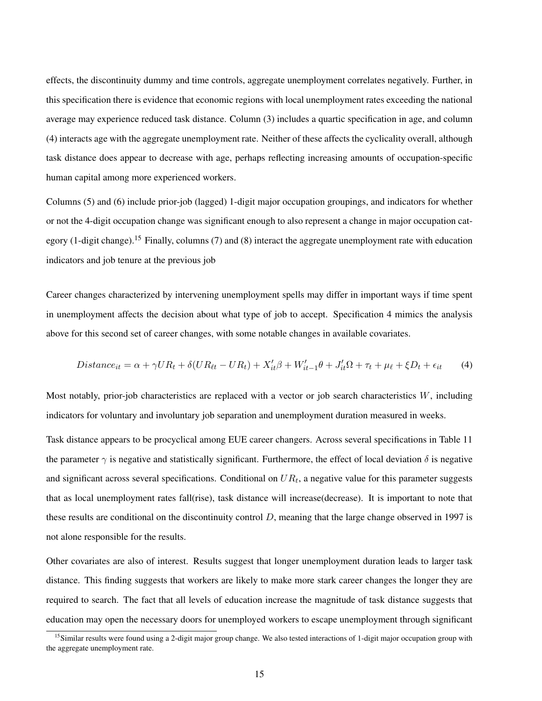effects, the discontinuity dummy and time controls, aggregate unemployment correlates negatively. Further, in this specification there is evidence that economic regions with local unemployment rates exceeding the national average may experience reduced task distance. Column (3) includes a quartic specification in age, and column (4) interacts age with the aggregate unemployment rate. Neither of these affects the cyclicality overall, although task distance does appear to decrease with age, perhaps reflecting increasing amounts of occupation-specific human capital among more experienced workers.

Columns (5) and (6) include prior-job (lagged) 1-digit major occupation groupings, and indicators for whether or not the 4-digit occupation change was significant enough to also represent a change in major occupation category (1-digit change).[15](#page-0-0) Finally, columns (7) and (8) interact the aggregate unemployment rate with education indicators and job tenure at the previous job

Career changes characterized by intervening unemployment spells may differ in important ways if time spent in unemployment affects the decision about what type of job to accept. Specification [4](#page-14-0) mimics the analysis above for this second set of career changes, with some notable changes in available covariates.

<span id="page-14-0"></span>
$$
Distance_{it} = \alpha + \gamma UR_t + \delta(UR_{\ell t} - UR_t) + X_{it}'\beta + W_{it-1}'\theta + J_{it}'\Omega + \tau_t + \mu_\ell + \xi D_t + \epsilon_{it} \tag{4}
$$

Most notably, prior-job characteristics are replaced with a vector or job search characteristics  $W$ , including indicators for voluntary and involuntary job separation and unemployment duration measured in weeks.

Task distance appears to be procyclical among EUE career changers. Across several specifications in Table [11](#page-35-0) the parameter  $\gamma$  is negative and statistically significant. Furthermore, the effect of local deviation  $\delta$  is negative and significant across several specifications. Conditional on  $UR_t$ , a negative value for this parameter suggests that as local unemployment rates fall(rise), task distance will increase(decrease). It is important to note that these results are conditional on the discontinuity control  $D$ , meaning that the large change observed in 1997 is not alone responsible for the results.

Other covariates are also of interest. Results suggest that longer unemployment duration leads to larger task distance. This finding suggests that workers are likely to make more stark career changes the longer they are required to search. The fact that all levels of education increase the magnitude of task distance suggests that education may open the necessary doors for unemployed workers to escape unemployment through significant

<sup>&</sup>lt;sup>15</sup>Similar results were found using a 2-digit major group change. We also tested interactions of 1-digit major occupation group with the aggregate unemployment rate.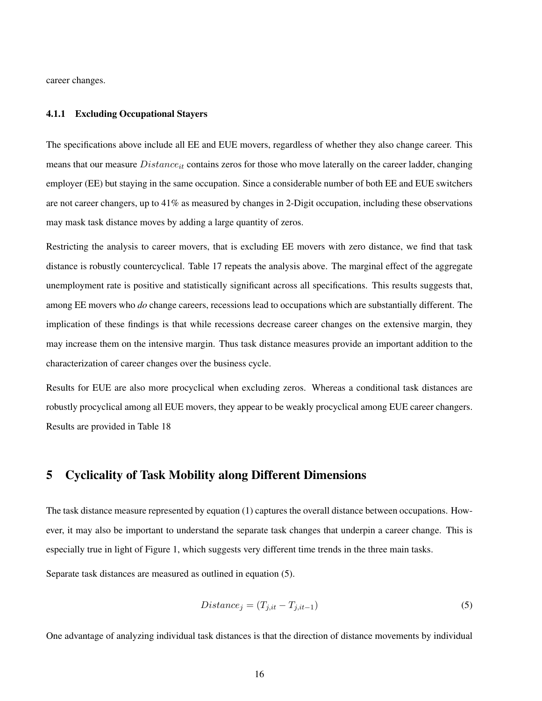career changes.

#### 4.1.1 Excluding Occupational Stayers

The specifications above include all EE and EUE movers, regardless of whether they also change career. This means that our measure  $Distance_{it}$  contains zeros for those who move laterally on the career ladder, changing employer (EE) but staying in the same occupation. Since a considerable number of both EE and EUE switchers are not career changers, up to 41% as measured by changes in 2-Digit occupation, including these observations may mask task distance moves by adding a large quantity of zeros.

Restricting the analysis to career movers, that is excluding EE movers with zero distance, we find that task distance is robustly countercyclical. Table [17](#page-41-0) repeats the analysis above. The marginal effect of the aggregate unemployment rate is positive and statistically significant across all specifications. This results suggests that, among EE movers who *do* change careers, recessions lead to occupations which are substantially different. The implication of these findings is that while recessions decrease career changes on the extensive margin, they may increase them on the intensive margin. Thus task distance measures provide an important addition to the characterization of career changes over the business cycle.

Results for EUE are also more procyclical when excluding zeros. Whereas a conditional task distances are robustly procyclical among all EUE movers, they appear to be weakly procyclical among EUE career changers. Results are provided in Table [18](#page-42-0)

## <span id="page-15-0"></span>5 Cyclicality of Task Mobility along Different Dimensions

The task distance measure represented by equation [\(1\)](#page-8-0) captures the overall distance between occupations. However, it may also be important to understand the separate task changes that underpin a career change. This is especially true in light of Figure [1,](#page-30-1) which suggests very different time trends in the three main tasks.

Separate task distances are measured as outlined in equation [\(5\)](#page-15-1).

<span id="page-15-1"></span>
$$
Distance_j = (T_{j,it} - T_{j,it-1})
$$
\n<sup>(5)</sup>

One advantage of analyzing individual task distances is that the direction of distance movements by individual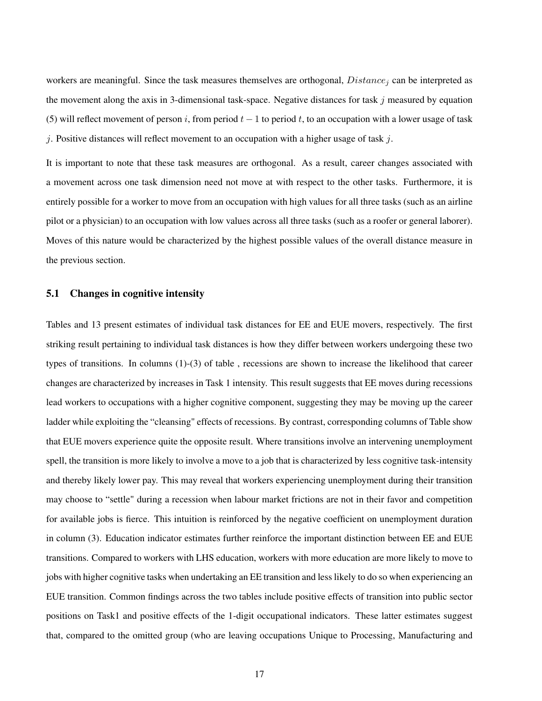workers are meaningful. Since the task measures themselves are orthogonal,  $Distance_i$  can be interpreted as the movement along the axis in 3-dimensional task-space. Negative distances for task  $j$  measured by equation [\(5\)](#page-15-1) will reflect movement of person i, from period  $t - 1$  to period t, to an occupation with a lower usage of task j. Positive distances will reflect movement to an occupation with a higher usage of task j.

It is important to note that these task measures are orthogonal. As a result, career changes associated with a movement across one task dimension need not move at with respect to the other tasks. Furthermore, it is entirely possible for a worker to move from an occupation with high values for all three tasks (such as an airline pilot or a physician) to an occupation with low values across all three tasks (such as a roofer or general laborer). Moves of this nature would be characterized by the highest possible values of the overall distance measure in the previous section.

#### 5.1 Changes in cognitive intensity

Tables and [13](#page-37-0) present estimates of individual task distances for EE and EUE movers, respectively. The first striking result pertaining to individual task distances is how they differ between workers undergoing these two types of transitions. In columns (1)-(3) of table , recessions are shown to increase the likelihood that career changes are characterized by increases in Task 1 intensity. This result suggests that EE moves during recessions lead workers to occupations with a higher cognitive component, suggesting they may be moving up the career ladder while exploiting the "cleansing" effects of recessions. By contrast, corresponding columns of Table show that EUE movers experience quite the opposite result. Where transitions involve an intervening unemployment spell, the transition is more likely to involve a move to a job that is characterized by less cognitive task-intensity and thereby likely lower pay. This may reveal that workers experiencing unemployment during their transition may choose to "settle" during a recession when labour market frictions are not in their favor and competition for available jobs is fierce. This intuition is reinforced by the negative coefficient on unemployment duration in column (3). Education indicator estimates further reinforce the important distinction between EE and EUE transitions. Compared to workers with LHS education, workers with more education are more likely to move to jobs with higher cognitive tasks when undertaking an EE transition and less likely to do so when experiencing an EUE transition. Common findings across the two tables include positive effects of transition into public sector positions on Task1 and positive effects of the 1-digit occupational indicators. These latter estimates suggest that, compared to the omitted group (who are leaving occupations Unique to Processing, Manufacturing and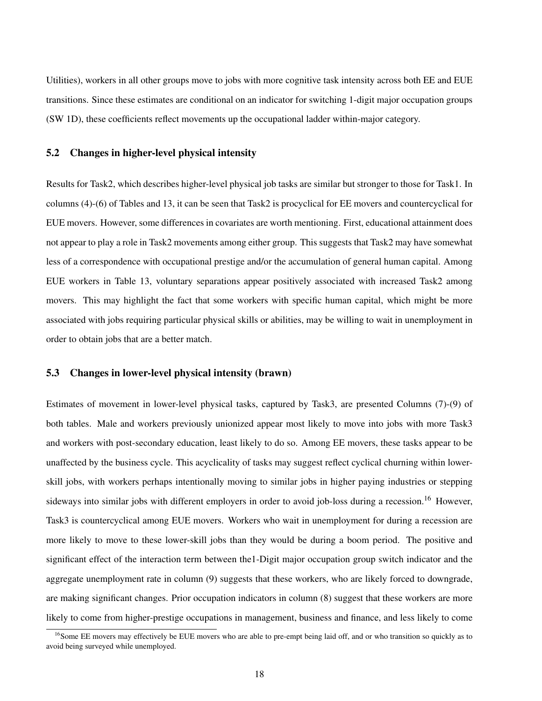Utilities), workers in all other groups move to jobs with more cognitive task intensity across both EE and EUE transitions. Since these estimates are conditional on an indicator for switching 1-digit major occupation groups (SW 1D), these coefficients reflect movements up the occupational ladder within-major category.

#### 5.2 Changes in higher-level physical intensity

Results for Task2, which describes higher-level physical job tasks are similar but stronger to those for Task1. In columns (4)-(6) of Tables and [13,](#page-37-0) it can be seen that Task2 is procyclical for EE movers and countercyclical for EUE movers. However, some differences in covariates are worth mentioning. First, educational attainment does not appear to play a role in Task2 movements among either group. This suggests that Task2 may have somewhat less of a correspondence with occupational prestige and/or the accumulation of general human capital. Among EUE workers in Table [13,](#page-37-0) voluntary separations appear positively associated with increased Task2 among movers. This may highlight the fact that some workers with specific human capital, which might be more associated with jobs requiring particular physical skills or abilities, may be willing to wait in unemployment in order to obtain jobs that are a better match.

#### 5.3 Changes in lower-level physical intensity (brawn)

Estimates of movement in lower-level physical tasks, captured by Task3, are presented Columns (7)-(9) of both tables. Male and workers previously unionized appear most likely to move into jobs with more Task3 and workers with post-secondary education, least likely to do so. Among EE movers, these tasks appear to be unaffected by the business cycle. This acyclicality of tasks may suggest reflect cyclical churning within lowerskill jobs, with workers perhaps intentionally moving to similar jobs in higher paying industries or stepping sideways into similar jobs with different employers in order to avoid job-loss during a recession.<sup>[16](#page-0-0)</sup> However, Task3 is countercyclical among EUE movers. Workers who wait in unemployment for during a recession are more likely to move to these lower-skill jobs than they would be during a boom period. The positive and significant effect of the interaction term between the1-Digit major occupation group switch indicator and the aggregate unemployment rate in column (9) suggests that these workers, who are likely forced to downgrade, are making significant changes. Prior occupation indicators in column (8) suggest that these workers are more likely to come from higher-prestige occupations in management, business and finance, and less likely to come

<sup>&</sup>lt;sup>16</sup>Some EE movers may effectively be EUE movers who are able to pre-empt being laid off, and or who transition so quickly as to avoid being surveyed while unemployed.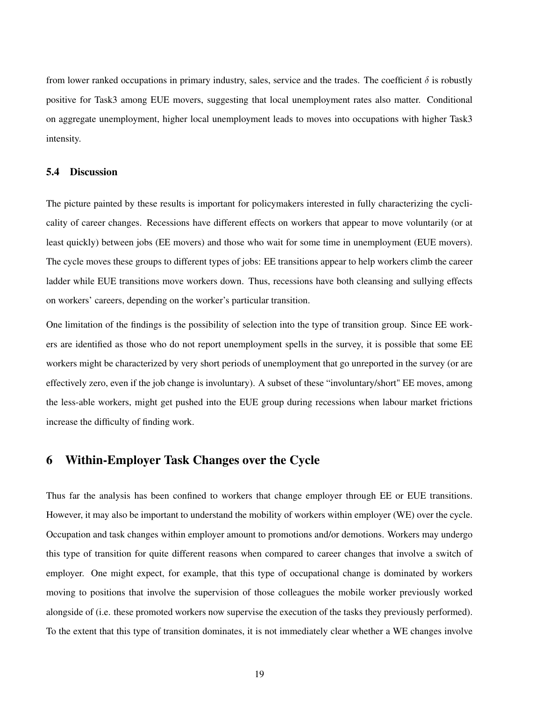from lower ranked occupations in primary industry, sales, service and the trades. The coefficient  $\delta$  is robustly positive for Task3 among EUE movers, suggesting that local unemployment rates also matter. Conditional on aggregate unemployment, higher local unemployment leads to moves into occupations with higher Task3 intensity.

### 5.4 Discussion

The picture painted by these results is important for policymakers interested in fully characterizing the cyclicality of career changes. Recessions have different effects on workers that appear to move voluntarily (or at least quickly) between jobs (EE movers) and those who wait for some time in unemployment (EUE movers). The cycle moves these groups to different types of jobs: EE transitions appear to help workers climb the career ladder while EUE transitions move workers down. Thus, recessions have both cleansing and sullying effects on workers' careers, depending on the worker's particular transition.

One limitation of the findings is the possibility of selection into the type of transition group. Since EE workers are identified as those who do not report unemployment spells in the survey, it is possible that some EE workers might be characterized by very short periods of unemployment that go unreported in the survey (or are effectively zero, even if the job change is involuntary). A subset of these "involuntary/short" EE moves, among the less-able workers, might get pushed into the EUE group during recessions when labour market frictions increase the difficulty of finding work.

## <span id="page-18-0"></span>6 Within-Employer Task Changes over the Cycle

Thus far the analysis has been confined to workers that change employer through EE or EUE transitions. However, it may also be important to understand the mobility of workers within employer (WE) over the cycle. Occupation and task changes within employer amount to promotions and/or demotions. Workers may undergo this type of transition for quite different reasons when compared to career changes that involve a switch of employer. One might expect, for example, that this type of occupational change is dominated by workers moving to positions that involve the supervision of those colleagues the mobile worker previously worked alongside of (i.e. these promoted workers now supervise the execution of the tasks they previously performed). To the extent that this type of transition dominates, it is not immediately clear whether a WE changes involve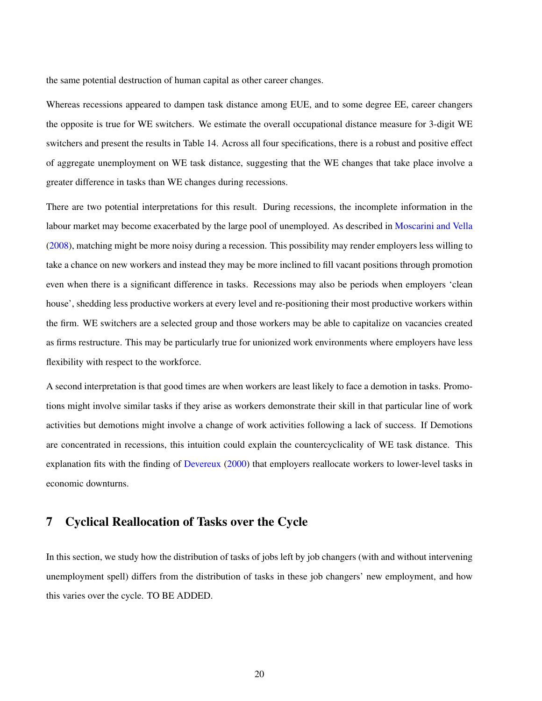the same potential destruction of human capital as other career changes.

Whereas recessions appeared to dampen task distance among EUE, and to some degree EE, career changers the opposite is true for WE switchers. We estimate the overall occupational distance measure for 3-digit WE switchers and present the results in Table [14.](#page-38-0) Across all four specifications, there is a robust and positive effect of aggregate unemployment on WE task distance, suggesting that the WE changes that take place involve a greater difference in tasks than WE changes during recessions.

There are two potential interpretations for this result. During recessions, the incomplete information in the labour market may become exacerbated by the large pool of unemployed. As described in [Moscarini and Vella](#page-23-2) [\(2008\)](#page-23-2), matching might be more noisy during a recession. This possibility may render employers less willing to take a chance on new workers and instead they may be more inclined to fill vacant positions through promotion even when there is a significant difference in tasks. Recessions may also be periods when employers 'clean house', shedding less productive workers at every level and re-positioning their most productive workers within the firm. WE switchers are a selected group and those workers may be able to capitalize on vacancies created as firms restructure. This may be particularly true for unionized work environments where employers have less flexibility with respect to the workforce.

A second interpretation is that good times are when workers are least likely to face a demotion in tasks. Promotions might involve similar tasks if they arise as workers demonstrate their skill in that particular line of work activities but demotions might involve a change of work activities following a lack of success. If Demotions are concentrated in recessions, this intuition could explain the countercyclicality of WE task distance. This explanation fits with the finding of [Devereux](#page-22-5) [\(2000\)](#page-22-5) that employers reallocate workers to lower-level tasks in economic downturns.

## <span id="page-19-0"></span>7 Cyclical Reallocation of Tasks over the Cycle

In this section, we study how the distribution of tasks of jobs left by job changers (with and without intervening unemployment spell) differs from the distribution of tasks in these job changers' new employment, and how this varies over the cycle. TO BE ADDED.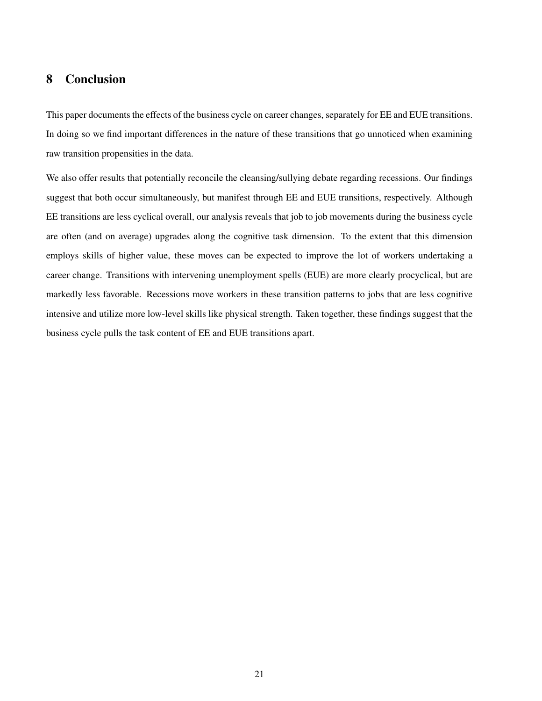# <span id="page-20-0"></span>8 Conclusion

This paper documents the effects of the business cycle on career changes, separately for EE and EUE transitions. In doing so we find important differences in the nature of these transitions that go unnoticed when examining raw transition propensities in the data.

We also offer results that potentially reconcile the cleansing/sullying debate regarding recessions. Our findings suggest that both occur simultaneously, but manifest through EE and EUE transitions, respectively. Although EE transitions are less cyclical overall, our analysis reveals that job to job movements during the business cycle are often (and on average) upgrades along the cognitive task dimension. To the extent that this dimension employs skills of higher value, these moves can be expected to improve the lot of workers undertaking a career change. Transitions with intervening unemployment spells (EUE) are more clearly procyclical, but are markedly less favorable. Recessions move workers in these transition patterns to jobs that are less cognitive intensive and utilize more low-level skills like physical strength. Taken together, these findings suggest that the business cycle pulls the task content of EE and EUE transitions apart.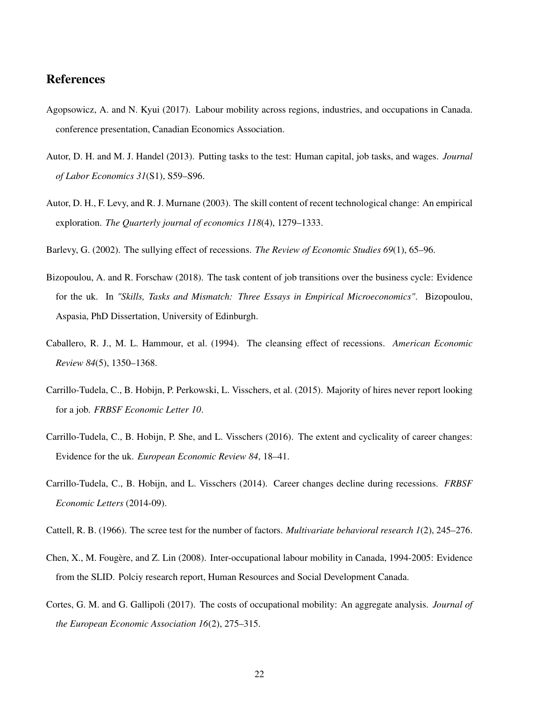### References

- <span id="page-21-9"></span>Agopsowicz, A. and N. Kyui (2017). Labour mobility across regions, industries, and occupations in Canada. conference presentation, Canadian Economics Association.
- <span id="page-21-7"></span>Autor, D. H. and M. J. Handel (2013). Putting tasks to the test: Human capital, job tasks, and wages. *Journal of Labor Economics 31*(S1), S59–S96.
- <span id="page-21-10"></span>Autor, D. H., F. Levy, and R. J. Murnane (2003). The skill content of recent technological change: An empirical exploration. *The Quarterly journal of economics 118*(4), 1279–1333.
- <span id="page-21-6"></span>Barlevy, G. (2002). The sullying effect of recessions. *The Review of Economic Studies 69*(1), 65–96.
- <span id="page-21-4"></span>Bizopoulou, A. and R. Forschaw (2018). The task content of job transitions over the business cycle: Evidence for the uk. In *"Skills, Tasks and Mismatch: Three Essays in Empirical Microeconomics"*. Bizopoulou, Aspasia, PhD Dissertation, University of Edinburgh.
- <span id="page-21-5"></span>Caballero, R. J., M. L. Hammour, et al. (1994). The cleansing effect of recessions. *American Economic Review 84*(5), 1350–1368.
- <span id="page-21-1"></span>Carrillo-Tudela, C., B. Hobijn, P. Perkowski, L. Visschers, et al. (2015). Majority of hires never report looking for a job. *FRBSF Economic Letter 10*.
- <span id="page-21-2"></span>Carrillo-Tudela, C., B. Hobijn, P. She, and L. Visschers (2016). The extent and cyclicality of career changes: Evidence for the uk. *European Economic Review 84*, 18–41.
- <span id="page-21-0"></span>Carrillo-Tudela, C., B. Hobijn, and L. Visschers (2014). Career changes decline during recessions. *FRBSF Economic Letters* (2014-09).
- <span id="page-21-11"></span>Cattell, R. B. (1966). The scree test for the number of factors. *Multivariate behavioral research 1*(2), 245–276.
- <span id="page-21-8"></span>Chen, X., M. Fougère, and Z. Lin (2008). Inter-occupational labour mobility in Canada, 1994-2005: Evidence from the SLID. Polciy research report, Human Resources and Social Development Canada.
- <span id="page-21-3"></span>Cortes, G. M. and G. Gallipoli (2017). The costs of occupational mobility: An aggregate analysis. *Journal of the European Economic Association 16*(2), 275–315.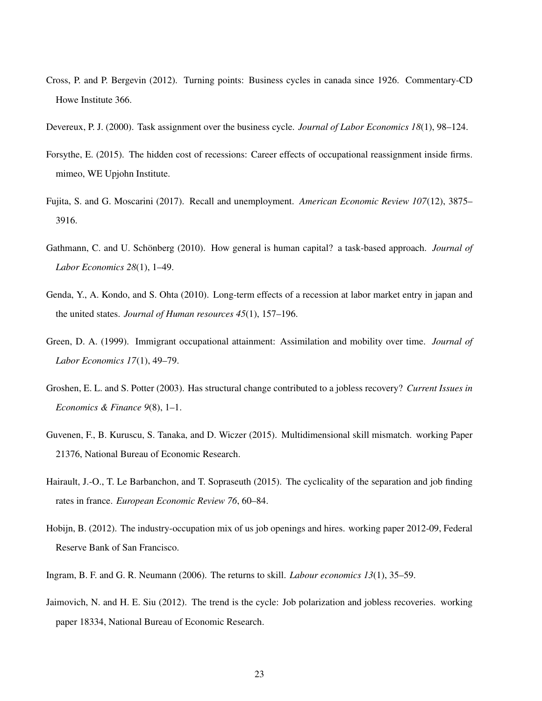- <span id="page-22-12"></span>Cross, P. and P. Bergevin (2012). Turning points: Business cycles in canada since 1926. Commentary-CD Howe Institute 366.
- <span id="page-22-5"></span>Devereux, P. J. (2000). Task assignment over the business cycle. *Journal of Labor Economics 18*(1), 98–124.
- <span id="page-22-6"></span>Forsythe, E. (2015). The hidden cost of recessions: Career effects of occupational reassignment inside firms. mimeo, WE Upjohn Institute.
- <span id="page-22-11"></span>Fujita, S. and G. Moscarini (2017). Recall and unemployment. *American Economic Review 107*(12), 3875– 3916.
- <span id="page-22-1"></span>Gathmann, C. and U. Schönberg (2010). How general is human capital? a task-based approach. *Journal of Labor Economics 28*(1), 1–49.
- <span id="page-22-9"></span>Genda, Y., A. Kondo, and S. Ohta (2010). Long-term effects of a recession at labor market entry in japan and the united states. *Journal of Human resources 45*(1), 157–196.
- <span id="page-22-10"></span>Green, D. A. (1999). Immigrant occupational attainment: Assimilation and mobility over time. *Journal of Labor Economics 17*(1), 49–79.
- <span id="page-22-3"></span>Groshen, E. L. and S. Potter (2003). Has structural change contributed to a jobless recovery? *Current Issues in Economics & Finance 9*(8), 1–1.
- <span id="page-22-7"></span>Guvenen, F., B. Kuruscu, S. Tanaka, and D. Wiczer (2015). Multidimensional skill mismatch. working Paper 21376, National Bureau of Economic Research.
- <span id="page-22-2"></span>Hairault, J.-O., T. Le Barbanchon, and T. Sopraseuth (2015). The cyclicality of the separation and job finding rates in france. *European Economic Review 76*, 60–84.
- <span id="page-22-0"></span>Hobijn, B. (2012). The industry-occupation mix of us job openings and hires. working paper 2012-09, Federal Reserve Bank of San Francisco.
- <span id="page-22-8"></span>Ingram, B. F. and G. R. Neumann (2006). The returns to skill. *Labour economics 13*(1), 35–59.
- <span id="page-22-4"></span>Jaimovich, N. and H. E. Siu (2012). The trend is the cycle: Job polarization and jobless recoveries. working paper 18334, National Bureau of Economic Research.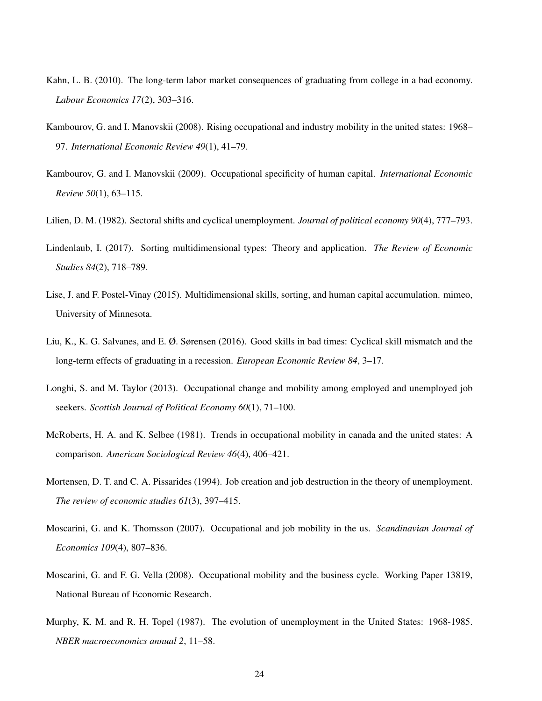- <span id="page-23-11"></span>Kahn, L. B. (2010). The long-term labor market consequences of graduating from college in a bad economy. *Labour Economics 17*(2), 303–316.
- <span id="page-23-3"></span>Kambourov, G. and I. Manovskii (2008). Rising occupational and industry mobility in the united states: 1968– 97. *International Economic Review 49*(1), 41–79.
- <span id="page-23-4"></span>Kambourov, G. and I. Manovskii (2009). Occupational specificity of human capital. *International Economic Review 50*(1), 63–115.
- <span id="page-23-6"></span>Lilien, D. M. (1982). Sectoral shifts and cyclical unemployment. *Journal of political economy 90*(4), 777–793.
- <span id="page-23-10"></span>Lindenlaub, I. (2017). Sorting multidimensional types: Theory and application. *The Review of Economic Studies 84*(2), 718–789.
- <span id="page-23-9"></span>Lise, J. and F. Postel-Vinay (2015). Multidimensional skills, sorting, and human capital accumulation. mimeo, University of Minnesota.
- <span id="page-23-12"></span>Liu, K., K. G. Salvanes, and E. Ø. Sørensen (2016). Good skills in bad times: Cyclical skill mismatch and the long-term effects of graduating in a recession. *European Economic Review 84*, 3–17.
- <span id="page-23-5"></span>Longhi, S. and M. Taylor (2013). Occupational change and mobility among employed and unemployed job seekers. *Scottish Journal of Political Economy 60*(1), 71–100.
- <span id="page-23-8"></span>McRoberts, H. A. and K. Selbee (1981). Trends in occupational mobility in canada and the united states: A comparison. *American Sociological Review 46*(4), 406–421.
- <span id="page-23-7"></span>Mortensen, D. T. and C. A. Pissarides (1994). Job creation and job destruction in the theory of unemployment. *The review of economic studies 61*(3), 397–415.
- <span id="page-23-1"></span>Moscarini, G. and K. Thomsson (2007). Occupational and job mobility in the us. *Scandinavian Journal of Economics 109*(4), 807–836.
- <span id="page-23-2"></span>Moscarini, G. and F. G. Vella (2008). Occupational mobility and the business cycle. Working Paper 13819, National Bureau of Economic Research.
- <span id="page-23-0"></span>Murphy, K. M. and R. H. Topel (1987). The evolution of unemployment in the United States: 1968-1985. *NBER macroeconomics annual 2*, 11–58.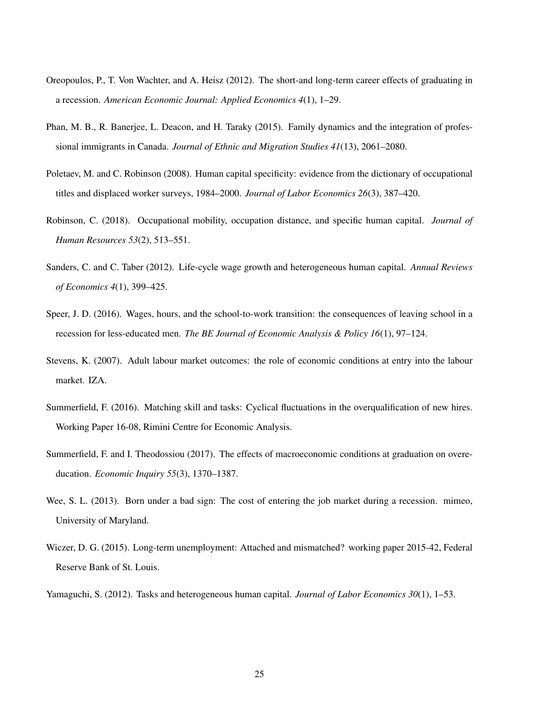- <span id="page-24-7"></span>Oreopoulos, P., T. Von Wachter, and A. Heisz (2012). The short-and long-term career effects of graduating in a recession. *American Economic Journal: Applied Economics 4*(1), 1–29.
- <span id="page-24-11"></span>Phan, M. B., R. Banerjee, L. Deacon, and H. Taraky (2015). Family dynamics and the integration of professional immigrants in Canada. *Journal of Ethnic and Migration Studies 41*(13), 2061–2080.
- <span id="page-24-0"></span>Poletaev, M. and C. Robinson (2008). Human capital specificity: evidence from the dictionary of occupational titles and displaced worker surveys, 1984–2000. *Journal of Labor Economics 26*(3), 387–420.
- <span id="page-24-4"></span>Robinson, C. (2018). Occupational mobility, occupation distance, and specific human capital. *Journal of Human Resources 53*(2), 513–551.
- <span id="page-24-6"></span>Sanders, C. and C. Taber (2012). Life-cycle wage growth and heterogeneous human capital. *Annual Reviews of Economics 4*(1), 399–425.
- <span id="page-24-9"></span>Speer, J. D. (2016). Wages, hours, and the school-to-work transition: the consequences of leaving school in a recession for less-educated men. *The BE Journal of Economic Analysis & Policy 16*(1), 97–124.
- <span id="page-24-8"></span>Stevens, K. (2007). Adult labour market outcomes: the role of economic conditions at entry into the labour market. IZA.
- <span id="page-24-1"></span>Summerfield, F. (2016). Matching skill and tasks: Cyclical fluctuations in the overqualification of new hires. Working Paper 16-08, Rimini Centre for Economic Analysis.
- <span id="page-24-10"></span>Summerfield, F. and I. Theodossiou (2017). The effects of macroeconomic conditions at graduation on overeducation. *Economic Inquiry 55*(3), 1370–1387.
- <span id="page-24-2"></span>Wee, S. L. (2013). Born under a bad sign: The cost of entering the job market during a recession. mimeo, University of Maryland.
- <span id="page-24-3"></span>Wiczer, D. G. (2015). Long-term unemployment: Attached and mismatched? working paper 2015-42, Federal Reserve Bank of St. Louis.
- <span id="page-24-5"></span>Yamaguchi, S. (2012). Tasks and heterogeneous human capital. *Journal of Labor Economics 30*(1), 1–53.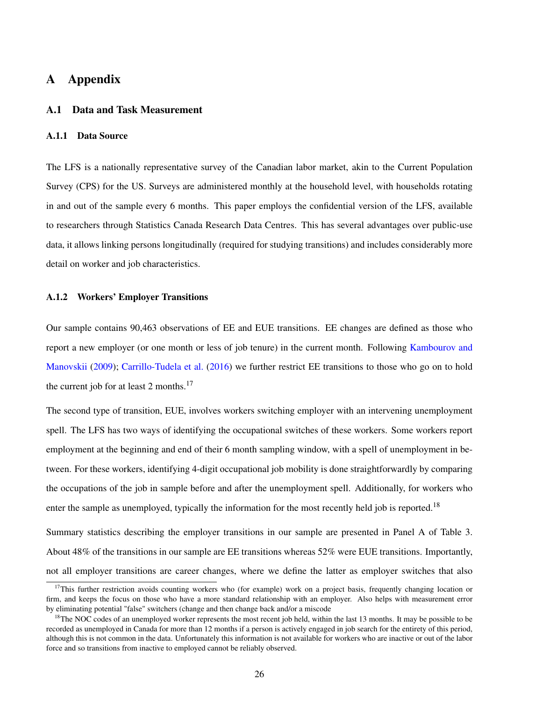# A Appendix

#### A.1 Data and Task Measurement

### A.1.1 Data Source

The LFS is a nationally representative survey of the Canadian labor market, akin to the Current Population Survey (CPS) for the US. Surveys are administered monthly at the household level, with households rotating in and out of the sample every 6 months. This paper employs the confidential version of the LFS, available to researchers through Statistics Canada Research Data Centres. This has several advantages over public-use data, it allows linking persons longitudinally (required for studying transitions) and includes considerably more detail on worker and job characteristics.

#### A.1.2 Workers' Employer Transitions

Our sample contains 90,463 observations of EE and EUE transitions. EE changes are defined as those who report a new employer (or one month or less of job tenure) in the current month. Following [Kambourov and](#page-23-4) [Manovskii](#page-23-4) [\(2009\)](#page-23-4); [Carrillo-Tudela et al.](#page-21-2) [\(2016\)](#page-21-2) we further restrict EE transitions to those who go on to hold the current job for at least 2 months. $17$ 

The second type of transition, EUE, involves workers switching employer with an intervening unemployment spell. The LFS has two ways of identifying the occupational switches of these workers. Some workers report employment at the beginning and end of their 6 month sampling window, with a spell of unemployment in between. For these workers, identifying 4-digit occupational job mobility is done straightforwardly by comparing the occupations of the job in sample before and after the unemployment spell. Additionally, for workers who enter the sample as unemployed, typically the information for the most recently held job is reported.<sup>[18](#page-0-0)</sup>

Summary statistics describing the employer transitions in our sample are presented in Panel A of Table [3.](#page-26-0) About 48% of the transitions in our sample are EE transitions whereas 52% were EUE transitions. Importantly, not all employer transitions are career changes, where we define the latter as employer switches that also

<sup>&</sup>lt;sup>17</sup>This further restriction avoids counting workers who (for example) work on a project basis, frequently changing location or firm, and keeps the focus on those who have a more standard relationship with an employer. Also helps with measurement error by eliminating potential "false" switchers (change and then change back and/or a miscode

<sup>&</sup>lt;sup>18</sup>The NOC codes of an unemployed worker represents the most recent job held, within the last 13 months. It may be possible to be recorded as unemployed in Canada for more than 12 months if a person is actively engaged in job search for the entirety of this period, although this is not common in the data. Unfortunately this information is not available for workers who are inactive or out of the labor force and so transitions from inactive to employed cannot be reliably observed.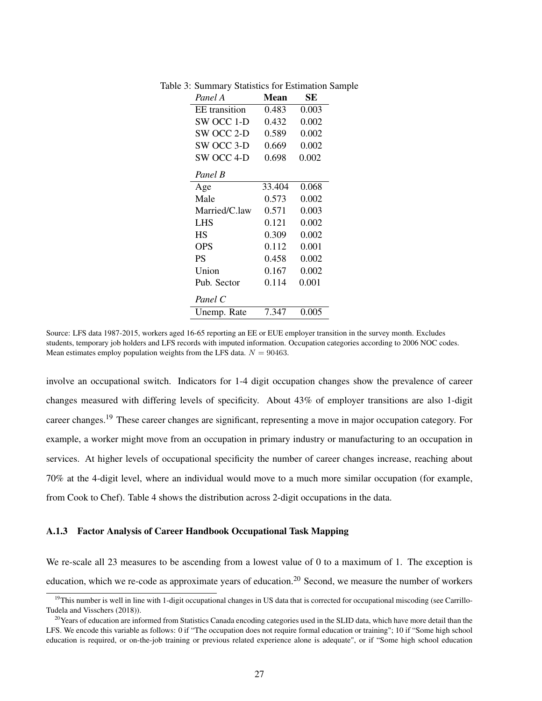<span id="page-26-0"></span>

| Panel A              | Mean   | SЕ    |
|----------------------|--------|-------|
| <b>EE</b> transition | 0.483  | 0.003 |
| SW OCC 1-D           | 0.432  | 0.002 |
| SW OCC 2-D           | 0.589  | 0.002 |
| SW OCC 3-D           | 0.669  | 0.002 |
| SW OCC 4-D           | 0.698  | 0.002 |
| Panel B              |        |       |
| Age                  | 33.404 | 0.068 |
| Male                 | 0.573  | 0.002 |
| Married/C.law        | 0.571  | 0.003 |
| <b>LHS</b>           | 0.121  | 0.002 |
| HS                   | 0.309  | 0.002 |
| <b>OPS</b>           | 0.112  | 0.001 |
| <b>PS</b>            | 0.458  | 0.002 |
| Union                | 0.167  | 0.002 |
| Pub. Sector          | 0.114  | 0.001 |
| Panel C              |        |       |
| Unemp. Rate          | 7.347  | 0.005 |

Table 3: Summary Statistics for Estimation Sample

involve an occupational switch. Indicators for 1-4 digit occupation changes show the prevalence of career changes measured with differing levels of specificity. About 43% of employer transitions are also 1-digit career changes.[19](#page-0-0) These career changes are significant, representing a move in major occupation category. For example, a worker might move from an occupation in primary industry or manufacturing to an occupation in services. At higher levels of occupational specificity the number of career changes increase, reaching about 70% at the 4-digit level, where an individual would move to a much more similar occupation (for example, from Cook to Chef). Table [4](#page-27-0) shows the distribution across 2-digit occupations in the data.

### A.1.3 Factor Analysis of Career Handbook Occupational Task Mapping

We re-scale all 23 measures to be ascending from a lowest value of 0 to a maximum of 1. The exception is education, which we re-code as approximate years of education.<sup>[20](#page-0-0)</sup> Second, we measure the number of workers

Source: LFS data 1987-2015, workers aged 16-65 reporting an EE or EUE employer transition in the survey month. Excludes students, temporary job holders and LFS records with imputed information. Occupation categories according to 2006 NOC codes. Mean estimates employ population weights from the LFS data.  $N = 90463$ .

<sup>&</sup>lt;sup>19</sup>This number is well in line with 1-digit occupational changes in US data that is corrected for occupational miscoding (see Carrillo-Tudela and Visschers (2018)).

 $^{20}$ Years of education are informed from Statistics Canada encoding categories used in the SLID data, which have more detail than the LFS. We encode this variable as follows: 0 if "The occupation does not require formal education or training"; 10 if "Some high school education is required, or on-the-job training or previous related experience alone is adequate", or if "Some high school education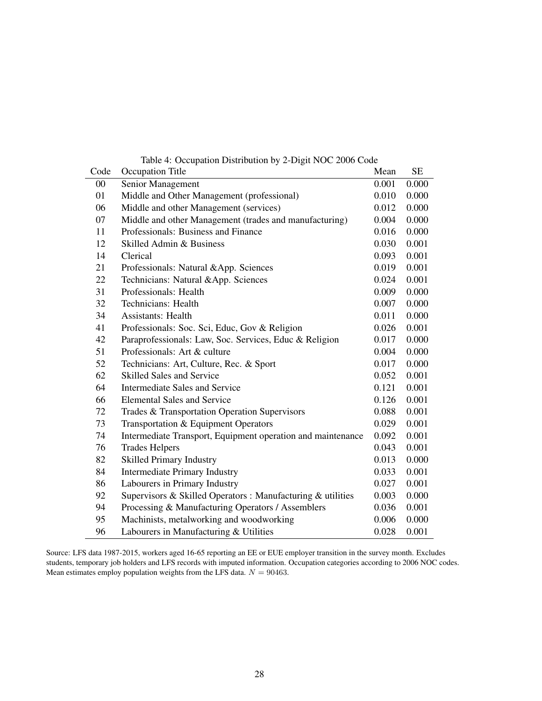| Code | Table 4. Occupation Distribution by 2-Digit FOC 2000 Couc<br>Occupation Title | Mean  | <b>SE</b> |
|------|-------------------------------------------------------------------------------|-------|-----------|
| 00   | Senior Management                                                             | 0.001 | 0.000     |
| 01   | Middle and Other Management (professional)                                    | 0.010 | 0.000     |
| 06   | Middle and other Management (services)                                        | 0.012 | 0.000     |
| 07   | Middle and other Management (trades and manufacturing)                        | 0.004 | 0.000     |
| 11   | Professionals: Business and Finance                                           | 0.016 | 0.000     |
| 12   | Skilled Admin & Business                                                      | 0.030 | 0.001     |
| 14   | Clerical                                                                      | 0.093 | 0.001     |
| 21   | Professionals: Natural &App. Sciences                                         | 0.019 | 0.001     |
| 22   | Technicians: Natural &App. Sciences                                           | 0.024 | 0.001     |
| 31   | Professionals: Health                                                         | 0.009 | 0.000     |
| 32   | Technicians: Health                                                           | 0.007 | 0.000     |
| 34   | <b>Assistants: Health</b>                                                     | 0.011 | 0.000     |
| 41   | Professionals: Soc. Sci, Educ, Gov & Religion                                 | 0.026 | 0.001     |
| 42   | Paraprofessionals: Law, Soc. Services, Educ & Religion                        | 0.017 | 0.000     |
| 51   | Professionals: Art & culture                                                  | 0.004 | 0.000     |
| 52   | Technicians: Art, Culture, Rec. & Sport                                       | 0.017 | 0.000     |
| 62   | <b>Skilled Sales and Service</b>                                              | 0.052 | 0.001     |
| 64   | Intermediate Sales and Service                                                | 0.121 | 0.001     |
| 66   | <b>Elemental Sales and Service</b>                                            | 0.126 | 0.001     |
| 72   | Trades & Transportation Operation Supervisors                                 | 0.088 | 0.001     |
| 73   | Transportation & Equipment Operators                                          | 0.029 | 0.001     |
| 74   | Intermediate Transport, Equipment operation and maintenance                   | 0.092 | 0.001     |
| 76   | <b>Trades Helpers</b>                                                         | 0.043 | 0.001     |
| 82   | <b>Skilled Primary Industry</b>                                               | 0.013 | 0.000     |
| 84   | <b>Intermediate Primary Industry</b>                                          | 0.033 | 0.001     |
| 86   | Labourers in Primary Industry                                                 | 0.027 | 0.001     |
| 92   | Supervisors & Skilled Operators : Manufacturing & utilities                   | 0.003 | 0.000     |
| 94   | Processing & Manufacturing Operators / Assemblers                             | 0.036 | 0.001     |
| 95   | Machinists, metalworking and woodworking                                      | 0.006 | 0.000     |
| 96   | Labourers in Manufacturing & Utilities                                        | 0.028 | 0.001     |

<span id="page-27-0"></span>Table 4: Occupation Distribution by 2-Digit NOC 2006 Code

Source: LFS data 1987-2015, workers aged 16-65 reporting an EE or EUE employer transition in the survey month. Excludes students, temporary job holders and LFS records with imputed information. Occupation categories according to 2006 NOC codes. Mean estimates employ population weights from the LFS data.  $N = 90463$ .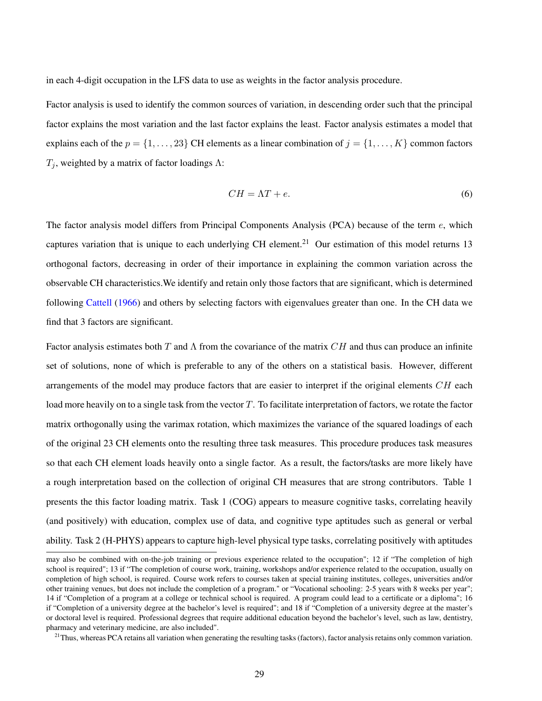in each 4-digit occupation in the LFS data to use as weights in the factor analysis procedure.

Factor analysis is used to identify the common sources of variation, in descending order such that the principal factor explains the most variation and the last factor explains the least. Factor analysis estimates a model that explains each of the  $p = \{1, \ldots, 23\}$  CH elements as a linear combination of  $j = \{1, \ldots, K\}$  common factors  $T_i$ , weighted by a matrix of factor loadings  $\Lambda$ :

$$
CH = \Lambda T + e. \tag{6}
$$

The factor analysis model differs from Principal Components Analysis (PCA) because of the term e, which captures variation that is unique to each underlying CH element.<sup>[21](#page-0-0)</sup> Our estimation of this model returns 13 orthogonal factors, decreasing in order of their importance in explaining the common variation across the observable CH characteristics.We identify and retain only those factors that are significant, which is determined following [Cattell](#page-21-11) [\(1966\)](#page-21-11) and others by selecting factors with eigenvalues greater than one. In the CH data we find that 3 factors are significant.

Factor analysis estimates both T and  $\Lambda$  from the covariance of the matrix  $CH$  and thus can produce an infinite set of solutions, none of which is preferable to any of the others on a statistical basis. However, different arrangements of the model may produce factors that are easier to interpret if the original elements  $CH$  each load more heavily on to a single task from the vector  $T$ . To facilitate interpretation of factors, we rotate the factor matrix orthogonally using the varimax rotation, which maximizes the variance of the squared loadings of each of the original 23 CH elements onto the resulting three task measures. This procedure produces task measures so that each CH element loads heavily onto a single factor. As a result, the factors/tasks are more likely have a rough interpretation based on the collection of original CH measures that are strong contributors. Table [1](#page-6-0) presents the this factor loading matrix. Task 1 (COG) appears to measure cognitive tasks, correlating heavily (and positively) with education, complex use of data, and cognitive type aptitudes such as general or verbal ability. Task 2 (H-PHYS) appears to capture high-level physical type tasks, correlating positively with aptitudes

may also be combined with on-the-job training or previous experience related to the occupation"; 12 if "The completion of high school is required"; 13 if "The completion of course work, training, workshops and/or experience related to the occupation, usually on completion of high school, is required. Course work refers to courses taken at special training institutes, colleges, universities and/or other training venues, but does not include the completion of a program." or "Vocational schooling: 2-5 years with 8 weeks per year"; 14 if "Completion of a program at a college or technical school is required. A program could lead to a certificate or a diploma"; 16 if "Completion of a university degree at the bachelor's level is required"; and 18 if "Completion of a university degree at the master's or doctoral level is required. Professional degrees that require additional education beyond the bachelor's level, such as law, dentistry, pharmacy and veterinary medicine, are also included".

 $^{21}$ Thus, whereas PCA retains all variation when generating the resulting tasks (factors), factor analysis retains only common variation.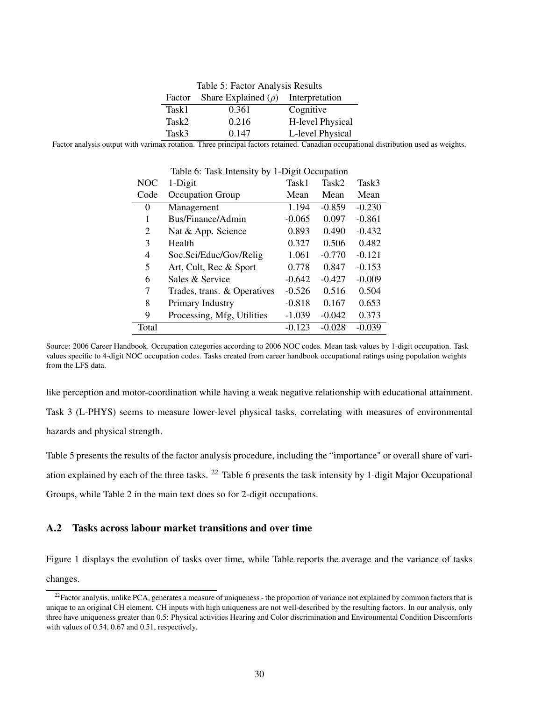<span id="page-29-0"></span>

| Table 5: Factor Analysis Results |                          |                  |  |  |  |  |
|----------------------------------|--------------------------|------------------|--|--|--|--|
| Factor                           | Share Explained $(\rho)$ | Interpretation   |  |  |  |  |
| Task1                            | 0.361                    | Cognitive        |  |  |  |  |
| Task2                            | 0.216                    | H-level Physical |  |  |  |  |
| Task3                            | 0.147                    | L-level Physical |  |  |  |  |

Factor analysis output with varimax rotation. Three principal factors retained. Canadian occupational distribution used as weights.

|       | Table 0. Task Intensity by T-Digit Occupation |          |          |          |
|-------|-----------------------------------------------|----------|----------|----------|
| NOC   | 1-Digit                                       | Task1    | Task2    | Task3    |
| Code  | Occupation Group                              | Mean     | Mean     | Mean     |
| 0     | Management                                    | 1.194    | $-0.859$ | $-0.230$ |
| 1     | Bus/Finance/Admin                             | $-0.065$ | 0.097    | $-0.861$ |
| 2     | Nat & App. Science                            | 0.893    | 0.490    | $-0.432$ |
| 3     | Health                                        | 0.327    | 0.506    | 0.482    |
| 4     | Soc.Sci/Educ/Gov/Relig                        | 1.061    | $-0.770$ | $-0.121$ |
| 5     | Art, Cult, Rec & Sport                        | 0.778    | 0.847    | $-0.153$ |
| 6     | Sales & Service                               | $-0.642$ | $-0.427$ | $-0.009$ |
| 7     | Trades, trans. & Operatives                   | $-0.526$ | 0.516    | 0.504    |
| 8     | Primary Industry                              | $-0.818$ | 0.167    | 0.653    |
| 9     | Processing, Mfg, Utilities                    | $-1.039$ | $-0.042$ | 0.373    |
| Total |                                               | $-0.123$ | $-0.028$ | $-0.039$ |

<span id="page-29-1"></span>Table 6: Task Intensity by 1-Digit Occupation

Source: 2006 Career Handbook. Occupation categories according to 2006 NOC codes. Mean task values by 1-digit occupation. Task values specific to 4-digit NOC occupation codes. Tasks created from career handbook occupational ratings using population weights from the LFS data.

like perception and motor-coordination while having a weak negative relationship with educational attainment. Task 3 (L-PHYS) seems to measure lower-level physical tasks, correlating with measures of environmental hazards and physical strength.

Table [5](#page-29-0) presents the results of the factor analysis procedure, including the "importance" or overall share of variation explained by each of the three tasks. [22](#page-0-0) Table [6](#page-29-1) presents the task intensity by 1-digit Major Occupational Groups, while Table [2](#page-7-0) in the main text does so for 2-digit occupations.

### A.2 Tasks across labour market transitions and over time

Figure [1](#page-30-1) displays the evolution of tasks over time, while Table reports the average and the variance of tasks changes.

 $^{22}$ Factor analysis, unlike PCA, generates a measure of uniqueness - the proportion of variance not explained by common factors that is unique to an original CH element. CH inputs with high uniqueness are not well-described by the resulting factors. In our analysis, only three have uniqueness greater than 0.5: Physical activities Hearing and Color discrimination and Environmental Condition Discomforts with values of 0.54, 0.67 and 0.51, respectively.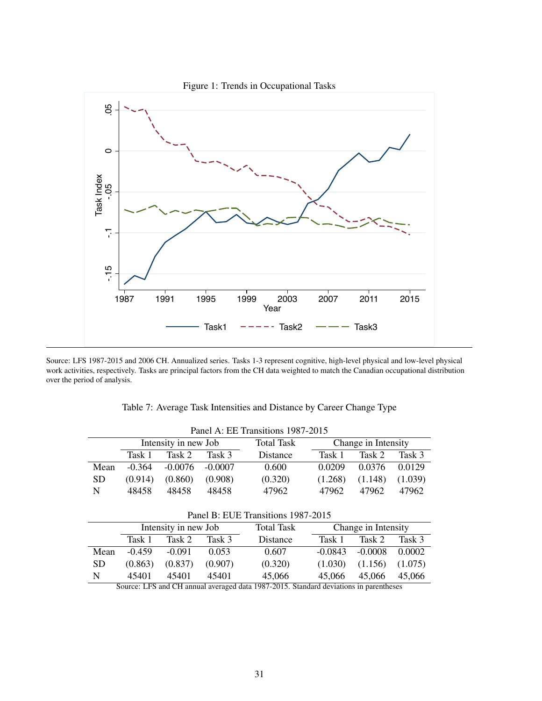<span id="page-30-1"></span>

Source: LFS 1987-2015 and 2006 CH. Annualized series. Tasks 1-3 represent cognitive, high-level physical and low-level physical work activities, respectively. Tasks are principal factors from the CH data weighted to match the Canadian occupational distribution over the period of analysis.

| Panel A: EE Transitions 1987-2015 |                                    |                      |           |                   |         |                     |         |  |  |  |
|-----------------------------------|------------------------------------|----------------------|-----------|-------------------|---------|---------------------|---------|--|--|--|
|                                   |                                    | Intensity in new Job |           | <b>Total Task</b> |         | Change in Intensity |         |  |  |  |
|                                   | Task 1                             | Task 2               | Task 3    | Distance          | Task 1  | Task 2              | Task 3  |  |  |  |
| Mean                              | $-0.364$                           | $-0.0076$            | $-0.0007$ | 0.600             | 0.0209  | 0.0376              | 0.0129  |  |  |  |
| <b>SD</b>                         | (0.914)                            | (0.860)              | (0.908)   | (0.320)           | (1.268) | (1.148)             | (1.039) |  |  |  |
| N                                 | 48458                              | 48458                | 48458     | 47962             | 47962   | 47962               | 47962   |  |  |  |
|                                   | Panel B: EUE Transitions 1987-2015 |                      |           |                   |         |                     |         |  |  |  |
|                                   |                                    | Intensity in new Job |           | <b>Total Task</b> |         | Change in Intensity |         |  |  |  |
|                                   | Task 1                             | Task 2               | Task 3    | Distance          | Task 1  | Task 2              | Task 3  |  |  |  |

<span id="page-30-0"></span>Table 7: Average Task Intensities and Distance by Career Change Type

|  | 45401 45401 45401 | 45.066                                                                                | 45,066 45,066 45,066 |  |
|--|-------------------|---------------------------------------------------------------------------------------|----------------------|--|
|  |                   | Source: LFS and CH annual averaged data 1987-2015. Standard deviations in parentheses |                      |  |

Mean -0.459 -0.091 0.053 0.607 -0.0843 -0.0008 0.0002 SD (0.863) (0.837) (0.907) (0.320) (1.030) (1.156) (1.075)

31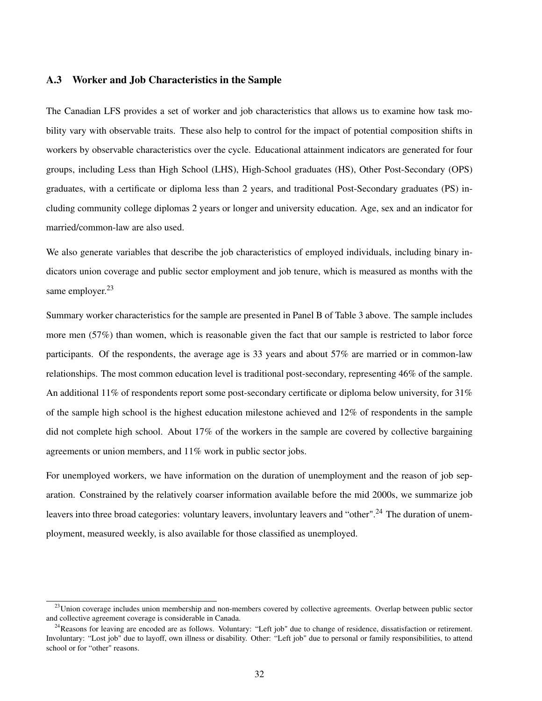### A.3 Worker and Job Characteristics in the Sample

The Canadian LFS provides a set of worker and job characteristics that allows us to examine how task mobility vary with observable traits. These also help to control for the impact of potential composition shifts in workers by observable characteristics over the cycle. Educational attainment indicators are generated for four groups, including Less than High School (LHS), High-School graduates (HS), Other Post-Secondary (OPS) graduates, with a certificate or diploma less than 2 years, and traditional Post-Secondary graduates (PS) including community college diplomas 2 years or longer and university education. Age, sex and an indicator for married/common-law are also used.

We also generate variables that describe the job characteristics of employed individuals, including binary indicators union coverage and public sector employment and job tenure, which is measured as months with the same employer.<sup>[23](#page-0-0)</sup>

Summary worker characteristics for the sample are presented in Panel B of Table [3](#page-26-0) above. The sample includes more men (57%) than women, which is reasonable given the fact that our sample is restricted to labor force participants. Of the respondents, the average age is 33 years and about 57% are married or in common-law relationships. The most common education level is traditional post-secondary, representing 46% of the sample. An additional 11% of respondents report some post-secondary certificate or diploma below university, for 31% of the sample high school is the highest education milestone achieved and 12% of respondents in the sample did not complete high school. About 17% of the workers in the sample are covered by collective bargaining agreements or union members, and 11% work in public sector jobs.

For unemployed workers, we have information on the duration of unemployment and the reason of job separation. Constrained by the relatively coarser information available before the mid 2000s, we summarize job leavers into three broad categories: voluntary leavers, involuntary leavers and "other".<sup>[24](#page-0-0)</sup> The duration of unemployment, measured weekly, is also available for those classified as unemployed.

<sup>&</sup>lt;sup>23</sup>Union coverage includes union membership and non-members covered by collective agreements. Overlap between public sector and collective agreement coverage is considerable in Canada.

 $^{24}$ Reasons for leaving are encoded are as follows. Voluntary: "Left job" due to change of residence, dissatisfaction or retirement. Involuntary: "Lost job" due to layoff, own illness or disability. Other: "Left job" due to personal or family responsibilities, to attend school or for "other" reasons.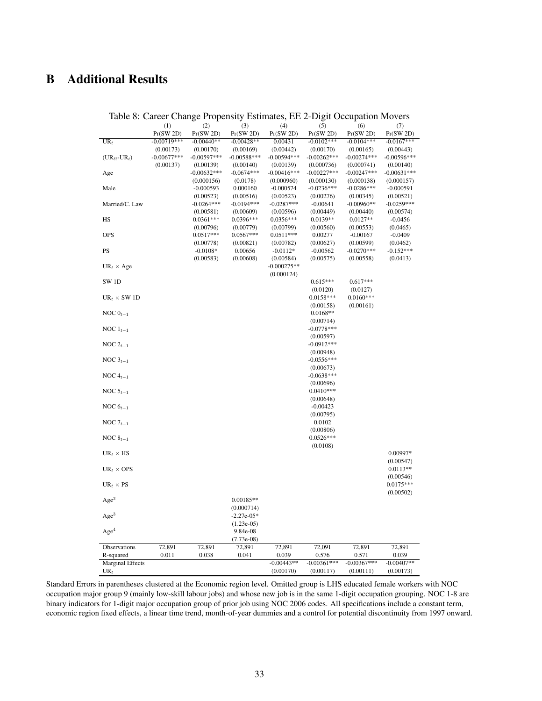# B Additional Results

|                                   |               | radic 6. Carect Change Fropensity Estimates, EE 2-Digit Occupation Movers |               |               |                           |                         |               |
|-----------------------------------|---------------|---------------------------------------------------------------------------|---------------|---------------|---------------------------|-------------------------|---------------|
|                                   | (1)           | (2)                                                                       | (3)           | (4)           | (5)                       | (6)                     | (7)           |
|                                   | Pr(SW 2D)     | Pr(SW 2D)                                                                 | Pr(SW 2D)     | Pr(SW 2D)     | Pr(SW 2D)                 | Pr(SW 2D)               | Pr(SW 2D)     |
| $UR_t$                            | $-0.00719***$ | $-0.00440**$                                                              | $-0.00428**$  | 0.00431       | $-0.0102***$              | $-0.0104***$            | $-0.0167***$  |
|                                   | (0.00173)     | (0.00170)                                                                 | (0.00169)     | (0.00442)     | (0.00170)                 | (0.00165)               | (0.00443)     |
| $(UR_{\ell t}$ -UR <sub>t</sub> ) | $-0.00677***$ | $-0.00597***$                                                             | $-0.00588***$ | $-0.00594***$ | $-0.00262***$             | $-0.00274***$           | $-0.00596***$ |
|                                   | (0.00137)     | (0.00139)                                                                 | (0.00140)     | (0.00139)     | (0.000736)                | (0.000741)              | (0.00140)     |
| Age                               |               | $-0.00632***$                                                             | $-0.0674***$  | $-0.00416***$ | $-0.00227***$             | $-0.00247***$           | $-0.00631***$ |
|                                   |               | (0.000156)                                                                | (0.0178)      | (0.000960)    | (0.000130)                | (0.000138)              | (0.000157)    |
| Male                              |               | $-0.000593$                                                               | 0.000160      | $-0.000574$   | $-0.0236***$              | $-0.0286***$            | $-0.000591$   |
|                                   |               | (0.00523)                                                                 | (0.00516)     | (0.00523)     | (0.00276)                 | (0.00345)               | (0.00521)     |
| Married/C. Law                    |               | $-0.0264***$                                                              | $-0.0194***$  | $-0.0287***$  | $-0.00641$                | $-0.00960**$            | $-0.0259***$  |
|                                   |               | (0.00581)                                                                 | (0.00609)     | (0.00596)     | (0.00449)                 | (0.00440)               | (0.00574)     |
| HS                                |               | $0.0361***$                                                               | 0.0396***     | $0.0356***$   | $0.0139**$                | $0.0127**$              | $-0.0456$     |
|                                   |               | (0.00796)                                                                 | (0.00779)     | (0.00799)     | (0.00560)                 | (0.00553)               | (0.0465)      |
| <b>OPS</b>                        |               | $0.0517***$                                                               | $0.0567***$   | $0.0511***$   | 0.00277                   | $-0.00167$              | $-0.0409$     |
|                                   |               | (0.00778)                                                                 | (0.00821)     | (0.00782)     | (0.00627)                 | (0.00599)               | (0.0462)      |
| PS                                |               | $-0.0108*$                                                                | 0.00656       | $-0.0112*$    | $-0.00562$                | $-0.0270***$            | $-0.152***$   |
|                                   |               | (0.00583)                                                                 | (0.00608)     | (0.00584)     | (0.00575)                 | (0.00558)               | (0.0413)      |
| $UR_t \times Age$                 |               |                                                                           |               | $-0.000275**$ |                           |                         |               |
|                                   |               |                                                                           |               | (0.000124)    |                           |                         |               |
| SW <sub>1D</sub>                  |               |                                                                           |               |               | $0.615***$                | $0.617***$              |               |
|                                   |               |                                                                           |               |               | (0.0120)                  | (0.0127)<br>$0.0160***$ |               |
| $UR_t \times SW1D$                |               |                                                                           |               |               | $0.0158***$               |                         |               |
|                                   |               |                                                                           |               |               | (0.00158)<br>$0.0168**$   | (0.00161)               |               |
| NOC $0_{t-1}$                     |               |                                                                           |               |               | (0.00714)                 |                         |               |
|                                   |               |                                                                           |               |               | $-0.0778***$              |                         |               |
| NOC $1_{t-1}$                     |               |                                                                           |               |               | (0.00597)                 |                         |               |
|                                   |               |                                                                           |               |               | $-0.0912***$              |                         |               |
| NOC $2_{t-1}$                     |               |                                                                           |               |               |                           |                         |               |
|                                   |               |                                                                           |               |               | (0.00948)<br>$-0.0556***$ |                         |               |
| NOC $3_{t-1}$                     |               |                                                                           |               |               | (0.00673)                 |                         |               |
| NOC $4_{t-1}$                     |               |                                                                           |               |               | $-0.0638***$              |                         |               |
|                                   |               |                                                                           |               |               | (0.00696)                 |                         |               |
| NOC $5_{t-1}$                     |               |                                                                           |               |               | $0.0410***$               |                         |               |
|                                   |               |                                                                           |               |               | (0.00648)                 |                         |               |
| NOC $6_{t-1}$                     |               |                                                                           |               |               | $-0.00423$                |                         |               |
|                                   |               |                                                                           |               |               | (0.00795)                 |                         |               |
| NOC $7_{t-1}$                     |               |                                                                           |               |               | 0.0102                    |                         |               |
|                                   |               |                                                                           |               |               | (0.00806)                 |                         |               |
| NOC $8_{t-1}$                     |               |                                                                           |               |               | $0.0526***$               |                         |               |
|                                   |               |                                                                           |               |               | (0.0108)                  |                         |               |
| $UR_t \times HS$                  |               |                                                                           |               |               |                           |                         | 0.00997*      |
|                                   |               |                                                                           |               |               |                           |                         | (0.00547)     |
| $UR_t \times OPS$                 |               |                                                                           |               |               |                           |                         | $0.0113**$    |
|                                   |               |                                                                           |               |               |                           |                         | (0.00546)     |
| $UR_t \times PS$                  |               |                                                                           |               |               |                           |                         | $0.0175***$   |
|                                   |               |                                                                           |               |               |                           |                         | (0.00502)     |
| Age <sup>2</sup>                  |               |                                                                           | $0.00185**$   |               |                           |                         |               |
|                                   |               |                                                                           | (0.000714)    |               |                           |                         |               |
| Age <sup>3</sup>                  |               |                                                                           | $-2.27e-05*$  |               |                           |                         |               |
|                                   |               |                                                                           | $(1.23e-05)$  |               |                           |                         |               |
| Age <sup>4</sup>                  |               |                                                                           | 9.84e-08      |               |                           |                         |               |
|                                   |               |                                                                           | $(7.73e-08)$  |               |                           |                         |               |
| Observations                      | 72,891        | 72,891                                                                    | 72,891        | 72,891        | 72,091                    | 72,891                  | 72,891        |
| R-squared                         | 0.011         | 0.038                                                                     | 0.041         | 0.039         | 0.576                     | 0.571                   | 0.039         |
| <b>Marginal Effects</b>           |               |                                                                           |               | $-0.00443**$  | $-0.00361***$             | $-0.00367$ ***          | $-0.00407**$  |
| $UR_t$                            |               |                                                                           |               | (0.00170)     | (0.00117)                 | (0.00111)               | (0.00173)     |
|                                   |               |                                                                           |               |               |                           |                         |               |

<span id="page-32-0"></span>Table 8: Career Change Propensity Estimates, EE 2-Digit Occupation Movers

Standard Errors in parentheses clustered at the Economic region level. Omitted group is LHS educated female workers with NOC occupation major group 9 (mainly low-skill labour jobs) and whose new job is in the same 1-digit occupation grouping. NOC 1-8 are binary indicators for 1-digit major occupation group of prior job using NOC 2006 codes. All specifications include a constant term, economic region fixed effects, a linear time trend, month-of-year dummies and a control for potential discontinuity from 1997 onward.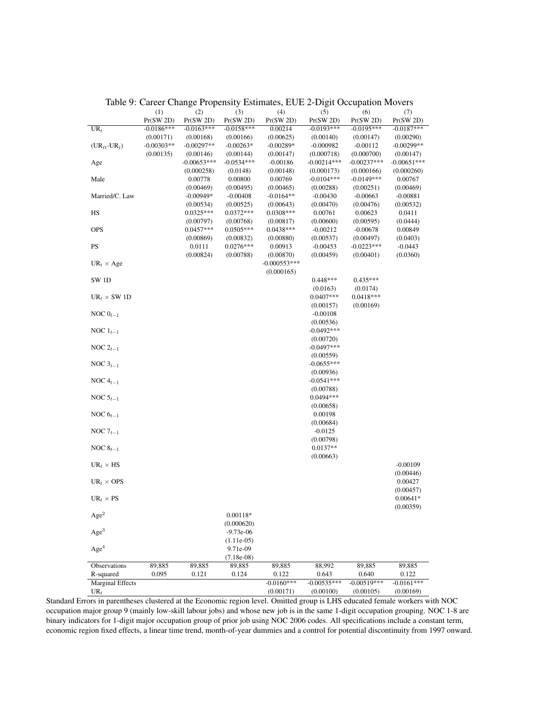|                                   | (1)          | (2)           | (3)           | (4)            | (5)           | (6)           | (7)           |
|-----------------------------------|--------------|---------------|---------------|----------------|---------------|---------------|---------------|
|                                   | Pr(SW 2D)    | Pr(SW 2D)     | Pr(SW 2D)     | Pr(SW 2D)      | Pr(SW 2D)     | Pr(SW 2D)     | Pr(SW 2D)     |
| $UR_t$                            | $-0.0186***$ | $-0.0163***$  | $-0.0158***$  | 0.00214        | $-0.0193***$  | $-0.0195***$  | $-0.0187***$  |
|                                   | (0.00171)    | (0.00168)     | (0.00166)     | (0.00625)      | (0.00140)     | (0.00147)     | (0.00290)     |
| $(UR_{\ell t}$ -UR <sub>t</sub> ) | $-0.00303**$ | $-0.00297**$  | $-0.00263*$   | $-0.00289*$    | $-0.000982$   | $-0.00112$    | $-0.00299**$  |
|                                   | (0.00135)    | (0.00146)     | (0.00144)     | (0.00147)      | (0.000718)    | (0.000700)    | (0.00147)     |
| Age                               |              | $-0.00653***$ | $-0.0534***$  | $-0.00186$     | $-0.00214***$ | $-0.00237***$ | $-0.00651***$ |
|                                   |              | (0.000258)    | (0.0148)      | (0.00148)      | (0.000173)    | (0.000166)    | (0.000260)    |
| Male                              |              | 0.00778       | 0.00800       | 0.00769        | $-0.0104***$  | $-0.0149***$  | 0.00767       |
|                                   |              | (0.00469)     | (0.00495)     | (0.00465)      | (0.00288)     | (0.00251)     | (0.00469)     |
| Married/C. Law                    |              | $-0.00949*$   | $-0.00408$    | $-0.0164**$    | $-0.00430$    | $-0.00663$    | $-0.00881$    |
|                                   |              | (0.00534)     | (0.00525)     | (0.00643)      | (0.00470)     | (0.00476)     | (0.00532)     |
| HS                                |              | $0.0325***$   | $0.0372***$   | 0.0308***      | 0.00761       | 0.00623       | 0.0411        |
|                                   |              | (0.00797)     | (0.00768)     | (0.00817)      | (0.00600)     | (0.00595)     | (0.0444)      |
| <b>OPS</b>                        |              | $0.0457***$   | $0.0505***$   | 0.0438***      | $-0.00212$    | $-0.00678$    | 0.00849       |
|                                   |              | (0.00869)     | (0.00832)     | (0.00880)      | (0.00537)     | (0.00497)     | (0.0403)      |
| PS                                |              | 0.0111        | $0.0276***$   | 0.00913        | $-0.00453$    | $-0.0223***$  | $-0.0443$     |
|                                   |              | (0.00824)     | (0.00788)     | (0.00870)      | (0.00459)     | (0.00401)     | (0.0360)      |
| $UR_t \times Age$                 |              |               |               | $-0.000553***$ |               |               |               |
|                                   |              |               |               | (0.000165)     |               |               |               |
| SW <sub>1D</sub>                  |              |               |               |                | $0.448***$    | $0.435***$    |               |
|                                   |              |               |               |                | (0.0163)      | (0.0174)      |               |
| $UR_t \times SW1D$                |              |               |               |                | $0.0407***$   | $0.0418***$   |               |
|                                   |              |               |               |                | (0.00157)     | (0.00169)     |               |
| NOC $0_{t-1}$                     |              |               |               |                | $-0.00108$    |               |               |
|                                   |              |               |               |                | (0.00536)     |               |               |
| NOC $1_{t-1}$                     |              |               |               |                | $-0.0492***$  |               |               |
|                                   |              |               |               |                | (0.00720)     |               |               |
| NOC $2_{t-1}$                     |              |               |               |                | $-0.0497***$  |               |               |
|                                   |              |               |               |                | (0.00559)     |               |               |
| NOC $3_{t-1}$                     |              |               |               |                | $-0.0655***$  |               |               |
|                                   |              |               |               |                | (0.00936)     |               |               |
| NOC $4_{t-1}$                     |              |               |               |                | $-0.0541***$  |               |               |
|                                   |              |               |               |                | (0.00788)     |               |               |
| NOC $5_{t-1}$                     |              |               |               |                | 0.0494 ***    |               |               |
|                                   |              |               |               |                | (0.00658)     |               |               |
| NOC $6_{t-1}$                     |              |               |               |                | 0.00198       |               |               |
|                                   |              |               |               |                | (0.00684)     |               |               |
| NOC $7_{t-1}$                     |              |               |               |                | $-0.0125$     |               |               |
|                                   |              |               |               |                | (0.00798)     |               |               |
| NOC $8_{t-1}$                     |              |               |               |                | $0.0137**$    |               |               |
|                                   |              |               |               |                | (0.00663)     |               |               |
| $UR_t \times HS$                  |              |               |               |                |               |               | $-0.00109$    |
|                                   |              |               |               |                |               |               | (0.00446)     |
| $UR_t \times OPS$                 |              |               |               |                |               |               | 0.00427       |
|                                   |              |               |               |                |               |               | (0.00457)     |
| $UR_t \times PS$                  |              |               |               |                |               |               | $0.00641*$    |
|                                   |              |               |               |                |               |               | (0.00359)     |
| $\rm{Age^2}$                      |              |               | $0.00118*$    |                |               |               |               |
|                                   |              |               | (0.000620)    |                |               |               |               |
| Age <sup>3</sup>                  |              |               | $-9.73e-06$   |                |               |               |               |
|                                   |              |               | $(1.11e-0.5)$ |                |               |               |               |
| Age <sup>4</sup>                  |              |               | 9.71e-09      |                |               |               |               |
|                                   |              |               | $(7.18e-08)$  |                |               |               |               |
| Observations                      | 89,885       | 89,885        | 89,885        | 89,885         | 88,992        | 89,885        | 89,885        |
| R-squared                         | 0.095        | 0.121         | 0.124         | 0.122          | 0.643         | 0.640         | 0.122         |
| <b>Marginal Effects</b>           |              |               |               | $-0.0160***$   | $-0.00535***$ | $-0.00519***$ | $-0.0161***$  |
| $UR_t$                            |              |               |               | (0.00171)      | (0.00100)     | (0.00105)     | (0.00169)     |

### <span id="page-33-0"></span>Table 9: Career Change Propensity Estimates, EUE 2-Digit Occupation Movers

Standard Errors in parentheses clustered at the Economic region level. Omitted group is LHS educated female workers with NOC occupation major group 9 (mainly low-skill labour jobs) and whose new job is in the same 1-digit occupation grouping. NOC 1-8 are binary indicators for 1-digit major occupation group of prior job using NOC 2006 codes. All specifications include a constant term, economic region fixed effects, a linear time trend, month-of-year dummies and a control for potential discontinuity from 1997 onward.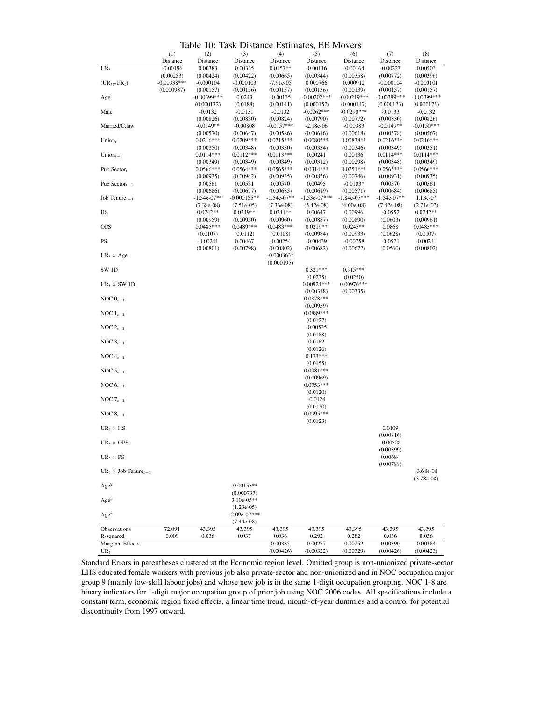<span id="page-34-0"></span>Table 10: Task Distance Estimates, EE Movers

|                                         |               | 10.<br>(2)     | (3)            |               | 130 minutes, 1 | 20 MW          | (7)            | (8)            |
|-----------------------------------------|---------------|----------------|----------------|---------------|----------------|----------------|----------------|----------------|
|                                         | (1)           |                |                | (4)           | (5)            | (6)            |                |                |
|                                         | Distance      | Distance       | Distance       | Distance      | Distance       | Distance       | Distance       | Distance       |
| $UR_t$                                  | $-0.00196$    | 0.00383        | 0.00335        | $0.0157**$    | $-0.00116$     | $-0.00164$     | $-0.00227$     | 0.00503        |
|                                         | (0.00253)     | (0.00424)      | (0.00422)      | (0.00665)     | (0.00344)      | (0.00358)      | (0.00772)      | (0.00396)      |
| $(UR_{\ell t}$ -UR <sub>t</sub> )       | $-0.00338***$ | $-0.000104$    | $-0.000103$    | $-7.91e-05$   | 0.000766       | 0.000912       | $-0.000104$    | $-0.000101$    |
|                                         | (0.000987)    | (0.00157)      | (0.00156)      | (0.00157)     | (0.00136)      | (0.00139)      | (0.00157)      | (0.00157)      |
| Age                                     |               | $-0.00399$ *** | 0.0243         | $-0.00135$    | $-0.00202***$  | $-0.00219***$  | $-0.00399$ *** | $-0.00399$ *** |
|                                         |               | (0.000172)     | (0.0188)       | (0.00141)     | (0.000152)     | (0.000147)     | (0.000173)     | (0.000173)     |
| Male                                    |               | $-0.0132$      | $-0.0131$      | $-0.0132$     | $-0.0262***$   | $-0.0290***$   | $-0.0133$      | $-0.0132$      |
|                                         |               | (0.00826)      | (0.00830)      | (0.00824)     | (0.00790)      | (0.00772)      | (0.00830)      | (0.00826)      |
| Married/C.law                           |               | $-0.0149**$    | $-0.00808$     | $-0.0157***$  | $-2.18e-06$    | $-0.00383$     | $-0.0149**$    | $-0.0150***$   |
|                                         |               | (0.00570)      | (0.00647)      | (0.00586)     | (0.00616)      | (0.00618)      | (0.00578)      | (0.00567)      |
| Union $t$                               |               | $0.0216***$    | $0.0209***$    | $0.0215***$   | $0.00805**$    | 0.00838**      | $0.0216***$    | $0.0216***$    |
|                                         |               | (0.00350)      | (0.00348)      | (0.00350)     | (0.00334)      | (0.00346)      | (0.00349)      | (0.00351)      |
| Union $_{t-1}$                          |               | $0.0114***$    | $0.0112***$    | $0.0113***$   | 0.00241        | 0.00136        | $0.0114***$    | $0.0114***$    |
|                                         |               |                |                |               |                |                |                |                |
|                                         |               | (0.00349)      | (0.00349)      | (0.00349)     | (0.00312)      | (0.00298)      | (0.00348)      | (0.00349)      |
| Pub Sector $t$                          |               | $0.0566***$    | $0.0564***$    | $0.0565***$   | $0.0314***$    | $0.0251***$    | $0.0565***$    | $0.0566***$    |
|                                         |               | (0.00935)      | (0.00942)      | (0.00935)     | (0.00856)      | (0.00746)      | (0.00931)      | (0.00935)      |
| Pub Sector $_{t-1}$                     |               | 0.00561        | 0.00531        | 0.00570       | 0.00495        | $-0.0103*$     | 0.00570        | 0.00561        |
|                                         |               | (0.00686)      | (0.00677)      | (0.00685)     | (0.00619)      | (0.00571)      | (0.00684)      | (0.00685)      |
| Job Tenure $_{t-1}$                     |               | $-1.54e-07**$  | $-0.000155**$  | $-1.54e-07**$ | $-1.53e-07***$ | $-1.84e-07***$ | $-1.54e-07**$  | 1.13e-07       |
|                                         |               | $(7.38e-08)$   | $(7.51e-05)$   | $(7.36e-08)$  | $(5.42e-08)$   | $(6.00e-08)$   | $(7.42e-08)$   | $(2.71e-07)$   |
| HS                                      |               | $0.0242**$     | $0.0249**$     | $0.0241**$    | 0.00647        | 0.00996        | $-0.0552$      | $0.0242**$     |
|                                         |               | (0.00959)      | (0.00950)      | (0.00960)     | (0.00887)      | (0.00890)      | (0.0603)       | (0.00961)      |
| <b>OPS</b>                              |               | $0.0485***$    | 0.0489***      | $0.0483***$   | $0.0219**$     | $0.0245**$     | 0.0868         | $0.0485***$    |
|                                         |               | (0.0107)       | (0.0112)       | (0.0108)      | (0.00984)      | (0.00933)      | (0.0628)       | (0.0107)       |
| PS                                      |               | $-0.00241$     | 0.00467        | $-0.00254$    | $-0.00439$     | $-0.00758$     | $-0.0521$      | $-0.00241$     |
|                                         |               |                |                |               |                |                |                |                |
|                                         |               | (0.00801)      | (0.00798)      | (0.00802)     | (0.00682)      | (0.00672)      | (0.0560)       | (0.00802)      |
| $UR_t \times Age$                       |               |                |                | $-0.000363*$  |                |                |                |                |
|                                         |               |                |                | (0.000195)    |                |                |                |                |
| SW <sub>1D</sub>                        |               |                |                |               | $0.321***$     | $0.315***$     |                |                |
|                                         |               |                |                |               | (0.0235)       | (0.0250)       |                |                |
| $UR_t \times SW 1D$                     |               |                |                |               | 0.00924 ***    | $0.00976***$   |                |                |
|                                         |               |                |                |               | (0.00318)      | (0.00335)      |                |                |
| NOC $0_{t-1}$                           |               |                |                |               | $0.0878***$    |                |                |                |
|                                         |               |                |                |               | (0.00959)      |                |                |                |
| NOC $1_{t-1}$                           |               |                |                |               | 0.0889***      |                |                |                |
|                                         |               |                |                |               | (0.0127)       |                |                |                |
|                                         |               |                |                |               |                |                |                |                |
| NOC $2_{t-1}$                           |               |                |                |               | $-0.00535$     |                |                |                |
|                                         |               |                |                |               | (0.0188)       |                |                |                |
| NOC $3_{t-1}$                           |               |                |                |               | 0.0162         |                |                |                |
|                                         |               |                |                |               | (0.0126)       |                |                |                |
| NOC $4_{t-1}$                           |               |                |                |               | $0.173***$     |                |                |                |
|                                         |               |                |                |               | (0.0155)       |                |                |                |
| NOC $5_{t-1}$                           |               |                |                |               | $0.0981***$    |                |                |                |
|                                         |               |                |                |               | (0.00969)      |                |                |                |
| NOC $6_{t-1}$                           |               |                |                |               | $0.0753***$    |                |                |                |
|                                         |               |                |                |               | (0.0120)       |                |                |                |
| NOC $7_{t-1}$                           |               |                |                |               | $-0.0124$      |                |                |                |
|                                         |               |                |                |               |                |                |                |                |
|                                         |               |                |                |               | (0.0120)       |                |                |                |
| NOC $8_{t-1}$                           |               |                |                |               | 0.0995***      |                |                |                |
|                                         |               |                |                |               | (0.0123)       |                |                |                |
| $UR_t \times HS$                        |               |                |                |               |                |                | 0.0109         |                |
|                                         |               |                |                |               |                |                | (0.00816)      |                |
| $\text{UR}_t \times \text{OPS}$         |               |                |                |               |                |                | $-0.00528$     |                |
|                                         |               |                |                |               |                |                | (0.00899)      |                |
| $UR_t \times PS$                        |               |                |                |               |                |                | 0.00684        |                |
|                                         |               |                |                |               |                |                | (0.00788)      |                |
|                                         |               |                |                |               |                |                |                |                |
| $UR_t \times$ Job Tenure <sub>t-1</sub> |               |                |                |               |                |                |                | $-3.68e-08$    |
|                                         |               |                |                |               |                |                |                | $(3.78e-0.8)$  |
| Age <sup>2</sup>                        |               |                | $-0.00153**$   |               |                |                |                |                |
|                                         |               |                | (0.000737)     |               |                |                |                |                |
| Age <sup>3</sup>                        |               |                | $3.10e-05**$   |               |                |                |                |                |
|                                         |               |                | $(1.23e-05)$   |               |                |                |                |                |
| Age <sup>4</sup>                        |               |                | $-2.09e-07***$ |               |                |                |                |                |
|                                         |               |                | $(7.44e-08)$   |               |                |                |                |                |
| Observations                            | 72,091        | 43,395         | 43,395         | 43,395        | 43,395         | 43,395         | 43,395         | 43,395         |
| R-squared                               | 0.009         | 0.036          | 0.037          | 0.036         | 0.292          | 0.282          | 0.036          | 0.036          |
|                                         |               |                |                |               |                |                |                |                |
| <b>Marginal Effects</b>                 |               |                |                | 0.00385       | 0.00277        | 0.00252        | 0.00390        | 0.00384        |
| $UR_t$                                  |               |                |                | (0.00426)     | (0.00322)      | (0.00329)      | (0.00426)      | (0.00423)      |

Standard Errors in parentheses clustered at the Economic region level. Omitted group is non-unionized private-sector LHS educated female workers with previous job also private-sector and non-unionized and in NOC occupation major group 9 (mainly low-skill labour jobs) and whose new job is in the same 1-digit occupation grouping. NOC 1-8 are binary indicators for 1-digit major occupation group of prior job using NOC 2006 codes. All specifications include a constant term, economic region fixed effects, a linear time trend, month-of-year dummies and a control for potential discontinuity from 1997 onward.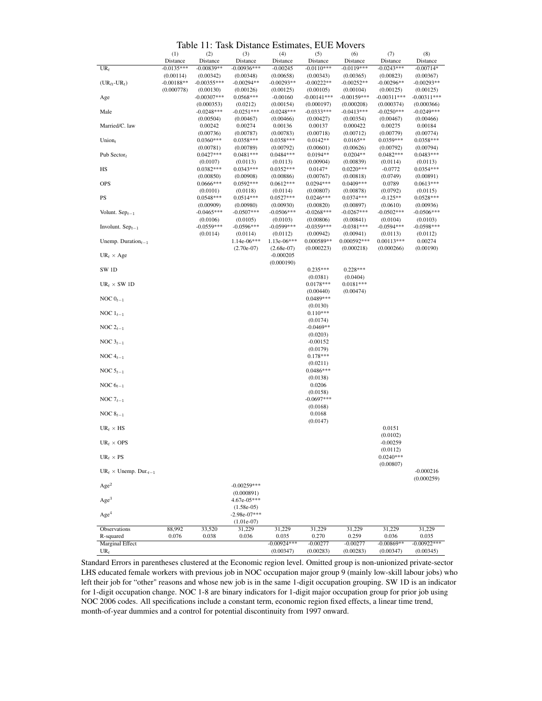<span id="page-35-0"></span>

|                                        | Tubic        | .             | rask Distance Estimates, |               |               | <b>LULL MOVUS</b> |               |               |
|----------------------------------------|--------------|---------------|--------------------------|---------------|---------------|-------------------|---------------|---------------|
|                                        | (1)          | (2)           | (3)                      | (4)           | (5)           | (6)               | (7)           | (8)           |
|                                        | Distance     | Distance      | Distance                 | Distance      | Distance      | Distance          | Distance      | Distance      |
| $UR_t$                                 | $-0.0135***$ | $-0.00839**$  | $-0.00936***$            | $-0.00245$    | $-0.0110***$  | $-0.0119***$      | $-0.0243***$  | $-0.00714*$   |
|                                        | (0.00114)    | (0.00342)     | (0.00348)                | (0.00658)     | (0.00343)     | (0.00365)         | (0.00823)     | (0.00367)     |
| $(UR_{\ell t}$ -UR <sub>t</sub> )      | $-0.00188**$ | $-0.00355***$ | $-0.00294**$             | $-0.00293**$  | $-0.00222**$  | $-0.00252**$      | $-0.00296**$  | $-0.00293**$  |
|                                        | (0.000778)   | (0.00130)     | (0.00126)                | (0.00125)     | (0.00105)     | (0.00104)         | (0.00125)     | (0.00125)     |
|                                        |              |               | $0.0568***$              |               |               |                   |               |               |
| Age                                    |              | $-0.00307***$ |                          | $-0.00160$    | $-0.00141***$ | $-0.00159***$     | $-0.00311***$ | $-0.00311***$ |
|                                        |              | (0.000353)    | (0.0212)                 | (0.00154)     | (0.000197)    | (0.000208)        | (0.000374)    | (0.000366)    |
| Male                                   |              | $-0.0248***$  | $-0.0251***$             | $-0.0248***$  | $-0.0333***$  | $-0.0413***$      | $-0.0250***$  | $-0.0249***$  |
|                                        |              | (0.00504)     | (0.00467)                | (0.00466)     | (0.00427)     | (0.00354)         | (0.00467)     | (0.00466)     |
| Married/C. law                         |              | 0.00242       | 0.00274                  | 0.00136       | 0.00137       | 0.000422          | 0.00275       | 0.00184       |
|                                        |              | (0.00736)     | (0.00787)                | (0.00783)     | (0.00718)     | (0.00712)         | (0.00779)     | (0.00774)     |
|                                        |              | $0.0360***$   |                          | 0.0358***     | $0.0142**$    |                   | $0.0359***$   |               |
| Union $t$                              |              |               | $0.0358***$              |               |               | $0.0165**$        |               | 0.0358***     |
|                                        |              | (0.00781)     | (0.00789)                | (0.00792)     | (0.00601)     | (0.00626)         | (0.00792)     | (0.00794)     |
| Pub Sector <sub>t</sub>                |              | $0.0427***$   | $0.0481***$              | $0.0484***$   | $0.0194**$    | $0.0204**$        | $0.0482***$   | $0.0483***$   |
|                                        |              | (0.0107)      | (0.0113)                 | (0.0113)      | (0.00904)     | (0.00839)         | (0.0114)      | (0.0113)      |
| HS                                     |              | $0.0382***$   | $0.0343***$              | $0.0352***$   | $0.0147*$     | $0.0220***$       | $-0.0772$     | $0.0354***$   |
|                                        |              | (0.00850)     | (0.00908)                | (0.00886)     | (0.00767)     | (0.00818)         | (0.0749)      | (0.00891)     |
| <b>OPS</b>                             |              | 0.0666***     | $0.0592***$              | $0.0612***$   | $0.0294***$   | 0.0409***         | 0.0789        | $0.0613***$   |
|                                        |              |               |                          |               |               |                   |               |               |
|                                        |              | (0.0101)      | (0.0118)                 | (0.0114)      | (0.00807)     | (0.00878)         | (0.0792)      | (0.0115)      |
| PS                                     |              | $0.0548***$   | $0.0514***$              | $0.0527***$   | $0.0246***$   | $0.0374***$       | $-0.125**$    | $0.0528***$   |
|                                        |              | (0.00909)     | (0.00980)                | (0.00930)     | (0.00820)     | (0.00897)         | (0.0610)      | (0.00936)     |
| Volunt. $Sep_{t-1}$                    |              | $-0.0465***$  | $-0.0507***$             | $-0.0506***$  | $-0.0268***$  | $-0.0267***$      | $-0.0502***$  | $-0.0506***$  |
|                                        |              | (0.0106)      | (0.0105)                 | (0.0103)      | (0.00806)     | (0.00841)         | (0.0104)      | (0.0103)      |
|                                        |              | $-0.0559***$  | $-0.0596***$             | $-0.0599***$  | $-0.0359***$  | $-0.0381***$      | $-0.0594***$  | $-0.0598***$  |
| Involunt. $Sep_{t-1}$                  |              |               |                          |               |               |                   |               |               |
|                                        |              | (0.0114)      | (0.0114)                 | (0.0112)      | (0.00942)     | (0.00941)         | (0.0113)      | (0.0112)      |
| Unemp. Duration $_{t-1}$               |              |               | $1.14e-06***$            | $1.13e-06***$ | 0.000589**    | 0.000592 ***      | $0.00113***$  | 0.00274       |
|                                        |              |               | $(2.70e-07)$             | $(2.68e-07)$  | (0.000223)    | (0.000218)        | (0.000266)    | (0.00190)     |
| $UR_t \times Age$                      |              |               |                          | $-0.000205$   |               |                   |               |               |
|                                        |              |               |                          | (0.000190)    |               |                   |               |               |
| SW <sub>1D</sub>                       |              |               |                          |               | $0.235***$    | $0.228***$        |               |               |
|                                        |              |               |                          |               |               |                   |               |               |
|                                        |              |               |                          |               | (0.0381)      | (0.0404)          |               |               |
| $UR_t \times SW1D$                     |              |               |                          |               | $0.0178***$   | $0.0181***$       |               |               |
|                                        |              |               |                          |               | (0.00440)     | (0.00474)         |               |               |
| NOC $0_{t-1}$                          |              |               |                          |               | $0.0489***$   |                   |               |               |
|                                        |              |               |                          |               | (0.0130)      |                   |               |               |
|                                        |              |               |                          |               | $0.110***$    |                   |               |               |
| NOC $1_{t-1}$                          |              |               |                          |               |               |                   |               |               |
|                                        |              |               |                          |               | (0.0174)      |                   |               |               |
| NOC $2_{t-1}$                          |              |               |                          |               | $-0.0469**$   |                   |               |               |
|                                        |              |               |                          |               | (0.0203)      |                   |               |               |
| NOC $3_{t-1}$                          |              |               |                          |               | $-0.00152$    |                   |               |               |
|                                        |              |               |                          |               | (0.0179)      |                   |               |               |
|                                        |              |               |                          |               |               |                   |               |               |
| NOC $4_{t-1}$                          |              |               |                          |               | $0.178***$    |                   |               |               |
|                                        |              |               |                          |               | (0.0211)      |                   |               |               |
| NOC $5_{t-1}$                          |              |               |                          |               | $0.0486***$   |                   |               |               |
|                                        |              |               |                          |               | (0.0138)      |                   |               |               |
| NOC $6_{t-1}$                          |              |               |                          |               | 0.0206        |                   |               |               |
|                                        |              |               |                          |               |               |                   |               |               |
|                                        |              |               |                          |               | (0.0158)      |                   |               |               |
| NOC $7_{t-1}$                          |              |               |                          |               | $-0.0697***$  |                   |               |               |
|                                        |              |               |                          |               | (0.0168)      |                   |               |               |
| NOC $8_{t-1}$                          |              |               |                          |               | 0.0168        |                   |               |               |
|                                        |              |               |                          |               | (0.0147)      |                   |               |               |
| $UR_t \times HS$                       |              |               |                          |               |               |                   | 0.0151        |               |
|                                        |              |               |                          |               |               |                   |               |               |
|                                        |              |               |                          |               |               |                   | (0.0102)      |               |
| $UR_t \times OPS$                      |              |               |                          |               |               |                   | $-0.00259$    |               |
|                                        |              |               |                          |               |               |                   | (0.0112)      |               |
| $UR_t \times PS$                       |              |               |                          |               |               |                   | $0.0240***$   |               |
|                                        |              |               |                          |               |               |                   | (0.00807)     |               |
|                                        |              |               |                          |               |               |                   |               |               |
| $UR_t \times \text{Unemp. Dur.}_{t-1}$ |              |               |                          |               |               |                   |               | $-0.000216$   |
|                                        |              |               |                          |               |               |                   |               | (0.000259)    |
| Age <sup>2</sup>                       |              |               | $-0.00259***$            |               |               |                   |               |               |
|                                        |              |               | (0.000891)               |               |               |                   |               |               |
| Age <sup>3</sup>                       |              |               | 4.67e-05***              |               |               |                   |               |               |
|                                        |              |               |                          |               |               |                   |               |               |
|                                        |              |               | $(1.58e-05)$             |               |               |                   |               |               |
| Age <sup>4</sup>                       |              |               | $-2.98e-07***$           |               |               |                   |               |               |
|                                        |              |               | $(1.01e-07)$             |               |               |                   |               |               |
| Observations                           | 88,992       | 33,520        | 31,229                   | 31,229        | 31,229        | 31,229            | 31,229        | 31,229        |
| R-squared                              | 0.076        | 0.038         | 0.036                    | 0.035         | 0.270         | 0.259             | 0.036         | 0.035         |
| Marginal Effect                        |              |               |                          | $-0.00924***$ |               |                   | $-0.00869**$  | $-0.00922***$ |
|                                        |              |               |                          |               | $-0.00277$    | $-0.00277$        |               |               |
| $UR_t$                                 |              |               |                          | (0.00347)     | (0.00283)     | (0.00283)         | (0.00347)     | (0.00345)     |

Standard Errors in parentheses clustered at the Economic region level. Omitted group is non-unionized private-sector LHS educated female workers with previous job in NOC occupation major group 9 (mainly low-skill labour jobs) who left their job for "other" reasons and whose new job is in the same 1-digit occupation grouping. SW 1D is an indicator for 1-digit occupation change. NOC 1-8 are binary indicators for 1-digit major occupation group for prior job using NOC 2006 codes. All specifications include a constant term, economic region fixed effects, a linear time trend, month-of-year dummies and a control for potential discontinuity from 1997 onward.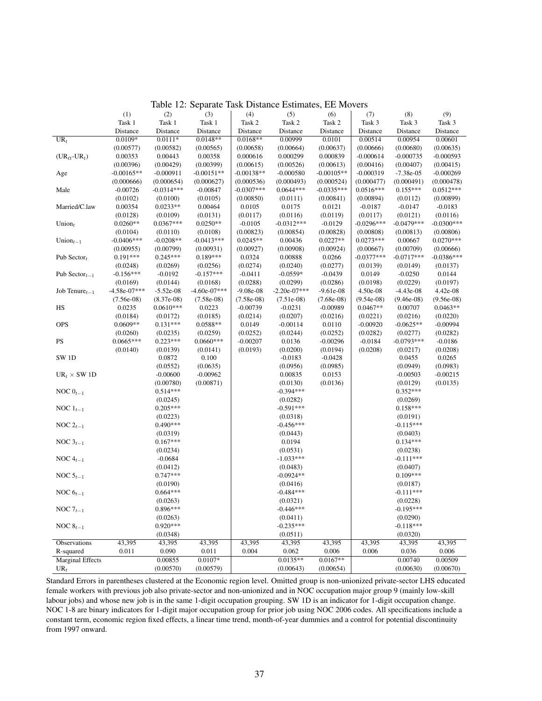|                                   | (1)            | (2)          | (3)            | (4)          | (5)            | (6)          | (7)          | (8)          | (9)          |
|-----------------------------------|----------------|--------------|----------------|--------------|----------------|--------------|--------------|--------------|--------------|
|                                   | Task 1         | Task 1       | Task 1         | Task 2       | Task 2         |              | Task 3       |              | Task 3       |
|                                   |                |              |                |              |                | Task 2       |              | Task 3       |              |
|                                   | Distance       | Distance     | Distance       | Distance     | Distance       | Distance     | Distance     | Distance     | Distance     |
| $UR_t$                            | $0.0109*$      | $0.0111*$    | $0.0148**$     | $0.0168**$   | 0.00999        | 0.0101       | 0.00514      | 0.00954      | 0.00601      |
|                                   | (0.00577)      | (0.00582)    | (0.00565)      | (0.00658)    | (0.00664)      | (0.00637)    | (0.00666)    | (0.00680)    | (0.00635)    |
| $(UR_{\ell t}$ -UR <sub>t</sub> ) | 0.00353        | 0.00443      | 0.00358        | 0.000616     | 0.000299       | 0.000839     | $-0.000614$  | $-0.000735$  | $-0.000593$  |
|                                   | (0.00396)      | (0.00429)    | (0.00399)      | (0.00615)    | (0.00526)      | (0.00613)    | (0.00416)    | (0.00407)    | (0.00415)    |
| Age                               | $-0.00165**$   | $-0.000911$  | $-0.00151**$   | $-0.00138**$ | $-0.000580$    | $-0.00105**$ | $-0.000319$  | $-7.38e-0.5$ | $-0.000269$  |
|                                   | (0.000666)     | (0.000654)   | (0.000627)     | (0.000536)   | (0.000493)     | (0.000524)   | (0.000477)   | (0.000491)   | (0.000478)   |
| Male                              | $-0.00726$     | $-0.0314***$ | $-0.00847$     | $-0.0307***$ | $0.0644***$    | $-0.0335***$ | $0.0516***$  | $0.155***$   | $0.0512***$  |
|                                   | (0.0102)       | (0.0100)     | (0.0105)       | (0.00850)    | (0.0111)       | (0.00841)    | (0.00894)    | (0.0112)     | (0.00899)    |
| Married/C.law                     | 0.00354        | $0.0233**$   | 0.00464        | 0.0105       | 0.0175         | 0.0121       | $-0.0187$    | $-0.0147$    | $-0.0183$    |
|                                   | (0.0128)       | (0.0109)     | (0.0131)       | (0.0117)     | (0.0116)       | (0.0119)     | (0.0117)     | (0.0121)     | (0.0116)     |
| Union $t$                         | $0.0260**$     | $0.0367***$  | $0.0250**$     | $-0.0105$    | $-0.0312***$   | $-0.0129$    | $-0.0296***$ | $-0.0479***$ | $-0.0300***$ |
|                                   | (0.0104)       | (0.0110)     | (0.0108)       | (0.00823)    | (0.00854)      | (0.00828)    | (0.00808)    | (0.00813)    | (0.00806)    |
| Union <sub><math>t-1</math></sub> | $-0.0406***$   | $-0.0208**$  | $-0.0413***$   | $0.0245**$   | 0.00436        | $0.0227**$   | $0.0273***$  | 0.00667      | $0.0270***$  |
|                                   | (0.00955)      | (0.00799)    | (0.00931)      | (0.00927)    | (0.00908)      | (0.00924)    | (0.00667)    | (0.00709)    | (0.00666)    |
|                                   | $0.191***$     | $0.245***$   | $0.189***$     | 0.0324       | 0.00888        | 0.0266       | $-0.0377***$ | $-0.0717***$ | $-0.0386***$ |
| Pub Sector $t$                    |                |              |                |              |                |              |              |              |              |
|                                   | (0.0248)       | (0.0269)     | (0.0256)       | (0.0274)     | (0.0240)       | (0.0277)     | (0.0139)     | (0.0149)     | (0.0137)     |
| Pub Sector <sub>t-1</sub>         | $-0.156***$    | $-0.0192$    | $-0.157***$    | $-0.0411$    | $-0.0559*$     | $-0.0439$    | 0.0149       | $-0.0250$    | 0.0144       |
|                                   | (0.0169)       | (0.0144)     | (0.0168)       | (0.0288)     | (0.0299)       | (0.0286)     | (0.0198)     | (0.0229)     | (0.0197)     |
| Job Tenure $t-1$                  | $-4.58e-07***$ | $-5.52e-08$  | $-4.60e-07***$ | $-9.08e-08$  | $-2.20e-07***$ | $-9.61e-08$  | 4.50e-08     | $-4.43e-08$  | 4.42e-08     |
|                                   | $(7.56e-08)$   | $(8.37e-08)$ | $(7.58e-08)$   | $(7.58e-08)$ | $(7.51e-08)$   | $(7.68e-08)$ | $(9.54e-08)$ | $(9.46e-08)$ | $(9.56e-08)$ |
| $_{\rm HS}$                       | 0.0235         | $0.0610***$  | 0.0223         | $-0.00739$   | $-0.0231$      | $-0.00989$   | $0.0467**$   | 0.00707      | $0.0463**$   |
|                                   | (0.0184)       | (0.0172)     | (0.0185)       | (0.0214)     | (0.0207)       | (0.0216)     | (0.0221)     | (0.0216)     | (0.0220)     |
| <b>OPS</b>                        | $0.0609**$     | $0.131***$   | $0.0588**$     | 0.0149       | $-0.00114$     | 0.0110       | $-0.00920$   | $-0.0625**$  | $-0.00994$   |
|                                   | (0.0260)       | (0.0235)     | (0.0259)       | (0.0252)     | (0.0244)       | (0.0252)     | (0.0282)     | (0.0277)     | (0.0282)     |
| $\mathbf{P}\mathbf{S}$            | $0.0665***$    | $0.223***$   | $0.0660***$    | $-0.00207$   | 0.0136         | $-0.00296$   | $-0.0184$    | $-0.0793***$ | $-0.0186$    |
|                                   | (0.0140)       | (0.0139)     | (0.0141)       | (0.0193)     | (0.0200)       | (0.0194)     | (0.0208)     | (0.0217)     | (0.0208)     |
| SW <sub>1D</sub>                  |                | 0.0872       | 0.100          |              | $-0.0183$      | $-0.0428$    |              | 0.0455       | 0.0265       |
|                                   |                | (0.0552)     | (0.0635)       |              | (0.0956)       | (0.0985)     |              | (0.0949)     | (0.0983)     |
| $UR_t \times SW1D$                |                | $-0.00600$   | $-0.00962$     |              | 0.00835        | 0.0153       |              | $-0.00503$   | $-0.00215$   |
|                                   |                | (0.00780)    | (0.00871)      |              | (0.0130)       | (0.0136)     |              | (0.0129)     | (0.0135)     |
| NOC $0_{t-1}$                     |                | $0.514***$   |                |              | $-0.394***$    |              |              | $0.352***$   |              |
|                                   |                |              |                |              |                |              |              |              |              |
|                                   |                | (0.0245)     |                |              | (0.0282)       |              |              | (0.0269)     |              |
| NOC $1_{t-1}$                     |                | $0.205***$   |                |              | $-0.591***$    |              |              | $0.158***$   |              |
|                                   |                | (0.0223)     |                |              | (0.0318)       |              |              | (0.0191)     |              |
| NOC $2_{t-1}$                     |                | $0.490***$   |                |              | $-0.456***$    |              |              | $-0.115***$  |              |
|                                   |                | (0.0319)     |                |              | (0.0443)       |              |              | (0.0403)     |              |
| NOC $3_{t-1}$                     |                | $0.167***$   |                |              | 0.0194         |              |              | $0.134***$   |              |
|                                   |                | (0.0234)     |                |              | (0.0531)       |              |              | (0.0238)     |              |
| NOC $4_{t-1}$                     |                | $-0.0684$    |                |              | $-1.033***$    |              |              | $-0.111***$  |              |
|                                   |                | (0.0412)     |                |              | (0.0483)       |              |              | (0.0407)     |              |
| NOC $5_{t-1}$                     |                | $0.747***$   |                |              | $-0.0924**$    |              |              | $0.109***$   |              |
|                                   |                | (0.0190)     |                |              | (0.0416)       |              |              | (0.0187)     |              |
| NOC $6_{t-1}$                     |                | $0.664***$   |                |              | $-0.484***$    |              |              | $-0.111***$  |              |
|                                   |                | (0.0263)     |                |              | (0.0321)       |              |              | (0.0228)     |              |
| NOC $7_{t-1}$                     |                | 0.896***     |                |              | $-0.446***$    |              |              | $-0.195***$  |              |
|                                   |                | (0.0263)     |                |              | (0.0411)       |              |              | (0.0290)     |              |
| NOC $8_{t-1}$                     |                | $0.920***$   |                |              | $-0.235***$    |              |              | $-0.118***$  |              |
|                                   |                |              |                |              |                |              |              |              |              |
|                                   |                | (0.0348)     |                |              | (0.0511)       |              |              | (0.0320)     |              |
| Observations                      | 43,395         | 43,395       | 43,395         | 43,395       | 43,395         | 43,395       | 43,395       | 43,395       | 43,395       |
| R-squared                         | 0.011          | 0.090        | 0.011          | 0.004        | 0.062          | 0.006        | 0.006        | 0.036        | 0.006        |
| <b>Marginal Effects</b>           |                | 0.00855      | $0.0107*$      |              | $0.0135**$     | $0.0167**$   |              | 0.00740      | 0.00509      |
| $UR_t$                            |                | (0.00570)    | (0.00579)      |              | (0.00643)      | (0.00654)    |              | (0.00630)    | (0.00670)    |

Table 12: Separate Task Distance Estimates, EE Movers

Standard Errors in parentheses clustered at the Economic region level. Omitted group is non-unionized private-sector LHS educated female workers with previous job also private-sector and non-unionized and in NOC occupation major group 9 (mainly low-skill labour jobs) and whose new job is in the same 1-digit occupation grouping. SW 1D is an indicator for 1-digit occupation change. NOC 1-8 are binary indicators for 1-digit major occupation group for prior job using NOC 2006 codes. All specifications include a constant term, economic region fixed effects, a linear time trend, month-of-year dummies and a control for potential discontinuity from 1997 onward.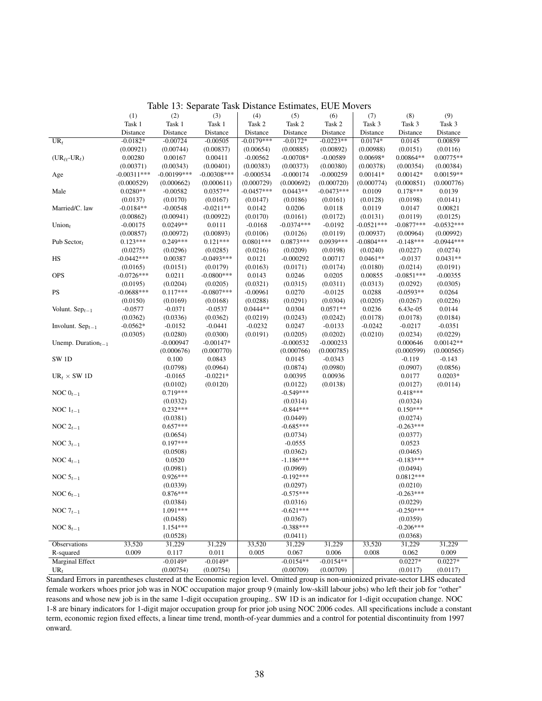|                                   | (1)           | (2)                    | (3)           | (4)          | (5)                     | (6)          | (7)          | (8)                     | (9)          |
|-----------------------------------|---------------|------------------------|---------------|--------------|-------------------------|--------------|--------------|-------------------------|--------------|
|                                   | Task 1        | Task 1                 | Task 1        | Task 2       | Task 2                  | Task 2       | Task 3       | Task 3                  | Task 3       |
|                                   | Distance      | Distance               | Distance      | Distance     | Distance                | Distance     | Distance     | Distance                | Distance     |
| $UR_t$                            | $-0.0182*$    | $-0.00724$             | $-0.00505$    | $-0.0179***$ | $-0.0172*$              | $-0.0223**$  | $0.0174*$    | 0.0145                  | 0.00859      |
|                                   | (0.00921)     | (0.00744)              | (0.00837)     | (0.00654)    | (0.00885)               | (0.00892)    | (0.00988)    | (0.0151)                | (0.0116)     |
| $(UR_{\ell t}$ -UR <sub>t</sub> ) | 0.00280       | 0.00167                | 0.00411       | $-0.00562$   | $-0.00708*$             | $-0.00589$   | 0.00698*     | 0.00864**               | $0.00775**$  |
|                                   | (0.00371)     | (0.00343)              | (0.00401)     | (0.00383)    | (0.00373)               | (0.00380)    | (0.00378)    | (0.00354)               | (0.00384)    |
| Age                               | $-0.00311***$ | $-0.00199$ ***         | $-0.00308***$ | $-0.000534$  | $-0.000174$             | $-0.000259$  | $0.00141*$   | $0.00142*$              | 0.00159**    |
|                                   | (0.000529)    | (0.000662)             | (0.000611)    | (0.000729)   | (0.000692)              | (0.000720)   | (0.000774)   | (0.000851)              | (0.000776)   |
| Male                              | $0.0280**$    | $-0.00582$             | $0.0357**$    | $-0.0457***$ | $0.0443**$              | $-0.0473***$ | 0.0109       | $0.178***$              | 0.0139       |
|                                   | (0.0137)      | (0.0170)               | (0.0167)      | (0.0147)     | (0.0186)                | (0.0161)     | (0.0128)     | (0.0198)                | (0.0141)     |
| Married/C. law                    | $-0.0184**$   | $-0.00548$             | $-0.0211**$   | 0.0142       | 0.0206                  | 0.0118       | 0.0119       | 0.0147                  | 0.00821      |
|                                   | (0.00862)     | (0.00941)              | (0.00922)     | (0.0170)     | (0.0161)                | (0.0172)     | (0.0131)     | (0.0119)                | (0.0125)     |
| Union $t$                         | $-0.00175$    | $0.0249**$             | 0.0111        | $-0.0168$    | $-0.0374***$            | $-0.0192$    | $-0.0521***$ | $-0.0877***$            | $-0.0532***$ |
|                                   | (0.00857)     | (0.00972)              | (0.00893)     | (0.0106)     | (0.0126)                | (0.0119)     | (0.00937)    | (0.00964)               | (0.00992)    |
| Pub Sector $t$                    | $0.123***$    | $0.249***$             | $0.121***$    | $0.0801***$  | $0.0873***$             | 0.0939***    | $-0.0804***$ | $-0.148***$             | $-0.0944***$ |
|                                   | (0.0275)      | (0.0296)               | (0.0285)      | (0.0216)     | (0.0209)                | (0.0198)     | (0.0240)     | (0.0227)                | (0.0274)     |
| HS                                | $-0.0442***$  | 0.00387                | $-0.0493***$  | 0.0121       | $-0.000292$             | 0.00717      | $0.0461**$   | $-0.0137$               | $0.0431**$   |
|                                   | (0.0165)      | (0.0151)               | (0.0179)      | (0.0163)     | (0.0171)                | (0.0174)     | (0.0180)     | (0.0214)                | (0.0191)     |
| <b>OPS</b>                        | $-0.0726***$  | 0.0211                 | $-0.0800***$  | 0.0143       | 0.0246                  | 0.0205       | 0.00855      | $-0.0851***$            | $-0.00355$   |
|                                   | (0.0195)      | (0.0204)               | (0.0205)      | (0.0321)     | (0.0315)                | (0.0311)     | (0.0313)     | (0.0292)                | (0.0305)     |
| PS                                | $-0.0688***$  | $0.117***$             | $-0.0807***$  | $-0.00961$   | 0.0270                  | $-0.0125$    | 0.0288       | $-0.0593**$             | 0.0264       |
|                                   | (0.0150)      | (0.0169)               | (0.0168)      | (0.0288)     | (0.0291)                | (0.0304)     | (0.0205)     | (0.0267)                | (0.0226)     |
| Volunt. $Sep_{t-1}$               | $-0.0577$     | $-0.0371$              | $-0.0537$     | $0.0444**$   | 0.0304                  | $0.0571**$   | 0.0236       | 6.43e-05                | 0.0144       |
|                                   | (0.0362)      | (0.0336)               | (0.0362)      | (0.0219)     | (0.0243)                | (0.0242)     | (0.0178)     | (0.0178)                | (0.0184)     |
| Involunt. $Sep_{t-1}$             | $-0.0562*$    | $-0.0152$              | $-0.0441$     | $-0.0232$    | 0.0247                  | $-0.0133$    | $-0.0242$    | $-0.0217$               | $-0.0351$    |
|                                   | (0.0305)      | (0.0280)               | (0.0300)      | (0.0191)     | (0.0205)                | (0.0202)     | (0.0210)     | (0.0234)                | (0.0229)     |
| Unemp. Duration $_{t-1}$          |               | $-0.000947$            | $-0.00147*$   |              | $-0.000532$             | $-0.000233$  |              | 0.000646                | $0.00142**$  |
|                                   |               | (0.000676)             | (0.000770)    |              | (0.000766)              | (0.000785)   |              | (0.000599)              | (0.000565)   |
| SW <sub>1D</sub>                  |               | 0.100                  | 0.0843        |              | 0.0145                  | $-0.0343$    |              | $-0.119$                | $-0.143$     |
|                                   |               | (0.0798)               | (0.0964)      |              | (0.0874)                | (0.0980)     |              | (0.0907)                | (0.0856)     |
| $UR_t \times SW 1D$               |               | $-0.0165$              | $-0.0221*$    |              | 0.00395                 | 0.00936      |              | 0.0177                  | $0.0203*$    |
|                                   |               | (0.0102)               | (0.0120)      |              | (0.0122)                | (0.0138)     |              |                         | (0.0114)     |
| NOC $0_{t-1}$                     |               | 0.719***               |               |              | $-0.549***$             |              |              | (0.0127)<br>$0.418***$  |              |
|                                   |               | (0.0332)               |               |              | (0.0314)                |              |              | (0.0324)                |              |
| NOC $1_{t-1}$                     |               | $0.232***$             |               |              | $-0.844***$             |              |              | $0.150***$              |              |
|                                   |               | (0.0381)               |               |              | (0.0449)                |              |              | (0.0274)                |              |
| NOC $2_{t-1}$                     |               | $0.657***$             |               |              | $-0.685***$             |              |              | $-0.263***$             |              |
|                                   |               | (0.0654)               |               |              |                         |              |              |                         |              |
| NOC $3_{t-1}$                     |               | $0.197***$             |               |              | (0.0734)<br>$-0.0555$   |              |              | (0.0377)<br>0.0523      |              |
|                                   |               | (0.0508)               |               |              | (0.0362)                |              |              | (0.0465)                |              |
| NOC $4_{t-1}$                     |               | 0.0520                 |               |              | $-1.186***$             |              |              | $-0.183***$             |              |
|                                   |               | (0.0981)               |               |              | (0.0969)                |              |              | (0.0494)                |              |
| NOC $5_{t-1}$                     |               | $0.926***$             |               |              | $-0.192***$             |              |              | $0.0812***$             |              |
|                                   |               |                        |               |              |                         |              |              |                         |              |
|                                   |               | (0.0339)<br>$0.876***$ |               |              | (0.0297)<br>$-0.575***$ |              |              | (0.0210)<br>$-0.263***$ |              |
| NOC $6_{t-1}$                     |               |                        |               |              |                         |              |              |                         |              |
|                                   |               | (0.0384)               |               |              | (0.0316)                |              |              | (0.0229)                |              |
| NOC $7_{t-1}$                     |               | 1.091***               |               |              | $-0.621***$             |              |              | $-0.250***$             |              |
|                                   |               | (0.0458)               |               |              | (0.0367)                |              |              | (0.0359)                |              |
| NOC $8_{t-1}$                     |               | 1.154***               |               |              | $-0.388***$             |              |              | $-0.206***$             |              |
|                                   |               | (0.0528)               |               |              | (0.0411)                |              |              | (0.0368)                |              |
| Observations                      | 33,520        | 31,229                 | 31,229        | 33,520       | 31,229                  | 31,229       | 33,520       | 31,229                  | 31,229       |
| R-squared                         | 0.009         | 0.117                  | 0.011         | 0.005        | 0.067                   | 0.006        | 0.008        | 0.062                   | 0.009        |
| <b>Marginal Effect</b>            |               | $-0.0149*$             | $-0.0149*$    |              | $-0.0154**$             | $-0.0154**$  |              | $0.0227*$               | $0.0227*$    |
| $UR_t$                            |               | (0.00754)              | (0.00754)     |              | (0.00709)               | (0.00709)    |              | (0.0117)                | (0.0117)     |

<span id="page-37-0"></span>Table 13: Separate Task Distance Estimates, EUE Movers

Standard Errors in parentheses clustered at the Economic region level. Omitted group is non-unionized private-sector LHS educated female workers whoes prior job was in NOC occupation major group 9 (mainly low-skill labour jobs) who left their job for "other" reasons and whose new job is in the same 1-digit occupation grouping.. SW 1D is an indicator for 1-digit occupation change. NOC 1-8 are binary indicators for 1-digit major occupation group for prior job using NOC 2006 codes. All specifications include a constant term, economic region fixed effects, a linear time trend, month-of-year dummies and a control for potential discontinuity from 1997 onward.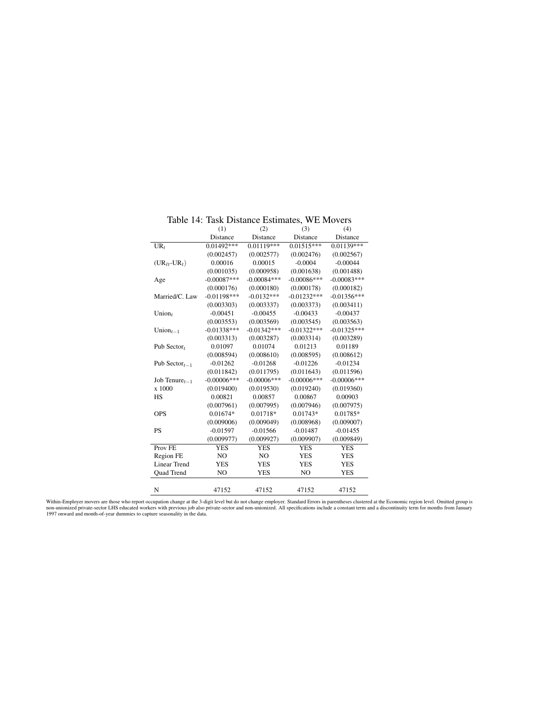|                                        | (1)            | (2)            | (3)                     | (4)            |
|----------------------------------------|----------------|----------------|-------------------------|----------------|
|                                        | Distance       | Distance       | Distance                | Distance       |
| $UR_t$                                 | $0.01492***$   | $0.01119***$   | $0.015\overline{15***}$ | $0.01139***$   |
|                                        | (0.002457)     | (0.002577)     | (0.002476)              | (0.002567)     |
| $(UR_{\ell t}$ -UR <sub>t</sub> )      | 0.00016        | 0.00015        | $-0.0004$               | $-0.00044$     |
|                                        | (0.001035)     | (0.000958)     | (0.001638)              | (0.001488)     |
| Age                                    | $-0.00087***$  | $-0.00084***$  | $-0.00086***$           | $-0.00083***$  |
|                                        | (0.000176)     | (0.000180)     | (0.000178)              | (0.000182)     |
| Married/C. Law                         | $-0.01198***$  | $-0.0132***$   | $-0.01232***$           | $-0.01356***$  |
|                                        | (0.003303)     | (0.003337)     | (0.003373)              | (0.003411)     |
| Union $t$                              | $-0.00451$     | $-0.00455$     | $-0.00433$              | $-0.00437$     |
|                                        | (0.003553)     | (0.003569)     | (0.003545)              | (0.003563)     |
| Union $_{t-1}$                         | $-0.01338***$  | $-0.01342***$  | $-0.01322***$           | $-0.01325***$  |
|                                        | (0.003313)     | (0.003287)     | (0.003314)              | (0.003289)     |
| Pub Sector $t$                         | 0.01097        | 0.01074        | 0.01213                 | 0.01189        |
|                                        | (0.008594)     | (0.008610)     | (0.008595)              | (0.008612)     |
| Pub Sector <sub><math>t-1</math></sub> | $-0.01262$     | $-0.01268$     | $-0.01226$              | $-0.01234$     |
|                                        | (0.011842)     | (0.011795)     | (0.011643)              | (0.011596)     |
| Job Tenure $_{t-1}$                    | $-0.00006$ *** | $-0.00006$ *** | $-0.00006$ ***          | $-0.00006$ *** |
| x 1000                                 | (0.019400)     | (0.019530)     | (0.019240)              | (0.019360)     |
| <b>HS</b>                              | 0.00821        | 0.00857        | 0.00867                 | 0.00903        |
|                                        | (0.007961)     | (0.007995)     | (0.007946)              | (0.007975)     |
| <b>OPS</b>                             | $0.01674*$     | 0.01718*       | $0.01743*$              | 0.01785*       |
|                                        | (0.009006)     | (0.009049)     | (0.008968)              | (0.009007)     |
| <b>PS</b>                              | $-0.01597$     | $-0.01566$     | $-0.01487$              | $-0.01455$     |
|                                        | (0.009977)     | (0.009927)     | (0.009907)              | (0.009849)     |
| Prov <sub>FE</sub>                     | <b>YES</b>     | <b>YES</b>     | <b>YES</b>              | <b>YES</b>     |
| Region FE                              | NO             | NO             | <b>YES</b>              | <b>YES</b>     |
| <b>Linear Trend</b>                    | <b>YES</b>     | <b>YES</b>     | <b>YES</b>              | <b>YES</b>     |
| Quad Trend                             | N <sub>O</sub> | YES            | NO.                     | <b>YES</b>     |
|                                        |                |                |                         |                |
| N                                      | 47152          | 47152          | 47152                   | 47152          |

<span id="page-38-0"></span>Table 14: Task Distance Estimates, WE Movers

Within-Employer movers are those who report occupation change at the 3-digit level but do not change employer. Standard Errors in parentheses clustered at the Economic region level. Omitted group is<br>non-unionized private-s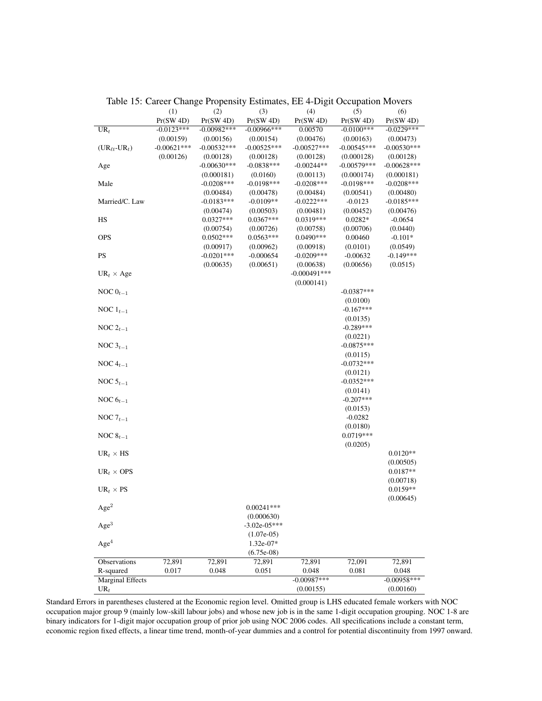|                                   | (1)           | (2)           | (3)            | (4)            | (5)           | (6)           |
|-----------------------------------|---------------|---------------|----------------|----------------|---------------|---------------|
|                                   | Pr(SW 4D)     | Pr(SW 4D)     | Pr(SW 4D)      | Pr(SW 4D)      | Pr(SW 4D)     | Pr(SW 4D)     |
| $UR_t$                            | $-0.0123***$  | $-0.00982***$ | $-0.00966***$  | 0.00570        | $-0.0100***$  | $-0.0229***$  |
|                                   | (0.00159)     | (0.00156)     | (0.00154)      | (0.00476)      | (0.00163)     | (0.00473)     |
| $(UR_{\ell t}$ -UR <sub>t</sub> ) | $-0.00621***$ | $-0.00532***$ | $-0.00525***$  | $-0.00527***$  | $-0.00545***$ | $-0.00530***$ |
|                                   | (0.00126)     | (0.00128)     | (0.00128)      | (0.00128)      | (0.000128)    | (0.00128)     |
| Age                               |               | $-0.00630***$ | $-0.0838***$   | $-0.00244**$   | $-0.00579***$ | $-0.00628***$ |
|                                   |               | (0.000181)    | (0.0160)       | (0.00113)      | (0.000174)    | (0.000181)    |
| Male                              |               | $-0.0208***$  | $-0.0198***$   | $-0.0208***$   | $-0.0198***$  | $-0.0208***$  |
|                                   |               | (0.00484)     | (0.00478)      | (0.00484)      | (0.00541)     | (0.00480)     |
| Married/C. Law                    |               | $-0.0183***$  | $-0.0109**$    | $-0.0222***$   | $-0.0123$     | $-0.0185***$  |
|                                   |               | (0.00474)     | (0.00503)      | (0.00481)      | (0.00452)     | (0.00476)     |
| HS                                |               | $0.0327***$   | $0.0367***$    | 0.0319***      | $0.0282*$     | $-0.0654$     |
|                                   |               | (0.00754)     | (0.00726)      | (0.00758)      | (0.00706)     | (0.0440)      |
| <b>OPS</b>                        |               | $0.0502***$   | $0.0563***$    | $0.0490***$    | 0.00460       | $-0.101*$     |
|                                   |               | (0.00917)     | (0.00962)      | (0.00918)      | (0.0101)      | (0.0549)      |
| <b>PS</b>                         |               | $-0.0201***$  | $-0.000654$    | $-0.0209***$   | $-0.00632$    | $-0.149***$   |
|                                   |               | (0.00635)     | (0.00651)      | (0.00638)      | (0.00656)     | (0.0515)      |
| $UR_t \times Age$                 |               |               |                | $-0.000491***$ |               |               |
|                                   |               |               |                | (0.000141)     |               |               |
| NOC $0_{t-1}$                     |               |               |                |                | $-0.0387***$  |               |
|                                   |               |               |                |                | (0.0100)      |               |
| NOC $1_{t-1}$                     |               |               |                |                | $-0.167***$   |               |
|                                   |               |               |                |                | (0.0135)      |               |
| NOC $2_{t-1}$                     |               |               |                |                | $-0.289***$   |               |
|                                   |               |               |                |                | (0.0221)      |               |
| NOC $3_{t-1}$                     |               |               |                |                | $-0.0875***$  |               |
|                                   |               |               |                |                | (0.0115)      |               |
| NOC $4_{t-1}$                     |               |               |                |                | $-0.0732***$  |               |
|                                   |               |               |                |                | (0.0121)      |               |
| NOC $5_{t-1}$                     |               |               |                |                | $-0.0352***$  |               |
|                                   |               |               |                |                | (0.0141)      |               |
| NOC $6_{t-1}$                     |               |               |                |                | $-0.207***$   |               |
|                                   |               |               |                |                | (0.0153)      |               |
| NOC $7_{t-1}$                     |               |               |                |                | $-0.0282$     |               |
|                                   |               |               |                |                | (0.0180)      |               |
| NOC $8_{t-1}$                     |               |               |                |                | $0.0719***$   |               |
|                                   |               |               |                |                | (0.0205)      |               |
| $UR_t \times HS$                  |               |               |                |                |               | $0.0120**$    |
|                                   |               |               |                |                |               | (0.00505)     |
| $UR_t \times OPS$                 |               |               |                |                |               | $0.0187**$    |
|                                   |               |               |                |                |               | (0.00718)     |
| $UR_t \times PS$                  |               |               |                |                |               | $0.0159**$    |
|                                   |               |               |                |                |               | (0.00645)     |
| $\rm{Age^2}$                      |               |               | $0.00241***$   |                |               |               |
|                                   |               |               | (0.000630)     |                |               |               |
| Age <sup>3</sup>                  |               |               | $-3.02e-05***$ |                |               |               |
|                                   |               |               | $(1.07e-0.5)$  |                |               |               |
| Age <sup>4</sup>                  |               |               | 1.32e-07*      |                |               |               |
|                                   |               |               | $(6.75e-08)$   |                |               |               |
| Observations                      | 72,891        | 72,891        | 72,891         | 72,891         | 72,091        | 72,891        |
| R-squared                         | 0.017         | 0.048         | 0.051          | 0.048          | 0.081         | 0.048         |
| <b>Marginal Effects</b>           |               |               |                | $-0.00987***$  |               | $-0.00958***$ |
| $UR_t$                            |               |               |                | (0.00155)      |               | (0.00160)     |

<span id="page-39-0"></span>Table 15: Career Change Propensity Estimates, EE 4-Digit Occupation Movers

Standard Errors in parentheses clustered at the Economic region level. Omitted group is LHS educated female workers with NOC occupation major group 9 (mainly low-skill labour jobs) and whose new job is in the same 1-digit occupation grouping. NOC 1-8 are binary indicators for 1-digit major occupation group of prior job using NOC 2006 codes. All specifications include a constant term, economic region fixed effects, a linear time trend, month-of-year dummies and a control for potential discontinuity from 1997 onward.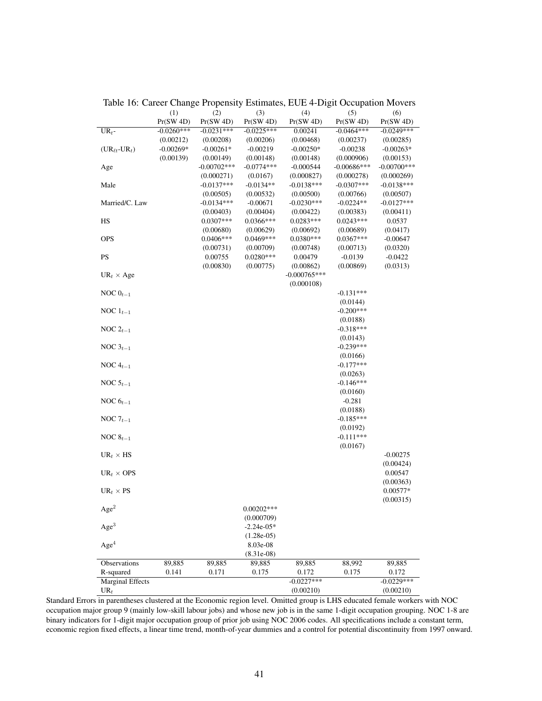|                                   | (1)          | (2)           | (3)          | (4)            | (5)                  | (6)            |
|-----------------------------------|--------------|---------------|--------------|----------------|----------------------|----------------|
|                                   | Pr(SW 4D)    | Pr(SW 4D)     | Pr(SW 4D)    | Pr(SW 4D)      | Pr(SW 4D)            | Pr(SW 4D)      |
| $UR_t$ -                          | $-0.0260***$ | $-0.0231***$  | $-0.0225***$ | 0.00241        | $-0.0464***$         | $-0.0249***$   |
|                                   | (0.00212)    | (0.00208)     | (0.00206)    | (0.00468)      | (0.00237)            | (0.00285)      |
| $(UR_{\ell t}$ -UR <sub>t</sub> ) | $-0.00269*$  | $-0.00261*$   | $-0.00219$   | $-0.00250*$    | $-0.00238$           | $-0.00263*$    |
|                                   | (0.00139)    | (0.00149)     | (0.00148)    | (0.00148)      | (0.000906)           | (0.00153)      |
| Age                               |              | $-0.00702***$ | $-0.0774***$ | $-0.000544$    | $-0.00686***$        | $-0.00700$ *** |
|                                   |              | (0.000271)    | (0.0167)     | (0.000827)     | (0.000278)           | (0.000269)     |
| Male                              |              | $-0.0137***$  | $-0.0134**$  | $-0.0138***$   | $-0.0307***$         | $-0.0138***$   |
|                                   |              | (0.00505)     | (0.00532)    | (0.00500)      | (0.00766)            | (0.00507)      |
| Married/C. Law                    |              | $-0.0134***$  | $-0.00671$   | $-0.0230***$   | $-0.0224**$          | $-0.0127***$   |
|                                   |              | (0.00403)     | (0.00404)    | (0.00422)      | (0.00383)            | (0.00411)      |
| HS                                |              | $0.0307***$   | $0.0366***$  | $0.0283***$    | $0.0243***$          | 0.0537         |
|                                   |              | (0.00680)     | (0.00629)    | (0.00692)      | (0.00689)            | (0.0417)       |
| <b>OPS</b>                        |              | $0.0406***$   | $0.0469***$  | $0.0380***$    | $0.0367***$          | -0.00647       |
|                                   |              | (0.00731)     | (0.00709)    | (0.00748)      | (0.00713)            | (0.0320)       |
| <b>PS</b>                         |              | 0.00755       | $0.0280***$  | 0.00479        | $-0.0139$            | $-0.0422$      |
|                                   |              | (0.00830)     | (0.00775)    | (0.00862)      | (0.00869)            | (0.0313)       |
| $UR_t \times Age$                 |              |               |              | $-0.000765***$ |                      |                |
|                                   |              |               |              | (0.000108)     |                      |                |
| NOC $0_{t-1}$                     |              |               |              |                | $-0.131***$          |                |
|                                   |              |               |              |                | (0.0144)             |                |
| NOC $1_{t-1}$                     |              |               |              |                | $-0.200***$          |                |
|                                   |              |               |              |                | (0.0188)             |                |
| NOC $2_{t-1}$                     |              |               |              |                | $-0.318***$          |                |
|                                   |              |               |              |                | (0.0143)             |                |
| NOC $3_{t-1}$                     |              |               |              |                | $-0.239***$          |                |
|                                   |              |               |              |                | (0.0166)             |                |
| NOC $4_{t-1}$                     |              |               |              |                | $-0.177***$          |                |
|                                   |              |               |              |                | (0.0263)             |                |
| NOC $5_{t-1}$                     |              |               |              |                | $-0.146***$          |                |
| NOC $6_{t-1}$                     |              |               |              |                | (0.0160)<br>$-0.281$ |                |
|                                   |              |               |              |                | (0.0188)             |                |
| NOC $7_{t-1}$                     |              |               |              |                | $-0.185***$          |                |
|                                   |              |               |              |                | (0.0192)             |                |
| NOC $8_{t-1}$                     |              |               |              |                | $-0.111***$          |                |
|                                   |              |               |              |                | (0.0167)             |                |
| $UR_t \times HS$                  |              |               |              |                |                      | $-0.00275$     |
|                                   |              |               |              |                |                      | (0.00424)      |
| $UR_t \times OPS$                 |              |               |              |                |                      | 0.00547        |
|                                   |              |               |              |                |                      | (0.00363)      |
| $UR_t \times PS$                  |              |               |              |                |                      | $0.00577*$     |
|                                   |              |               |              |                |                      | (0.00315)      |
| $\rm{Age^2}$                      |              |               | $0.00202***$ |                |                      |                |
|                                   |              |               | (0.000709)   |                |                      |                |
| Age <sup>3</sup>                  |              |               | $-2.24e-05*$ |                |                      |                |
|                                   |              |               | $(1.28e-05)$ |                |                      |                |
| Age <sup>4</sup>                  |              |               | 8.03e-08     |                |                      |                |
|                                   |              |               | $(8.31e-08)$ |                |                      |                |
| Observations                      | 89,885       | 89,885        | 89,885       | 89,885         | 88,992               | 89,885         |
| R-squared                         | 0.141        | 0.171         | 0.175        | 0.172          | 0.175                | 0.172          |
| <b>Marginal Effects</b>           |              |               |              | $-0.0227***$   |                      | $-0.0229***$   |
| $UR_t$                            |              |               |              | (0.00210)      |                      | (0.00210)      |

<span id="page-40-0"></span>Table 16: Career Change Propensity Estimates, EUE 4-Digit Occupation Movers

Standard Errors in parentheses clustered at the Economic region level. Omitted group is LHS educated female workers with NOC occupation major group 9 (mainly low-skill labour jobs) and whose new job is in the same 1-digit occupation grouping. NOC 1-8 are binary indicators for 1-digit major occupation group of prior job using NOC 2006 codes. All specifications include a constant term, economic region fixed effects, a linear time trend, month-of-year dummies and a control for potential discontinuity from 1997 onward.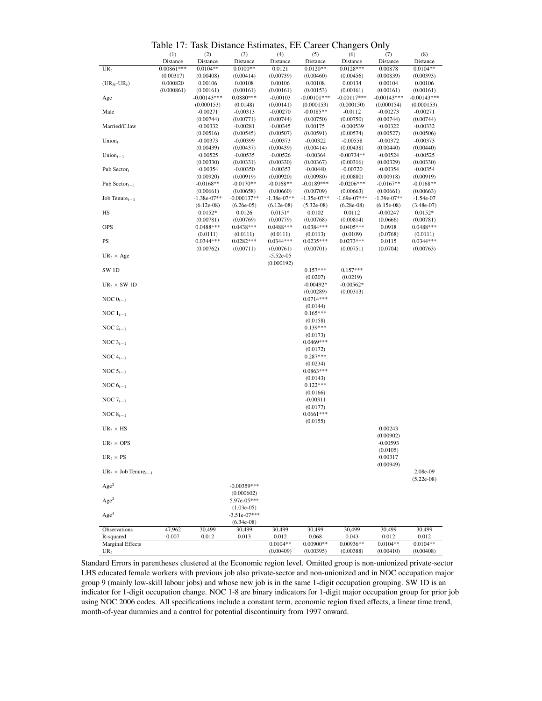<span id="page-41-0"></span>Table 17: Task Distance Estimates, EE Career Changers Only

|                                         |              |                          |                          |                          |               | $\mathbf{u}$   |                    |                          |
|-----------------------------------------|--------------|--------------------------|--------------------------|--------------------------|---------------|----------------|--------------------|--------------------------|
|                                         | (1)          | (2)                      | (3)                      | (4)                      | (5)           | (6)            | (7)                | (8)                      |
|                                         | Distance     | Distance                 | Distance                 | Distance                 | Distance      | Distance       | Distance           | Distance                 |
| $UR_t$                                  | $0.00861***$ | $0.0104**$               | $0.0100**$               | 0.0121                   | $0.0120**$    | $0.0128***$    | 0.00878            | $0.0104**$               |
|                                         | (0.00317)    | (0.00408)                | (0.00414)                | (0.00739)                | (0.00460)     | (0.00456)      | (0.00839)          | (0.00393)                |
| $(UR_{\ell t}$ -UR <sub>t</sub> )       | 0.000820     | 0.00106                  | 0.00108                  | 0.00106                  | 0.00108       | 0.00134        | 0.00104            | 0.00106                  |
|                                         | (0.000861)   | (0.00161)                | (0.00161)                | (0.00161)                | (0.00153)     | (0.00161)      | (0.00161)          | (0.00161)                |
| Age                                     |              | $-0.00143***$            | $0.0880***$              | $-0.00103$               | $-0.00101***$ | $-0.00117***$  | $-0.00143***$      | $-0.00143***$            |
|                                         |              | (0.000153)               | (0.0148)                 | (0.00141)                | (0.000153)    | (0.000150)     | (0.000154)         | (0.000153)               |
| Male                                    |              | $-0.00271$               | $-0.00313$               | $-0.00270$               | $-0.0185**$   | $-0.0112$      | $-0.00273$         | $-0.00271$               |
|                                         |              | (0.00744)                | (0.00771)                | (0.00744)                | (0.00750)     | (0.00750)      | (0.00744)          | (0.00744)                |
| Married/C.law                           |              | $-0.00332$               | $-0.00281$               | $-0.00345$               | 0.00175       | $-0.000539$    | $-0.00322$         | $-0.00332$               |
|                                         |              | (0.00516)                | (0.00545)                | (0.00507)                | (0.00591)     | (0.00574)      | (0.00527)          | (0.00506)                |
| Union $t$                               |              | $-0.00373$               | $-0.00399$               | $-0.00373$               | $-0.00322$    | $-0.00558$     | $-0.00372$         | $-0.00373$               |
|                                         |              | (0.00439)                | (0.00437)                | (0.00439)                | (0.00414)     | (0.00438)      | (0.00440)          | (0.00440)                |
| Union $_{t-1}$                          |              | $-0.00525$               | $-0.00535$               | $-0.00526$               | $-0.00364$    | $-0.00734**$   | $-0.00524$         | $-0.00525$               |
|                                         |              | (0.00330)                | (0.00331)                | (0.00330)                | (0.00367)     | (0.00316)      | (0.00329)          | (0.00330)                |
| Pub Sector $t$                          |              | $-0.00354$               | $-0.00350$               | $-0.00353$               | $-0.00440$    | $-0.00720$     | $-0.00354$         | $-0.00354$               |
|                                         |              | (0.00920)                | (0.00919)                | (0.00920)                | (0.00980)     | (0.00880)      | (0.00918)          | (0.00919)                |
| Pub Sector $_{t-1}$                     |              | $-0.0168**$              | $-0.0170**$              | $-0.0168**$              | $-0.0189***$  | $-0.0206***$   | $-0.0167**$        | $-0.0168**$              |
|                                         |              | (0.00661)                | (0.00658)                | (0.00660)                | (0.00709)     | (0.00663)      | (0.00661)          | (0.00663)                |
| Job Tenure $_{t-1}$                     |              | $-1.38e-07**$            | $-0.000137**$            | $-1.38e-07**$            | $-1.35e-07**$ | $-1.69e-07***$ | $-1.39e-07**$      | $-1.54e-07$              |
|                                         |              | $(6.12e-08)$             | $(6.26e-05)$             | $(6.12e-08)$             | $(5.32e-08)$  | $(6.28e-08)$   | $(6.15e-08)$       | $(3.48e-07)$             |
| HS                                      |              | $0.0152*$                | 0.0126                   | $0.0151*$                | 0.0102        | 0.0112         | $-0.00247$         | $0.0152*$                |
|                                         |              |                          |                          |                          | (0.00768)     | (0.00814)      |                    |                          |
| OPS                                     |              | (0.00781)<br>$0.0488***$ | (0.00769)<br>$0.0438***$ | (0.00779)<br>$0.0488***$ | $0.0384***$   | $0.0405***$    | (0.0666)<br>0.0918 | (0.00781)<br>$0.0488***$ |
|                                         |              |                          |                          |                          |               |                |                    |                          |
| PS                                      |              | (0.0111)                 | (0.0111)<br>$0.0282***$  | (0.0111)                 | (0.0113)      | (0.0109)       | (0.0768)           | (0.0111)<br>$0.0344***$  |
|                                         |              | $0.0344***$              |                          | $0.0344***$              | $0.0235***$   | $0.0273***$    | 0.0115             |                          |
|                                         |              | (0.00762)                | (0.00711)                | (0.00761)                | (0.00701)     | (0.00751)      | (0.0704)           | (0.00763)                |
| $UR_t \times Age$                       |              |                          |                          | $-5.52e-05$              |               |                |                    |                          |
|                                         |              |                          |                          | (0.000192)               |               |                |                    |                          |
| SW <sub>1D</sub>                        |              |                          |                          |                          | $0.157***$    | $0.157***$     |                    |                          |
|                                         |              |                          |                          |                          | (0.0207)      | (0.0219)       |                    |                          |
| $UR_t \times SW 1D$                     |              |                          |                          |                          | $-0.00492*$   | $-0.00562*$    |                    |                          |
|                                         |              |                          |                          |                          | (0.00289)     | (0.00313)      |                    |                          |
| NOC $0_{t-1}$                           |              |                          |                          |                          | $0.0714***$   |                |                    |                          |
|                                         |              |                          |                          |                          | (0.0144)      |                |                    |                          |
| NOC $\mathbf{1}_{t-1}$                  |              |                          |                          |                          | $0.165***$    |                |                    |                          |
|                                         |              |                          |                          |                          | (0.0158)      |                |                    |                          |
| NOC $2_{t-1}$                           |              |                          |                          |                          | $0.139***$    |                |                    |                          |
|                                         |              |                          |                          |                          | (0.0173)      |                |                    |                          |
| NOC $3_{t-1}$                           |              |                          |                          |                          | $0.0469***$   |                |                    |                          |
|                                         |              |                          |                          |                          | (0.0172)      |                |                    |                          |
| NOC $4_{t-1}$                           |              |                          |                          |                          | $0.287***$    |                |                    |                          |
|                                         |              |                          |                          |                          | (0.0234)      |                |                    |                          |
| NOC $5_{t-1}$                           |              |                          |                          |                          | $0.0863***$   |                |                    |                          |
|                                         |              |                          |                          |                          | (0.0143)      |                |                    |                          |
| NOC $6_{t-1}$                           |              |                          |                          |                          | $0.122***$    |                |                    |                          |
|                                         |              |                          |                          |                          | (0.0166)      |                |                    |                          |
| NOC $7_{t-1}$                           |              |                          |                          |                          | $-0.00311$    |                |                    |                          |
|                                         |              |                          |                          |                          | (0.0177)      |                |                    |                          |
| NOC $8_{t-1}$                           |              |                          |                          |                          | $0.0661***$   |                |                    |                          |
|                                         |              |                          |                          |                          | (0.0155)      |                |                    |                          |
| $UR_t \times HS$                        |              |                          |                          |                          |               |                | 0.00243            |                          |
|                                         |              |                          |                          |                          |               |                | (0.00902)          |                          |
|                                         |              |                          |                          |                          |               |                |                    |                          |
| $\mathrm{UR}_t \times \mathrm{OPS}$     |              |                          |                          |                          |               |                | $-0.00593$         |                          |
|                                         |              |                          |                          |                          |               |                | (0.0105)           |                          |
| $\mathrm{UR}_t \times \mathrm{PS}$      |              |                          |                          |                          |               |                | 0.00317            |                          |
|                                         |              |                          |                          |                          |               |                | (0.00949)          |                          |
| $UR_t \times$ Job Tenure <sub>t-1</sub> |              |                          |                          |                          |               |                |                    | 2.08e-09                 |
|                                         |              |                          |                          |                          |               |                |                    | $(5.22e-08)$             |
| Age <sup>2</sup>                        |              |                          | $-0.00359***$            |                          |               |                |                    |                          |
|                                         |              |                          | (0.000602)               |                          |               |                |                    |                          |
| Age <sup>3</sup>                        |              |                          | 5.97e-05***              |                          |               |                |                    |                          |
|                                         |              |                          | $(1.03e-05)$             |                          |               |                |                    |                          |
| Age <sup>4</sup>                        |              |                          | $-3.51e-07***$           |                          |               |                |                    |                          |
|                                         |              |                          | $(6.34e-08)$             |                          |               |                |                    |                          |
| Observations                            | 47,962       | 30,499                   | 30,499                   | 30,499                   | 30,499        | 30,499         | 30,499             | 30,499                   |
| R-squared                               | 0.007        | 0.012                    | 0.013                    | 0.012                    | 0.068         | 0.043          | 0.012              | 0.012                    |
| <b>Marginal Effects</b>                 |              |                          |                          | $0.0104**$               | $0.00900**$   | 0.00936**      | $0.0104**$         | $0.0104**$               |
| $UR_t$                                  |              |                          |                          | (0.00409)                | (0.00395)     | (0.00388)      | (0.00410)          | (0.00408)                |

Standard Errors in parentheses clustered at the Economic region level. Omitted group is non-unionized private-sector LHS educated female workers with previous job also private-sector and non-unionized and in NOC occupation major group 9 (mainly low-skill labour jobs) and whose new job is in the same 1-digit occupation grouping. SW 1D is an indicator for 1-digit occupation change. NOC 1-8 are binary indicators for 1-digit major occupation group for prior job using NOC 2006 codes. All specifications include a constant term, economic region fixed effects, a linear time trend, month-of-year dummies and a control for potential discontinuity from 1997 onward.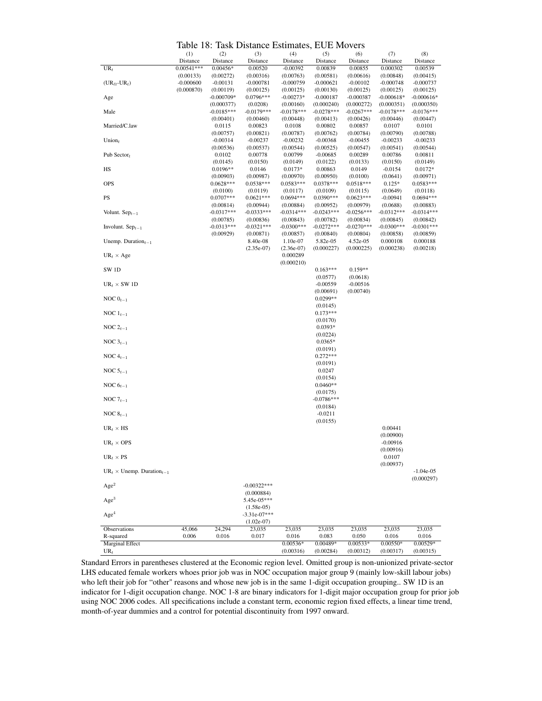<span id="page-42-0"></span>Table 18: Task Distance Estimates, EUE Movers

|                                        |              |              | Table To. Task Distance Estimates, LOE MOVELS |              |              |              |              |              |
|----------------------------------------|--------------|--------------|-----------------------------------------------|--------------|--------------|--------------|--------------|--------------|
|                                        | (1)          | (2)          | (3)                                           | (4)          | (5)          | (6)          | (7)          | (8)          |
|                                        | Distance     | Distance     | Distance                                      | Distance     | Distance     | Distance     | Distance     | Distance     |
| $UR_t$                                 | $0.00541***$ | $0.00456*$   | 0.00520                                       | $-0.00392$   | 0.00839      | 0.00855      | 0.000302     | 0.00539      |
|                                        | (0.00133)    | (0.00272)    | (0.00316)                                     | (0.00763)    | (0.00581)    | (0.00616)    | (0.00848)    | (0.00415)    |
| $(UR_{\ell t}$ -UR <sub>t</sub> )      | $-0.000600$  | $-0.00131$   | $-0.000781$                                   | $-0.000759$  | $-0.000621$  | $-0.00102$   | $-0.000748$  | $-0.000737$  |
|                                        | (0.000870)   | (0.00119)    | (0.00125)                                     | (0.00125)    | (0.00130)    | (0.00125)    | (0.00125)    | (0.00125)    |
| Age                                    |              | $-0.000709*$ | 0.0796***                                     | $-0.00273*$  | $-0.000187$  | $-0.000387$  | $-0.000618*$ | $-0.000616*$ |
|                                        |              | (0.000377)   | (0.0208)                                      | (0.00160)    | (0.000240)   | (0.000272)   | (0.000351)   | (0.000350)   |
| Male                                   |              | $-0.0185***$ | $-0.0179***$                                  | $-0.0178***$ | $-0.0278***$ | $-0.0267***$ | $-0.0178***$ | $-0.0176***$ |
|                                        |              | (0.00401)    | (0.00460)                                     | (0.00448)    | (0.00413)    | (0.00426)    | (0.00446)    | (0.00447)    |
| Married/C.law                          |              | 0.0115       | 0.00823                                       | 0.0108       | 0.00802      | 0.00857      | 0.0107       | 0.0101       |
|                                        |              | (0.00757)    | (0.00821)                                     | (0.00787)    |              |              |              |              |
|                                        |              |              |                                               |              | (0.00762)    | (0.00784)    | (0.00790)    | (0.00788)    |
| Union $t$                              |              | $-0.00314$   | $-0.00237$                                    | $-0.00232$   | $-0.00368$   | $-0.00455$   | $-0.00233$   | $-0.00233$   |
|                                        |              | (0.00536)    | (0.00537)                                     | (0.00544)    | (0.00525)    | (0.00547)    | (0.00541)    | (0.00544)    |
| Pub Sector <sub>t</sub>                |              | 0.0102       | 0.00778                                       | 0.00799      | $-0.00685$   | 0.00289      | 0.00786      | 0.00811      |
|                                        |              | (0.0145)     | (0.0150)                                      | (0.0149)     | (0.0122)     | (0.0133)     | (0.0150)     | (0.0149)     |
| HS                                     |              | $0.0196**$   | 0.0146                                        | $0.0173*$    | 0.00863      | 0.0149       | $-0.0154$    | $0.0172*$    |
|                                        |              | (0.00903)    | (0.00987)                                     | (0.00970)    | (0.00950)    | (0.0100)     | (0.0641)     | (0.00971)    |
| <b>OPS</b>                             |              | $0.0628***$  | 0.0538***                                     | $0.0583***$  | $0.0378***$  | $0.0518***$  | $0.125*$     | $0.0583***$  |
|                                        |              | (0.0100)     | (0.0119)                                      | (0.0117)     | (0.0109)     | (0.0115)     | (0.0649)     | (0.0118)     |
| PS                                     |              | $0.0707***$  | $0.0621***$                                   | $0.0694***$  | $0.0390***$  | $0.0623***$  | $-0.00941$   | $0.0694***$  |
|                                        |              | (0.00814)    | (0.00944)                                     | (0.00884)    | (0.00952)    | (0.00979)    | (0.0688)     | (0.00883)    |
| Volunt. $Sep_{t-1}$                    |              | $-0.0317***$ | $-0.0333***$                                  | $-0.0314***$ | $-0.0243***$ | $-0.0256***$ | $-0.0312***$ | $-0.0314***$ |
|                                        |              | (0.00785)    | (0.00836)                                     | (0.00843)    | (0.00782)    | (0.00834)    | (0.00845)    | (0.00842)    |
| Involunt. $Sep_{t-1}$                  |              | $-0.0313***$ | $-0.0321***$                                  | $-0.0300***$ | $-0.0272***$ | $-0.0270***$ | $-0.0300***$ | $-0.0301***$ |
|                                        |              | (0.00929)    | (0.00871)                                     | (0.00857)    | (0.00840)    | (0.00804)    | (0.00858)    | (0.00859)    |
| Unemp. Duration $_{t-1}$               |              |              | 8.40e-08                                      | 1.10e-07     | 5.82e-05     | $4.52e-05$   | 0.000108     | 0.000188     |
|                                        |              |              | $(2.35e-07)$                                  | $(2.36e-07)$ | (0.000227)   | (0.000225)   |              | (0.00218)    |
|                                        |              |              |                                               |              |              |              | (0.000238)   |              |
| $UR_t \times Age$                      |              |              |                                               | 0.000289     |              |              |              |              |
|                                        |              |              |                                               | (0.000210)   |              |              |              |              |
| SW <sub>1D</sub>                       |              |              |                                               |              | $0.163***$   | $0.159**$    |              |              |
|                                        |              |              |                                               |              | (0.0577)     | (0.0618)     |              |              |
| $UR_t \times SW 1D$                    |              |              |                                               |              | $-0.00559$   | $-0.00516$   |              |              |
|                                        |              |              |                                               |              | (0.00691)    | (0.00740)    |              |              |
| NOC $0_{t-1}$                          |              |              |                                               |              | $0.0299**$   |              |              |              |
|                                        |              |              |                                               |              | (0.0145)     |              |              |              |
| NOC $1_{t-1}$                          |              |              |                                               |              | $0.173***$   |              |              |              |
|                                        |              |              |                                               |              | (0.0170)     |              |              |              |
| NOC $2_{t-1}$                          |              |              |                                               |              | 0.0393*      |              |              |              |
|                                        |              |              |                                               |              | (0.0224)     |              |              |              |
| NOC $3_{t-1}$                          |              |              |                                               |              | $0.0365*$    |              |              |              |
|                                        |              |              |                                               |              |              |              |              |              |
|                                        |              |              |                                               |              | (0.0191)     |              |              |              |
| NOC $4_{t-1}$                          |              |              |                                               |              | $0.272***$   |              |              |              |
|                                        |              |              |                                               |              | (0.0191)     |              |              |              |
| NOC $5_{t-1}$                          |              |              |                                               |              | 0.0247       |              |              |              |
|                                        |              |              |                                               |              | (0.0154)     |              |              |              |
| NOC $6_{t-1}$                          |              |              |                                               |              | $0.0460**$   |              |              |              |
|                                        |              |              |                                               |              | (0.0175)     |              |              |              |
| NOC $7_{t-1}$                          |              |              |                                               |              | $-0.0786***$ |              |              |              |
|                                        |              |              |                                               |              | (0.0184)     |              |              |              |
| NOC $8_{t-1}$                          |              |              |                                               |              | $-0.0211$    |              |              |              |
|                                        |              |              |                                               |              | (0.0155)     |              |              |              |
| $UR_t \times HS$                       |              |              |                                               |              |              |              | 0.00441      |              |
|                                        |              |              |                                               |              |              |              | (0.00900)    |              |
|                                        |              |              |                                               |              |              |              |              |              |
| $UR_t \times OPS$                      |              |              |                                               |              |              |              | $-0.00916$   |              |
|                                        |              |              |                                               |              |              |              | (0.00916)    |              |
| $UR_t \times PS$                       |              |              |                                               |              |              |              | 0.0107       |              |
|                                        |              |              |                                               |              |              |              | (0.00937)    |              |
| $UR_t \times$ Unemp. Duration $_{t-1}$ |              |              |                                               |              |              |              |              | $-1.04e-05$  |
|                                        |              |              |                                               |              |              |              |              | (0.000297)   |
| Age <sup>2</sup>                       |              |              | $-0.00322***$                                 |              |              |              |              |              |
|                                        |              |              | (0.000884)                                    |              |              |              |              |              |
| Age <sup>3</sup>                       |              |              | 5.45e-05***                                   |              |              |              |              |              |
|                                        |              |              | $(1.58e-05)$                                  |              |              |              |              |              |
| Age <sup>4</sup>                       |              |              | $-3.31e-07***$                                |              |              |              |              |              |
|                                        |              |              |                                               |              |              |              |              |              |
|                                        |              |              | $(1.02e-07)$                                  |              |              |              |              |              |
| Observations                           | 45,066       | 24,294       | 23,035                                        | 23,035       | 23,035       | 23,035       | 23,035       | 23,035       |
| R-squared                              | 0.006        | 0.016        | 0.017                                         | 0.016        | 0.083        | 0.050        | 0.016        | 0.016        |
| <b>Marginal Effect</b>                 |              |              |                                               | 0.00536*     | 0.00489*     | $0.00533*$   | $0.00550*$   | 0.00529*     |
| $UR_t$                                 |              |              |                                               | (0.00316)    | (0.00284)    | (0.00312)    | (0.00317)    | (0.00315)    |

Standard Errors in parentheses clustered at the Economic region level. Omitted group is non-unionized private-sector LHS educated female workers whoes prior job was in NOC occupation major group 9 (mainly low-skill labour jobs) who left their job for "other" reasons and whose new job is in the same 1-digit occupation grouping.. SW 1D is an indicator for 1-digit occupation change. NOC 1-8 are binary indicators for 1-digit major occupation group for prior job using NOC 2006 codes. All specifications include a constant term, economic region fixed effects, a linear time trend, month-of-year dummies and a control for potential discontinuity from 1997 onward.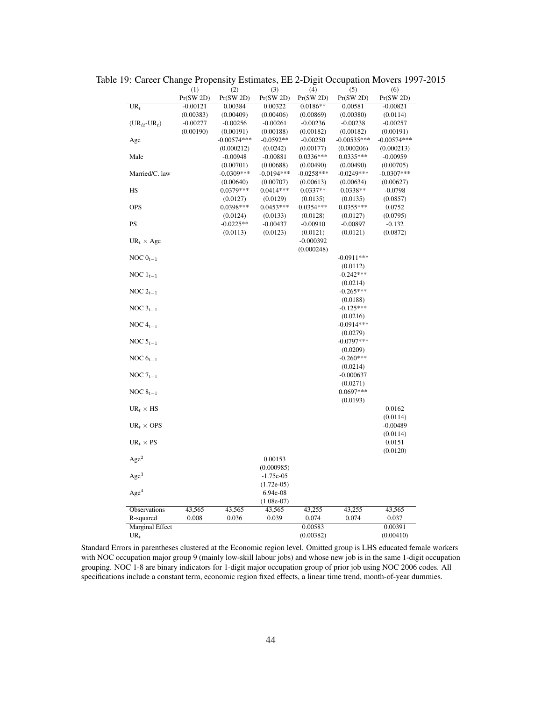|                                    |            |               |              | O            |               |               |
|------------------------------------|------------|---------------|--------------|--------------|---------------|---------------|
|                                    | (1)        | (2)           | (3)          | (4)          | (5)           | (6)           |
|                                    | Pr(SW 2D)  | Pr(SW 2D)     | Pr(SW 2D)    | Pr(SW 2D)    | Pr(SW 2D)     | Pr(SW 2D)     |
| $\overline{\text{UR}_t}$           | $-0.00121$ | 0.00384       | 0.00322      | $0.0186**$   | 0.00581       | $-0.00821$    |
|                                    | (0.00383)  | (0.00409)     | (0.00406)    | (0.00869)    | (0.00380)     | (0.0114)      |
| $(UR_{\ell t}$ -UR <sub>t</sub> )  | $-0.00277$ | $-0.00256$    | $-0.00261$   | $-0.00236$   | $-0.00238$    | $-0.00257$    |
|                                    | (0.00190)  | (0.00191)     | (0.00188)    | (0.00182)    | (0.00182)     | (0.00191)     |
| Age                                |            | $-0.00574***$ | $-0.0592**$  | $-0.00250$   | $-0.00535***$ | $-0.00574***$ |
|                                    |            | (0.000212)    | (0.0242)     | (0.00177)    | (0.000206)    | (0.000213)    |
| Male                               |            | $-0.00948$    | $-0.00881$   | 0.0336***    | $0.0335***$   | $-0.00959$    |
|                                    |            | (0.00701)     | (0.00688)    | (0.00490)    | (0.00490)     | (0.00705)     |
| Married/C. law                     |            | $-0.0309***$  | $-0.0194***$ | $-0.0258***$ | $-0.0249***$  | $-0.0307***$  |
|                                    |            | (0.00640)     | (0.00707)    | (0.00613)    | (0.00634)     | (0.00627)     |
| <b>HS</b>                          |            | 0.0379***     | $0.0414***$  | $0.0337**$   | $0.0338**$    | $-0.0798$     |
|                                    |            | (0.0127)      | (0.0129)     | (0.0135)     | (0.0135)      | (0.0857)      |
| <b>OPS</b>                         |            | 0.0398***     | $0.0453***$  | 0.0354 ***   | $0.0355***$   | 0.0752        |
|                                    |            | (0.0124)      | (0.0133)     | (0.0128)     | (0.0127)      | (0.0795)      |
| PS                                 |            | $-0.0225**$   | $-0.00437$   | $-0.00910$   | $-0.00897$    | $-0.132$      |
|                                    |            | (0.0113)      | (0.0123)     | (0.0121)     | (0.0121)      | (0.0872)      |
| $UR_t \times Age$                  |            |               |              | $-0.000392$  |               |               |
|                                    |            |               |              | (0.000248)   |               |               |
| NOC $0_{t-1}$                      |            |               |              |              | $-0.0911***$  |               |
|                                    |            |               |              |              | (0.0112)      |               |
|                                    |            |               |              |              | $-0.242***$   |               |
| NOC $1_{t-1}$                      |            |               |              |              |               |               |
|                                    |            |               |              |              | (0.0214)      |               |
| NOC $2_{t-1}$                      |            |               |              |              | $-0.265***$   |               |
|                                    |            |               |              |              | (0.0188)      |               |
| NOC $3_{t-1}$                      |            |               |              |              | $-0.125***$   |               |
|                                    |            |               |              |              | (0.0216)      |               |
| NOC $4_{t-1}$                      |            |               |              |              | $-0.0914***$  |               |
|                                    |            |               |              |              | (0.0279)      |               |
| NOC $5_{t-1}$                      |            |               |              |              | $-0.0797***$  |               |
|                                    |            |               |              |              | (0.0209)      |               |
| NOC $6_{t-1}$                      |            |               |              |              | $-0.260***$   |               |
|                                    |            |               |              |              | (0.0214)      |               |
| NOC $7_{t-1}$                      |            |               |              |              | $-0.000637$   |               |
|                                    |            |               |              |              | (0.0271)      |               |
| NOC $8_{t-1}$                      |            |               |              |              | 0.0697***     |               |
|                                    |            |               |              |              | (0.0193)      |               |
| $\mathrm{UR}_t \times \mathrm{HS}$ |            |               |              |              |               | 0.0162        |
|                                    |            |               |              |              |               | (0.0114)      |
| $UR_t \times OPS$                  |            |               |              |              |               | $-0.00489$    |
|                                    |            |               |              |              |               | (0.0114)      |
| $UR_t \times PS$                   |            |               |              |              |               | 0.0151        |
|                                    |            |               |              |              |               | (0.0120)      |
| Age <sup>2</sup>                   |            |               | 0.00153      |              |               |               |
|                                    |            |               | (0.000985)   |              |               |               |
| Age <sup>3</sup>                   |            |               |              |              |               |               |
|                                    |            |               | $-1.75e-05$  |              |               |               |
|                                    |            |               | $(1.72e-05)$ |              |               |               |
| Age <sup>4</sup>                   |            |               | 6.94e-08     |              |               |               |
|                                    |            |               | $(1.08e-07)$ |              |               |               |
| Observations                       | 43,565     | 43,565        | 43,565       | 43,255       | 43,255        | 43,565        |
| R-squared                          | 0.008      | 0.036         | 0.039        | 0.074        | 0.074         | 0.037         |
| <b>Marginal Effect</b>             |            |               |              | 0.00583      |               | 0.00391       |
| $\mathrm{UR}_t$                    |            |               |              | (0.00382)    |               | (0.00410)     |

Table 19: Career Change Propensity Estimates, EE 2-Digit Occupation Movers 1997-2015

Standard Errors in parentheses clustered at the Economic region level. Omitted group is LHS educated female workers with NOC occupation major group 9 (mainly low-skill labour jobs) and whose new job is in the same 1-digit occupation grouping. NOC 1-8 are binary indicators for 1-digit major occupation group of prior job using NOC 2006 codes. All specifications include a constant term, economic region fixed effects, a linear time trend, month-of-year dummies.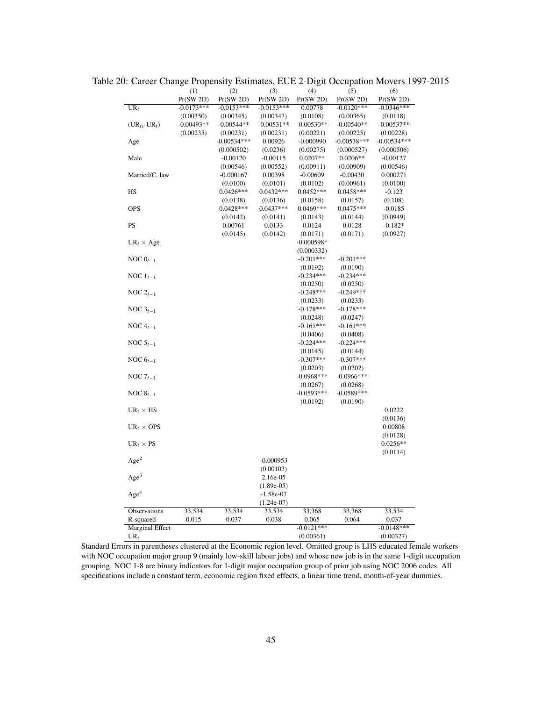|                                   | (1)          | (2)           | (3)          | (4)          | (5)           | (6)           |
|-----------------------------------|--------------|---------------|--------------|--------------|---------------|---------------|
|                                   | Pr(SW 2D)    | Pr(SW 2D)     | Pr(SW 2D)    | Pr(SW 2D)    | Pr(SW 2D)     | Pr(SW 2D)     |
| $UR_t$                            | $-0.0173***$ | $-0.0153***$  | $-0.0153***$ | 0.00778      | $-0.0120***$  | $-0.0346***$  |
|                                   | (0.00350)    | (0.00345)     | (0.00347)    | (0.0108)     | (0.00365)     | (0.0118)      |
| $(UR_{\ell t}$ -UR <sub>t</sub> ) | $-0.00493**$ | $-0.00544**$  | $-0.00531**$ | $-0.00530**$ | $-0.00540**$  | $-0.00537**$  |
|                                   | (0.00235)    | (0.00231)     | (0.00231)    | (0.00221)    | (0.00225)     | (0.00228)     |
| Age                               |              | $-0.00534***$ | 0.00926      | $-0.000990$  | $-0.00538***$ | $-0.00534***$ |
|                                   |              | (0.000502)    | (0.0236)     | (0.00275)    | (0.000527)    | (0.000506)    |
| Male                              |              | $-0.00120$    | $-0.00115$   | $0.0207**$   | $0.0206**$    | $-0.00127$    |
|                                   |              | (0.00546)     | (0.00552)    | (0.00911)    | (0.00909)     | (0.00546)     |
| Married/C. law                    |              | $-0.000167$   | 0.00398      | $-0.00609$   | $-0.00430$    | 0.000271      |
|                                   |              | (0.0100)      | (0.0101)     | (0.0102)     | (0.00961)     | (0.0100)      |
| <b>HS</b>                         |              | $0.0426***$   | $0.0432***$  | $0.0452***$  | $0.0458***$   | $-0.123$      |
|                                   |              | (0.0138)      | (0.0136)     | (0.0158)     | (0.0157)      | (0.108)       |
| <b>OPS</b>                        |              | $0.0428***$   | $0.0437***$  | $0.0469***$  | $0.0475***$   | $-0.0185$     |
|                                   |              | (0.0142)      | (0.0141)     | (0.0143)     | (0.0144)      | (0.0949)      |
| PS                                |              | 0.00761       | 0.0133       | 0.0124       | 0.0128        | $-0.182*$     |
|                                   |              | (0.0145)      | (0.0142)     | (0.0171)     | (0.0171)      | (0.0927)      |
|                                   |              |               |              | $-0.000598*$ |               |               |
| $UR_t \times Age$                 |              |               |              |              |               |               |
|                                   |              |               |              | (0.000332)   |               |               |
| NOC $0_{t-1}$                     |              |               |              | $-0.201***$  | $-0.201***$   |               |
|                                   |              |               |              | (0.0192)     | (0.0190)      |               |
| NOC $1_{t-1}$                     |              |               |              | $-0.234***$  | $-0.234***$   |               |
|                                   |              |               |              | (0.0250)     | (0.0250)      |               |
| NOC $2_{t-1}$                     |              |               |              | $-0.248***$  | $-0.249***$   |               |
|                                   |              |               |              | (0.0233)     | (0.0233)      |               |
| NOC $3_{t-1}$                     |              |               |              | $-0.178***$  | $-0.178***$   |               |
|                                   |              |               |              | (0.0248)     | (0.0247)      |               |
| NOC $4_{t-1}$                     |              |               |              | $-0.161***$  | $-0.161***$   |               |
|                                   |              |               |              | (0.0406)     | (0.0408)      |               |
| NOC $5_{t-1}$                     |              |               |              | $-0.224***$  | $-0.224***$   |               |
|                                   |              |               |              | (0.0145)     | (0.0144)      |               |
| NOC $6_{t-1}$                     |              |               |              | $-0.307***$  | $-0.307***$   |               |
|                                   |              |               |              | (0.0203)     | (0.0202)      |               |
| NOC $7_{t-1}$                     |              |               |              | $-0.0968***$ | $-0.0966$ *** |               |
|                                   |              |               |              | (0.0267)     | (0.0268)      |               |
| NOC $8_{t-1}$                     |              |               |              | $-0.0593***$ | $-0.0589***$  |               |
|                                   |              |               |              | (0.0192)     | (0.0190)      |               |
| $UR_t \times HS$                  |              |               |              |              |               | 0.0222        |
|                                   |              |               |              |              |               |               |
|                                   |              |               |              |              |               | (0.0136)      |
| $UR_t \times OPS$                 |              |               |              |              |               | 0.00808       |
|                                   |              |               |              |              |               | (0.0128)      |
| $UR_t \times PS$                  |              |               |              |              |               | $0.0256**$    |
|                                   |              |               |              |              |               | (0.0114)      |
| Age <sup>2</sup>                  |              |               | $-0.000953$  |              |               |               |
|                                   |              |               | (0.00103)    |              |               |               |
| Age <sup>3</sup>                  |              |               | 2.16e-05     |              |               |               |
|                                   |              |               | $(1.89e-05)$ |              |               |               |
| Age <sup>4</sup>                  |              |               | $-1.58e-07$  |              |               |               |
|                                   |              |               | $(1.24e-07)$ |              |               |               |
| Observations                      | 33,534       | 33,534        | 33,534       | 33,368       | 33,368        | 33,534        |
| R-squared                         | 0.015        | 0.037         | 0.038        | 0.065        | 0.064         | 0.037         |
| <b>Marginal Effect</b>            |              |               |              | $-0.0121***$ |               | $-0.0148***$  |
| $UR_t$                            |              |               |              | (0.00361)    |               | (0.00327)     |
|                                   |              |               |              |              |               |               |

Table 20: Career Change Propensity Estimates, EUE 2-Digit Occupation Movers 1997-2015

Standard Errors in parentheses clustered at the Economic region level. Omitted group is LHS educated female workers with NOC occupation major group 9 (mainly low-skill labour jobs) and whose new job is in the same 1-digit occupation grouping. NOC 1-8 are binary indicators for 1-digit major occupation group of prior job using NOC 2006 codes. All specifications include a constant term, economic region fixed effects, a linear time trend, month-of-year dummies.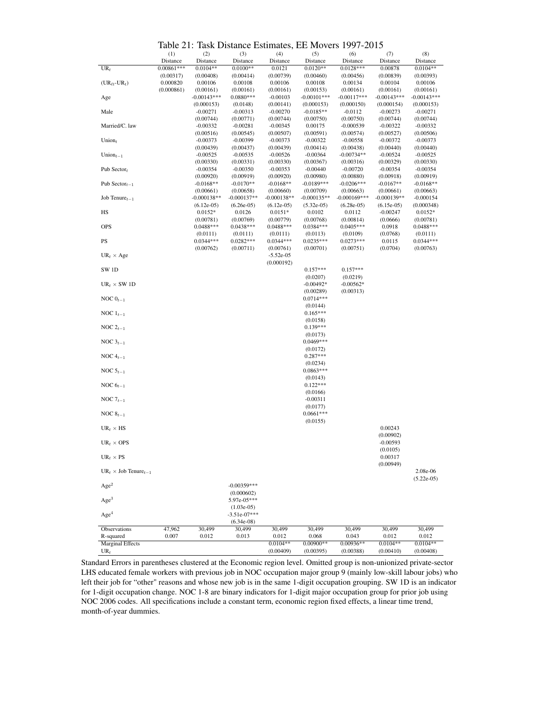Table 21: Task Distance Estimates, EE Movers 1997-2015

|                                         | ----<br>(1)  | uun Dioune<br>(2) | (3)            | (4)           | $\epsilon$ Louinates, LE 1710, $\epsilon$ 19<br>(5) | .<br>(6)        | (7)           | (8)           |
|-----------------------------------------|--------------|-------------------|----------------|---------------|-----------------------------------------------------|-----------------|---------------|---------------|
|                                         | Distance     | Distance          | Distance       | Distance      | Distance                                            | Distance        | Distance      | Distance      |
|                                         | $0.00861***$ | $0.0104**$        | $0.0100**$     |               | $0.0120**$                                          | $0.0128***$     |               | $0.0104**$    |
| $UR_t$                                  |              |                   |                | 0.0121        |                                                     |                 | 0.00878       |               |
|                                         | (0.00317)    | (0.00408)         | (0.00414)      | (0.00739)     | (0.00460)                                           | (0.00456)       | (0.00839)     | (0.00393)     |
| $(UR_{\ell t}$ -UR <sub>t</sub> )       | 0.000820     | 0.00106           | 0.00108        | 0.00106       | 0.00108                                             | 0.00134         | 0.00104       | 0.00106       |
|                                         | (0.000861)   | (0.00161)         | (0.00161)      | (0.00161)     | (0.00153)                                           | (0.00161)       | (0.00161)     | (0.00161)     |
| Age                                     |              | $-0.00143***$     | $0.0880***$    | $-0.00103$    | $-0.00101***$                                       | $-0.00117***$   | $-0.00143***$ | $-0.00143***$ |
|                                         |              | (0.000153)        | (0.0148)       | (0.00141)     | (0.000153)                                          | (0.000150)      | (0.000154)    | (0.000153)    |
| Male                                    |              | $-0.00271$        | $-0.00313$     | $-0.00270$    | $-0.0185**$                                         | $-0.0112$       | $-0.00273$    | $-0.00271$    |
|                                         |              | (0.00744)         | (0.00771)      | (0.00744)     | (0.00750)                                           | (0.00750)       | (0.00744)     | (0.00744)     |
| Married/C. law                          |              | $-0.00332$        | $-0.00281$     | $-0.00345$    | 0.00175                                             | $-0.000539$     | $-0.00322$    | $-0.00332$    |
|                                         |              | (0.00516)         | (0.00545)      | (0.00507)     | (0.00591)                                           | (0.00574)       | (0.00527)     | (0.00506)     |
| Union,                                  |              | $-0.00373$        | $-0.00399$     | $-0.00373$    | $-0.00322$                                          | $-0.00558$      | $-0.00372$    | $-0.00373$    |
|                                         |              | (0.00439)         | (0.00437)      | (0.00439)     | (0.00414)                                           | (0.00438)       | (0.00440)     | (0.00440)     |
| Union $_{t-1}$                          |              | $-0.00525$        | $-0.00535$     | $-0.00526$    | $-0.00364$                                          | $-0.00734**$    | $-0.00524$    | $-0.00525$    |
|                                         |              | (0.00330)         | (0.00331)      | (0.00330)     | (0.00367)                                           | (0.00316)       | (0.00329)     | (0.00330)     |
| Pub Sector $t$                          |              | $-0.00354$        | $-0.00350$     | $-0.00353$    | $-0.00440$                                          | $-0.00720$      | $-0.00354$    | $-0.00354$    |
|                                         |              | (0.00920)         | (0.00919)      | (0.00920)     | (0.00980)                                           | (0.00880)       | (0.00918)     | (0.00919)     |
| Pub Sector <sub><math>t-1</math></sub>  |              | $-0.0168**$       | $-0.0170**$    | $-0.0168**$   | $-0.0189***$                                        | $-0.0206***$    | $-0.0167**$   | $-0.0168**$   |
|                                         |              | (0.00661)         | (0.00658)      | (0.00660)     | (0.00709)                                           | (0.00663)       | (0.00661)     | (0.00663)     |
| Job Tenure $t_{t-1}$                    |              | $-0.000138**$     | $-0.000137**$  | $-0.000138**$ | $-0.000135**$                                       | $-0.000169$ *** | $-0.000139**$ | $-0.000154$   |
|                                         |              | $(6.12e-05)$      | $(6.26e-05)$   | $(6.12e-05)$  | $(5.32e-05)$                                        | $(6.28e-05)$    | $(6.15e-05)$  | (0.000348)    |
| HS                                      |              | $0.0152*$         | 0.0126         | $0.0151*$     | 0.0102                                              | 0.0112          | $-0.00247$    | $0.0152*$     |
|                                         |              | (0.00781)         | (0.00769)      | (0.00779)     | (0.00768)                                           | (0.00814)       | (0.0666)      | (0.00781)     |
| <b>OPS</b>                              |              | $0.0488***$       | $0.0438***$    | $0.0488***$   | $0.0384***$                                         | $0.0405***$     | 0.0918        | $0.0488***$   |
|                                         |              |                   |                |               |                                                     |                 |               |               |
|                                         |              | (0.0111)          | (0.0111)       | (0.0111)      | (0.0113)                                            | (0.0109)        | (0.0768)      | (0.0111)      |
| PS                                      |              | $0.0344***$       | $0.0282***$    | $0.0344***$   | $0.0235***$                                         | $0.0273***$     | 0.0115        | $0.0344***$   |
|                                         |              | (0.00762)         | (0.00711)      | (0.00761)     | (0.00701)                                           | (0.00751)       | (0.0704)      | (0.00763)     |
| $UR_t \times Age$                       |              |                   |                | $-5.52e-05$   |                                                     |                 |               |               |
|                                         |              |                   |                | (0.000192)    |                                                     |                 |               |               |
| SW <sub>1D</sub>                        |              |                   |                |               | $0.157***$                                          | $0.157***$      |               |               |
|                                         |              |                   |                |               | (0.0207)                                            | (0.0219)        |               |               |
| $UR_t \times SW 1D$                     |              |                   |                |               | $-0.00492*$                                         | $-0.00562*$     |               |               |
|                                         |              |                   |                |               | (0.00289)                                           | (0.00313)       |               |               |
| NOC $0_{t-1}$                           |              |                   |                |               | $0.0714***$                                         |                 |               |               |
|                                         |              |                   |                |               | (0.0144)                                            |                 |               |               |
| NOC $1_{t-1}$                           |              |                   |                |               | $0.165***$                                          |                 |               |               |
|                                         |              |                   |                |               | (0.0158)                                            |                 |               |               |
| NOC $2_{t-1}$                           |              |                   |                |               | $0.139***$                                          |                 |               |               |
|                                         |              |                   |                |               | (0.0173)                                            |                 |               |               |
| NOC $3_{t-1}$                           |              |                   |                |               | $0.0469***$                                         |                 |               |               |
|                                         |              |                   |                |               | (0.0172)                                            |                 |               |               |
| NOC $4_{t-1}$                           |              |                   |                |               | $0.287***$                                          |                 |               |               |
|                                         |              |                   |                |               | (0.0234)                                            |                 |               |               |
| NOC $5_{t-1}$                           |              |                   |                |               | $0.0863***$                                         |                 |               |               |
|                                         |              |                   |                |               | (0.0143)                                            |                 |               |               |
| NOC $6_{t-1}$                           |              |                   |                |               | $0.122***$                                          |                 |               |               |
|                                         |              |                   |                |               | (0.0166)                                            |                 |               |               |
| NOC $7_{t-1}$                           |              |                   |                |               | $-0.00311$                                          |                 |               |               |
|                                         |              |                   |                |               | (0.0177)                                            |                 |               |               |
| NOC $8_{t-1}$                           |              |                   |                |               | $0.0661***$                                         |                 |               |               |
|                                         |              |                   |                |               | (0.0155)                                            |                 |               |               |
|                                         |              |                   |                |               |                                                     |                 | 0.00243       |               |
| $UR_t \times HS$                        |              |                   |                |               |                                                     |                 |               |               |
|                                         |              |                   |                |               |                                                     |                 | (0.00902)     |               |
| $UR_t \times OPS$                       |              |                   |                |               |                                                     |                 | $-0.00593$    |               |
|                                         |              |                   |                |               |                                                     |                 | (0.0105)      |               |
| $UR_t \times PS$                        |              |                   |                |               |                                                     |                 | 0.00317       |               |
|                                         |              |                   |                |               |                                                     |                 | (0.00949)     |               |
| $UR_t \times$ Job Tenure <sub>t-1</sub> |              |                   |                |               |                                                     |                 |               | 2.08e-06      |
|                                         |              |                   |                |               |                                                     |                 |               | $(5.22e-05)$  |
| Age <sup>2</sup>                        |              |                   | $-0.00359***$  |               |                                                     |                 |               |               |
|                                         |              |                   | (0.000602)     |               |                                                     |                 |               |               |
| Age <sup>3</sup>                        |              |                   | 5.97e-05***    |               |                                                     |                 |               |               |
|                                         |              |                   | $(1.03e-05)$   |               |                                                     |                 |               |               |
| Age <sup>4</sup>                        |              |                   | $-3.51e-07***$ |               |                                                     |                 |               |               |
|                                         |              |                   | $(6.34e-08)$   |               |                                                     |                 |               |               |
| Observations                            | 47,962       | 30,499            | 30,499         | 30,499        | 30,499                                              | 30,499          | 30,499        | 30,499        |
| R-squared                               | 0.007        | 0.012             | 0.013          | 0.012         | 0.068                                               | 0.043           | 0.012         | 0.012         |
| <b>Marginal Effects</b>                 |              |                   |                | $0.0104**$    | $0.00900**$                                         | $0.00936**$     | $0.0104**$    | $0.0104**$    |
| $UR_t$                                  |              |                   |                | (0.00409)     | (0.00395)                                           | (0.00388)       | (0.00410)     | (0.00408)     |

Standard Errors in parentheses clustered at the Economic region level. Omitted group is non-unionized private-sector LHS educated female workers with previous job in NOC occupation major group 9 (mainly low-skill labour jobs) who left their job for "other" reasons and whose new job is in the same 1-digit occupation grouping. SW 1D is an indicator for 1-digit occupation change. NOC 1-8 are binary indicators for 1-digit major occupation group for prior job using NOC 2006 codes. All specifications include a constant term, economic region fixed effects, a linear time trend, month-of-year dummies.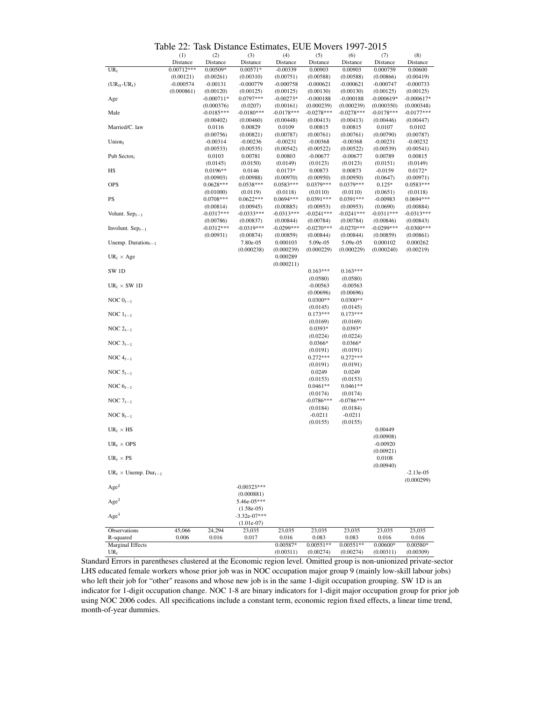| Table 22: Task Distance Estimates, EUE Movers 1997-2015 |  |  |  |
|---------------------------------------------------------|--|--|--|
|---------------------------------------------------------|--|--|--|

|                                       | Table 22. Task Distance Estimates, EOE MOVETS 1997-2019 |              |                |              |              |              |              |              |
|---------------------------------------|---------------------------------------------------------|--------------|----------------|--------------|--------------|--------------|--------------|--------------|
|                                       | (1)                                                     | (2)          | (3)            | (4)          | (5)          | (6)          | (7)          | (8)          |
|                                       | Distance                                                | Distance     | Distance       | Distance     | Distance     | Distance     | Distance     | Distance     |
| $UR_t$                                | $0.00712***$                                            | 0.00509*     | $0.00571*$     | $-0.00339$   | 0.00903      | 0.00903      | 0.000759     | 0.00600      |
|                                       | (0.00121)                                               | (0.00261)    | (0.00310)      | (0.00751)    | (0.00588)    | (0.00588)    | (0.00866)    | (0.00419)    |
| $(UR_{\ell t}$ -UR <sub>t</sub> )     | $-0.000574$                                             | $-0.00131$   | $-0.000779$    | $-0.000758$  | $-0.000621$  | $-0.000621$  | $-0.000747$  | $-0.000733$  |
|                                       | (0.000861)                                              | (0.00120)    | (0.00125)      | (0.00125)    | (0.00130)    | (0.00130)    | (0.00125)    | (0.00125)    |
| Age                                   |                                                         | $-0.000711*$ | $0.0797***$    | $-0.00273*$  | $-0.000188$  | $-0.000188$  | $-0.000619*$ | $-0.000617*$ |
|                                       |                                                         | (0.000376)   | (0.0207)       | (0.00161)    | (0.000239)   | (0.000239)   | (0.000350)   | (0.000348)   |
| Male                                  |                                                         | $-0.0185***$ | $-0.0180***$   | $-0.0178***$ | $-0.0278***$ | $-0.0278***$ | $-0.0178***$ | $-0.0177***$ |
|                                       |                                                         | (0.00402)    | (0.00460)      | (0.00448)    | (0.00413)    | (0.00413)    | (0.00446)    | (0.00447)    |
| Married/C. law                        |                                                         | 0.0116       | 0.00829        | 0.0109       | 0.00815      | 0.00815      | 0.0107       | 0.0102       |
|                                       |                                                         | (0.00756)    | (0.00821)      | (0.00787)    | (0.00761)    | (0.00761)    | (0.00790)    | (0.00787)    |
| Union $_t$                            |                                                         | $-0.00314$   | $-0.00236$     | $-0.00231$   | $-0.00368$   | $-0.00368$   | $-0.00231$   | $-0.00232$   |
|                                       |                                                         | (0.00533)    | (0.00535)      | (0.00542)    | (0.00522)    | (0.00522)    | (0.00539)    | (0.00541)    |
| Pub Sector <sub>t</sub>               |                                                         | 0.0103       | 0.00781        | 0.00803      | $-0.00677$   | $-0.00677$   | 0.00789      | 0.00815      |
|                                       |                                                         | (0.0145)     | (0.0150)       | (0.0149)     | (0.0123)     | (0.0123)     | (0.0151)     | (0.0149)     |
| HS                                    |                                                         | $0.0196**$   | 0.0146         | $0.0173*$    | 0.00873      | 0.00873      | $-0.0159$    | $0.0172*$    |
|                                       |                                                         | (0.00903)    | (0.00988)      | (0.00970)    | (0.00950)    | (0.00950)    | (0.0647)     | (0.00971)    |
| <b>OPS</b>                            |                                                         | $0.0628***$  | $0.0538***$    | $0.0583***$  | $0.0379***$  | 0.0379***    | $0.125*$     | $0.0583***$  |
|                                       |                                                         | (0.01000)    | (0.0119)       | (0.0118)     | (0.0110)     | (0.0110)     | (0.0651)     | (0.0118)     |
| PS                                    |                                                         | $0.0708***$  | $0.0622***$    | $0.0694***$  | 0.0391***    | $0.0391***$  | $-0.00983$   | $0.0694***$  |
|                                       |                                                         | (0.00814)    | (0.00945)      | (0.00885)    | (0.00953)    | (0.00953)    | (0.0690)     | (0.00884)    |
| Volunt. $Sep_{t-1}$                   |                                                         | $-0.0317***$ | $-0.0333***$   | $-0.0313***$ | $-0.0241***$ | $-0.0241***$ | $-0.0311***$ | $-0.0313***$ |
|                                       |                                                         | (0.00786)    | (0.00837)      | (0.00844)    | (0.00784)    | (0.00784)    | (0.00846)    | (0.00843)    |
| Involunt. $Sep_{t-1}$                 |                                                         | $-0.0312***$ | $-0.0319***$   | $-0.0299***$ | $-0.0270***$ | $-0.0270***$ | $-0.0299***$ | $-0.0300***$ |
|                                       |                                                         | (0.00931)    | (0.00874)      | (0.00859)    | (0.00844)    | (0.00844)    | (0.00859)    | (0.00861)    |
| Unemp. Duration $_{t-1}$              |                                                         |              | 7.80e-05       | 0.000103     | 5.09e-05     | 5.09e-05     | 0.000102     | 0.000262     |
|                                       |                                                         |              | (0.000238)     | (0.000239)   | (0.000229)   | (0.000229)   | (0.000240)   | (0.00219)    |
| $UR_t \times Age$                     |                                                         |              |                | 0.000289     |              |              |              |              |
|                                       |                                                         |              |                | (0.000211)   |              |              |              |              |
| SW <sub>1D</sub>                      |                                                         |              |                |              | $0.163***$   | $0.163***$   |              |              |
|                                       |                                                         |              |                |              | (0.0580)     | (0.0580)     |              |              |
| $UR_t \times SW 1D$                   |                                                         |              |                |              | $-0.00563$   | $-0.00563$   |              |              |
|                                       |                                                         |              |                |              | (0.00696)    | (0.00696)    |              |              |
|                                       |                                                         |              |                |              | $0.0300**$   | $0.0300**$   |              |              |
| NOC $0_{t-1}$                         |                                                         |              |                |              |              |              |              |              |
|                                       |                                                         |              |                |              | (0.0145)     | (0.0145)     |              |              |
| NOC $1_{t-1}$                         |                                                         |              |                |              | $0.173***$   | $0.173***$   |              |              |
|                                       |                                                         |              |                |              | (0.0169)     | (0.0169)     |              |              |
| NOC $2_{t-1}$                         |                                                         |              |                |              | $0.0393*$    | $0.0393*$    |              |              |
|                                       |                                                         |              |                |              | (0.0224)     | (0.0224)     |              |              |
| NOC $3_{t-1}$                         |                                                         |              |                |              | $0.0366*$    | $0.0366*$    |              |              |
|                                       |                                                         |              |                |              | (0.0191)     | (0.0191)     |              |              |
| NOC $4_{t-1}$                         |                                                         |              |                |              | $0.272***$   | $0.272***$   |              |              |
|                                       |                                                         |              |                |              | (0.0191)     | (0.0191)     |              |              |
| NOC $5_{t-1}$                         |                                                         |              |                |              | 0.0249       | 0.0249       |              |              |
|                                       |                                                         |              |                |              | (0.0153)     | (0.0153)     |              |              |
| NOC $6_{t-1}$                         |                                                         |              |                |              | $0.0461**$   | $0.0461**$   |              |              |
|                                       |                                                         |              |                |              | (0.0174)     | (0.0174)     |              |              |
| NOC $7_{t-1}$                         |                                                         |              |                |              | $-0.0786***$ | $-0.0786***$ |              |              |
|                                       |                                                         |              |                |              | (0.0184)     | (0.0184)     |              |              |
| NOC $8_{t-1}$                         |                                                         |              |                |              | $-0.0211$    | $-0.0211$    |              |              |
|                                       |                                                         |              |                |              | (0.0155)     | (0.0155)     |              |              |
| $UR_t \times HS$                      |                                                         |              |                |              |              |              | 0.00449      |              |
|                                       |                                                         |              |                |              |              |              | (0.00908)    |              |
| $UR_t \times OPS$                     |                                                         |              |                |              |              |              | $-0.00920$   |              |
|                                       |                                                         |              |                |              |              |              | (0.00921)    |              |
| $UR_t \times PS$                      |                                                         |              |                |              |              |              | 0.0108       |              |
|                                       |                                                         |              |                |              |              |              | (0.00940)    |              |
| $UR_t \times \text{Unemp. Dur}_{t-1}$ |                                                         |              |                |              |              |              |              | $-2.13e-05$  |
|                                       |                                                         |              |                |              |              |              |              | (0.000299)   |
|                                       |                                                         |              |                |              |              |              |              |              |
| Age <sup>2</sup>                      |                                                         |              | $-0.00323***$  |              |              |              |              |              |
|                                       |                                                         |              | (0.000881)     |              |              |              |              |              |
| Age <sup>3</sup>                      |                                                         |              | 5.46e-05***    |              |              |              |              |              |
|                                       |                                                         |              | $(1.58e-05)$   |              |              |              |              |              |
| Age <sup>4</sup>                      |                                                         |              | $-3.32e-07***$ |              |              |              |              |              |
|                                       |                                                         |              | $(1.01e-07)$   |              |              |              |              |              |
| Observations                          | 45,066                                                  | 24,294       | 23,035         | 23,035       | 23,035       | 23,035       | 23,035       | 23,035       |
| R-squared                             | 0.006                                                   | 0.016        | 0.017          | 0.016        | 0.083        | 0.083        | 0.016        | 0.016        |
| <b>Marginal Effects</b>               |                                                         |              |                | $0.00587*$   | $0.00551**$  | $0.00551**$  | $0.00600*$   | 0.00580*     |
| $UR_t$                                |                                                         |              |                | (0.00311)    | (0.00274)    | (0.00274)    | (0.00311)    | (0.00309)    |

Standard Errors in parentheses clustered at the Economic region level. Omitted group is non-unionized private-sector LHS educated female workers whose prior job was in NOC occupation major group 9 (mainly low-skill labour jobs) who left their job for "other" reasons and whose new job is in the same 1-digit occupation grouping. SW 1D is an indicator for 1-digit occupation change. NOC 1-8 are binary indicators for 1-digit major occupation group for prior job using NOC 2006 codes. All specifications include a constant term, economic region fixed effects, a linear time trend, month-of-year dummies.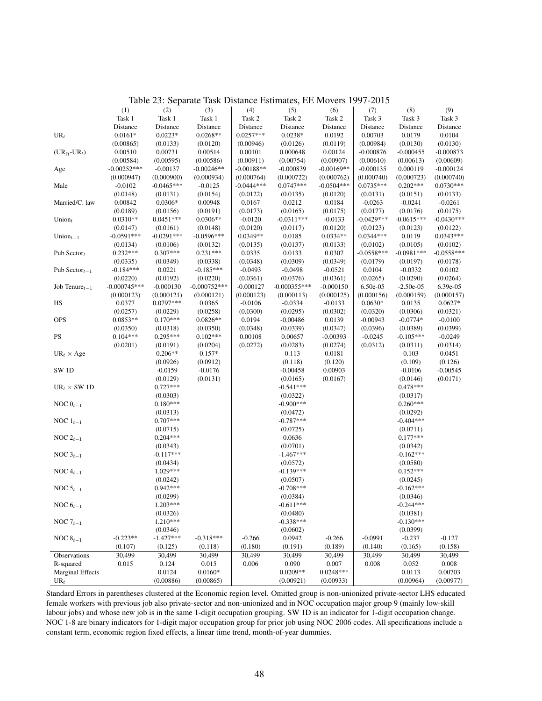|                                   | (1)            | (2)          | (3)            | (4)          | (5)            | (6)          | (7)          | (8)          | (9)          |
|-----------------------------------|----------------|--------------|----------------|--------------|----------------|--------------|--------------|--------------|--------------|
|                                   | Task 1         | Task 1       | Task 1         | Task 2       | Task 2         | Task 2       | Task 3       | Task 3       | Task 3       |
|                                   | Distance       | Distance     | Distance       | Distance     | Distance       | Distance     | Distance     | Distance     | Distance     |
| $UR_t$                            | $0.0161*$      | $0.0223*$    | $0.0268**$     | $0.0257***$  | $0.0238*$      | 0.0192       | 0.00703      | 0.0179       | 0.0104       |
|                                   | (0.00865)      | (0.0133)     | (0.0120)       | (0.00946)    | (0.0126)       | (0.0119)     | (0.00984)    | (0.0130)     | (0.0130)     |
| $(UR_{\ell t}$ -UR <sub>t</sub> ) | 0.00510        | 0.00731      | 0.00514        | 0.00101      | 0.000648       | 0.00124      | $-0.000876$  | $-0.000455$  | $-0.000873$  |
|                                   | (0.00584)      | (0.00595)    | (0.00586)      | (0.00911)    | (0.00754)      | (0.00907)    | (0.00610)    | (0.00613)    | (0.00609)    |
| $_{\rm Age}$                      | $-0.00252***$  | $-0.00137$   | $-0.00246**$   | $-0.00188**$ | $-0.000839$    | $-0.00169**$ | $-0.000135$  | 0.000119     | $-0.000124$  |
|                                   | (0.000947)     | (0.000900)   | (0.000934)     | (0.000764)   | (0.000722)     | (0.000762)   | (0.000740)   | (0.000723)   | (0.000740)   |
| Male                              | $-0.0102$      | $-0.0465***$ | $-0.0125$      | $-0.0444***$ | $0.0747***$    | $-0.0504***$ | $0.0735***$  | $0.202***$   | $0.0730***$  |
|                                   | (0.0148)       | (0.0131)     | (0.0154)       | (0.0122)     | (0.0135)       | (0.0120)     | (0.0131)     | (0.0151)     | (0.0133)     |
| Married/C. law                    | 0.00842        | $0.0306*$    | 0.00948        | 0.0167       | 0.0212         | 0.0184       | $-0.0263$    | $-0.0241$    | $-0.0261$    |
|                                   | (0.0189)       | (0.0156)     | (0.0191)       | (0.0173)     | (0.0165)       | (0.0175)     | (0.0177)     | (0.0176)     | (0.0175)     |
| Union $t$                         | $0.0310**$     | $0.0451***$  | $0.0306**$     | $-0.0120$    | $-0.0311***$   | $-0.0133$    | $-0.0429***$ | $-0.0615***$ | $-0.0430***$ |
|                                   | (0.0147)       | (0.0161)     | (0.0148)       | (0.0120)     | (0.0117)       | (0.0120)     | (0.0123)     | (0.0123)     | (0.0122)     |
| Union $_{t-1}$                    | $-0.0591***$   | $-0.0291***$ | $-0.0596***$   | $0.0349**$   | 0.0185         | $0.0334**$   | $0.0344***$  | 0.0119       | $0.0343***$  |
|                                   | (0.0134)       | (0.0106)     | (0.0132)       | (0.0135)     | (0.0137)       | (0.0133)     | (0.0102)     | (0.0105)     | (0.0102)     |
| Pub Sector $t$                    | $0.232***$     | $0.307***$   | $0.231***$     | 0.0335       | 0.0133         | 0.0307       | $-0.0558***$ | $-0.0981***$ | $-0.0558***$ |
|                                   | (0.0335)       | (0.0349)     | (0.0338)       | (0.0348)     | (0.0309)       | (0.0349)     | (0.0179)     | (0.0197)     | (0.0178)     |
| Pub Sector $_{t-1}$               | $-0.184***$    | 0.0221       | $-0.185***$    | $-0.0493$    | $-0.0498$      | $-0.0521$    | 0.0104       | $-0.0332$    | 0.0102       |
|                                   | (0.0220)       | (0.0192)     | (0.0220)       | (0.0361)     | (0.0376)       | (0.0361)     | (0.0265)     | (0.0290)     | (0.0264)     |
| Job Tenure $_{t-1}$               | $-0.000745***$ | $-0.000130$  | $-0.000752***$ | $-0.000127$  | $-0.000355***$ | $-0.000150$  | 6.50e-05     | $-2.50e-05$  | 6.39e-05     |
|                                   | (0.000123)     | (0.000121)   | (0.000121)     | (0.000123)   | (0.000113)     | (0.000125)   | (0.000156)   | (0.000159)   | (0.000157)   |
| $_{\rm HS}$                       | 0.0377         | 0.0797***    | 0.0365         | $-0.0106$    | $-0.0334$      | $-0.0133$    | $0.0630*$    | 0.0135       | $0.0627*$    |
|                                   | (0.0257)       | (0.0229)     | (0.0258)       | (0.0300)     | (0.0295)       | (0.0302)     | (0.0320)     | (0.0306)     | (0.0321)     |
| <b>OPS</b>                        | $0.0853**$     | $0.170***$   | $0.0826**$     | 0.0194       | $-0.00486$     | 0.0139       | $-0.00943$   | $-0.0774*$   | $-0.0100$    |
|                                   | (0.0350)       | (0.0318)     | (0.0350)       | (0.0348)     | (0.0339)       | (0.0347)     | (0.0396)     | (0.0389)     | (0.0399)     |
| PS                                | $0.104***$     | $0.295***$   | $0.102***$     | 0.00108      | 0.00657        | $-0.00393$   | $-0.0245$    | $-0.105***$  | $-0.0249$    |
|                                   | (0.0201)       | (0.0191)     | (0.0204)       | (0.0272)     | (0.0283)       | (0.0274)     | (0.0312)     | (0.0311)     | (0.0314)     |
| $UR_t \times Age$                 |                | $0.206**$    | $0.157*$       |              | 0.113          | 0.0181       |              | 0.103        | 0.0451       |
|                                   |                | (0.0926)     | (0.0912)       |              | (0.118)        | (0.120)      |              | (0.109)      | (0.126)      |
| SW <sub>1D</sub>                  |                | $-0.0159$    | $-0.0176$      |              | $-0.00458$     | 0.00903      |              | $-0.0106$    | $-0.00545$   |
|                                   |                | (0.0129)     | (0.0131)       |              | (0.0165)       | (0.0167)     |              | (0.0146)     | (0.0171)     |
| $UR_t \times SW1D$                |                | $0.727***$   |                |              | $-0.541***$    |              |              | $0.478***$   |              |
|                                   |                | (0.0303)     |                |              | (0.0322)       |              |              | (0.0317)     |              |
| NOC $0_{t-1}$                     |                | $0.180***$   |                |              | $-0.900***$    |              |              | $0.260***$   |              |
|                                   |                | (0.0313)     |                |              | (0.0472)       |              |              | (0.0292)     |              |
| NOC $1_{t-1}$                     |                | $0.707***$   |                |              | $-0.787***$    |              |              | $-0.404***$  |              |
|                                   |                | (0.0715)     |                |              | (0.0725)       |              |              | (0.0711)     |              |
| NOC $2_{t-1}$                     |                | $0.204***$   |                |              | 0.0636         |              |              | $0.177***$   |              |
|                                   |                | (0.0343)     |                |              | (0.0701)       |              |              | (0.0342)     |              |
| NOC $3_{t-1}$                     |                | $-0.117***$  |                |              | $-1.467***$    |              |              | $-0.162***$  |              |
|                                   |                | (0.0434)     |                |              | (0.0572)       |              |              | (0.0580)     |              |
| NOC $4_{t-1}$                     |                | $1.029***$   |                |              | $-0.139***$    |              |              | $0.152***$   |              |
|                                   |                | (0.0242)     |                |              | (0.0507)       |              |              | (0.0245)     |              |
| NOC $5_{t-1}$                     |                | $0.942***$   |                |              | $-0.708***$    |              |              | $-0.162***$  |              |
|                                   |                | (0.0299)     |                |              | (0.0384)       |              |              | (0.0346)     |              |
| NOC $6_{t-1}$                     |                | $1.203***$   |                |              | $-0.611***$    |              |              | $-0.244***$  |              |
|                                   |                | (0.0326)     |                |              | (0.0480)       |              |              | (0.0381)     |              |
| NOC $7_{t-1}$                     |                | $1.210***$   |                |              | $-0.338***$    |              |              | $-0.130***$  |              |
|                                   |                | (0.0346)     |                |              | (0.0602)       |              |              | (0.0399)     |              |
| NOC $8_{t-1}$                     | $-0.223**$     | $-1.427***$  | $-0.318***$    | $-0.266$     | 0.0942         | $-0.266$     | $-0.0991$    | $-0.237$     | $-0.127$     |
|                                   | (0.107)        | (0.125)      | (0.118)        | (0.180)      | (0.191)        | (0.189)      | (0.140)      | (0.165)      | (0.158)      |
| Observations                      | 30,499         | 30,499       | 30,499         | 30,499       | 30,499         | 30,499       | 30,499       | 30,499       | 30,499       |
| R-squared                         | 0.015          | 0.124        | 0.015          | 0.006        | 0.090          | 0.007        | 0.008        | 0.052        | 0.008        |
| <b>Marginal Effects</b>           |                | 0.0124       | $0.0160*$      |              | $0.0209**$     | $0.0248***$  |              | 0.0113       | 0.00703      |
| $UR_t$                            |                | (0.00886)    | (0.00865)      |              | (0.00921)      | (0.00933)    |              | (0.00964)    | (0.00977)    |

Table 23: Separate Task Distance Estimates, EE Movers 1997-2015

Standard Errors in parentheses clustered at the Economic region level. Omitted group is non-unionized private-sector LHS educated female workers with previous job also private-sector and non-unionized and in NOC occupation major group 9 (mainly low-skill labour jobs) and whose new job is in the same 1-digit occupation grouping. SW 1D is an indicator for 1-digit occupation change. NOC 1-8 are binary indicators for 1-digit major occupation group for prior job using NOC 2006 codes. All specifications include a constant term, economic region fixed effects, a linear time trend, month-of-year dummies.